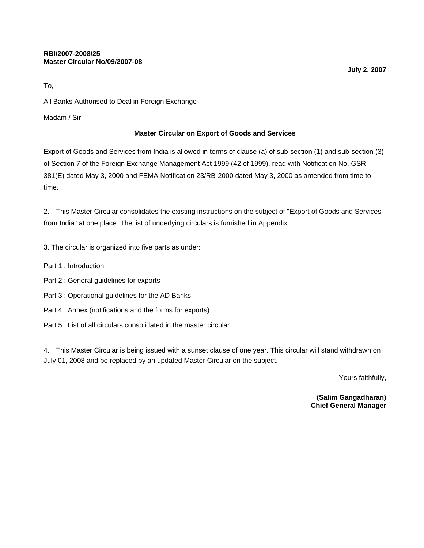To,

All Banks Authorised to Deal in Foreign Exchange

Madam / Sir,

#### **Master Circular on Export of Goods and Services**

Export of Goods and Services from India is allowed in terms of clause (a) of sub-section (1) and sub-section (3) of Section 7 of the Foreign Exchange Management Act 1999 (42 of 1999), read with Notification No. GSR 381(E) dated May 3, 2000 and FEMA Notification 23/RB-2000 dated May 3, 2000 as amended from time to time.

2. This Master Circular consolidates the existing instructions on the subject of "Export of Goods and Services from India" at one place. The list of underlying circulars is furnished in Appendix.

- 3. The circular is organized into five parts as under:
- Part 1 : Introduction
- Part 2 : General guidelines for exports
- Part 3 : Operational guidelines for the AD Banks.
- Part 4 : Annex (notifications and the forms for exports)
- Part 5 : List of all circulars consolidated in the master circular.

4. This Master Circular is being issued with a sunset clause of one year. This circular will stand withdrawn on July 01, 2008 and be replaced by an updated Master Circular on the subject.

Yours faithfully,

**(Salim Gangadharan) Chief General Manager**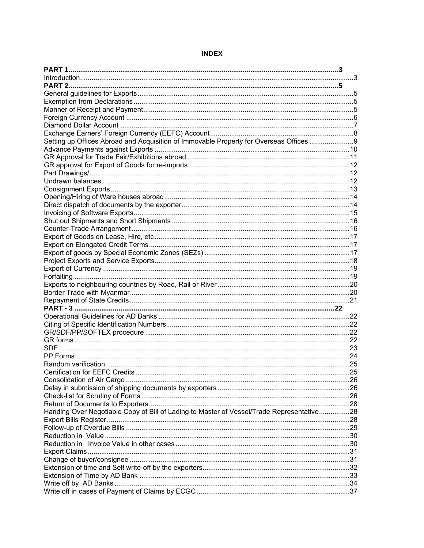| Setting up Offices Abroad and Acquisition of Immovable Property for Overseas Offices 9    |     |
|-------------------------------------------------------------------------------------------|-----|
|                                                                                           |     |
|                                                                                           |     |
|                                                                                           |     |
|                                                                                           |     |
|                                                                                           |     |
|                                                                                           |     |
|                                                                                           |     |
|                                                                                           |     |
|                                                                                           |     |
|                                                                                           |     |
|                                                                                           |     |
|                                                                                           |     |
|                                                                                           |     |
|                                                                                           |     |
|                                                                                           |     |
|                                                                                           |     |
|                                                                                           |     |
|                                                                                           |     |
|                                                                                           |     |
|                                                                                           |     |
|                                                                                           |     |
|                                                                                           |     |
|                                                                                           |     |
|                                                                                           |     |
|                                                                                           |     |
|                                                                                           |     |
|                                                                                           |     |
|                                                                                           |     |
|                                                                                           | .25 |
|                                                                                           |     |
|                                                                                           |     |
|                                                                                           |     |
|                                                                                           |     |
| Handing Over Negotiable Copy of Bill of Lading to Master of Vessel/Trade Representative28 |     |
|                                                                                           |     |
|                                                                                           |     |
|                                                                                           |     |
|                                                                                           |     |
|                                                                                           |     |
|                                                                                           |     |
|                                                                                           |     |
|                                                                                           |     |
|                                                                                           |     |
|                                                                                           |     |
|                                                                                           |     |

#### **INDEX**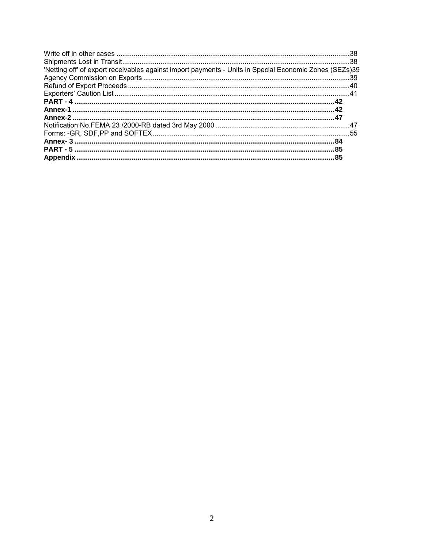| 'Netting off' of export receivables against import payments - Units in Special Economic Zones (SEZs)39 |  |
|--------------------------------------------------------------------------------------------------------|--|
|                                                                                                        |  |
|                                                                                                        |  |
|                                                                                                        |  |
|                                                                                                        |  |
|                                                                                                        |  |
|                                                                                                        |  |
|                                                                                                        |  |
|                                                                                                        |  |
|                                                                                                        |  |
|                                                                                                        |  |
|                                                                                                        |  |
|                                                                                                        |  |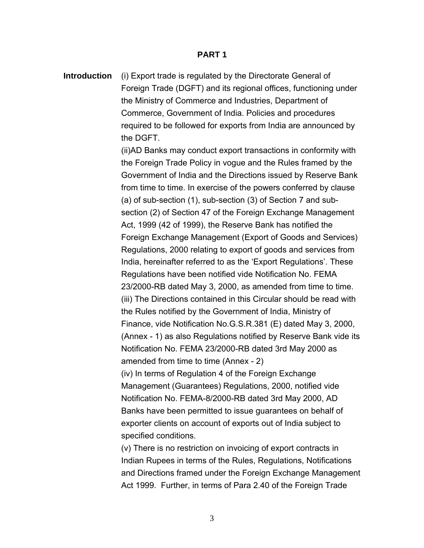#### **PART 1**

**Introduction** (i) Export trade is regulated by the Directorate General of Foreign Trade (DGFT) and its regional offices, functioning under the Ministry of Commerce and Industries, Department of Commerce, Government of India. Policies and procedures required to be followed for exports from India are announced by the DGFT.

> (ii)AD Banks may conduct export transactions in conformity with the Foreign Trade Policy in vogue and the Rules framed by the Government of India and the Directions issued by Reserve Bank from time to time. In exercise of the powers conferred by clause (a) of sub-section (1), sub-section (3) of Section 7 and subsection (2) of Section 47 of the Foreign Exchange Management Act, 1999 (42 of 1999), the Reserve Bank has notified the Foreign Exchange Management (Export of Goods and Services) Regulations, 2000 relating to export of goods and services from India, hereinafter referred to as the 'Export Regulations'. These Regulations have been notified vide Notification No. FEMA 23/2000-RB dated May 3, 2000, as amended from time to time. (iii) The Directions contained in this Circular should be read with the Rules notified by the Government of India, Ministry of Finance, vide Notification No.G.S.R.381 (E) dated May 3, 2000, (Annex - 1) as also Regulations notified by Reserve Bank vide its Notification No. FEMA 23/2000-RB dated 3rd May 2000 as amended from time to time (Annex - 2)

(iv) In terms of Regulation 4 of the Foreign Exchange Management (Guarantees) Regulations, 2000, notified vide Notification No. FEMA-8/2000-RB dated 3rd May 2000, AD Banks have been permitted to issue guarantees on behalf of exporter clients on account of exports out of India subject to specified conditions.

(v) There is no restriction on invoicing of export contracts in Indian Rupees in terms of the Rules, Regulations, Notifications and Directions framed under the Foreign Exchange Management Act 1999. Further, in terms of Para 2.40 of the Foreign Trade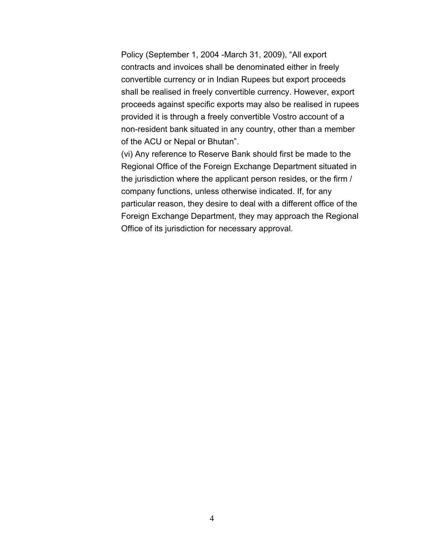Policy (September 1, 2004 -March 31, 2009), "All export contracts and invoices shall be denominated either in freely convertible currency or in Indian Rupees but export proceeds shall be realised in freely convertible currency. However, export proceeds against specific exports may also be realised in rupees provided it is through a freely convertible Vostro account of a non-resident bank situated in any country, other than a member of the ACU or Nepal or Bhutan".

(vi) Any reference to Reserve Bank should first be made to the Regional Office of the Foreign Exchange Department situated in the jurisdiction where the applicant person resides, or the firm / company functions, unless otherwise indicated. If, for any particular reason, they desire to deal with a different office of the Foreign Exchange Department, they may approach the Regional Office of its jurisdiction for necessary approval.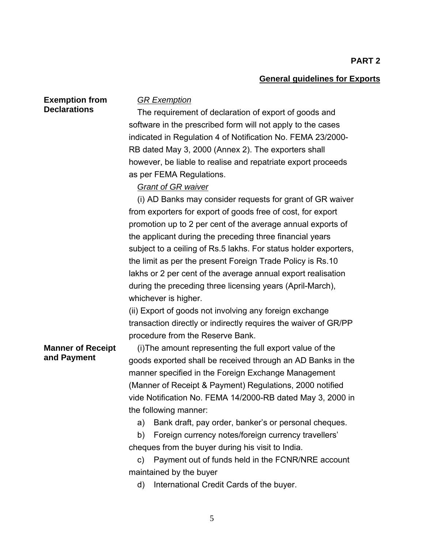#### **General guidelines for Exports**

**Exemption from Declarations** 

#### *GR Exemption*

The requirement of declaration of export of goods and software in the prescribed form will not apply to the cases indicated in Regulation 4 of Notification No. FEMA 23/2000- RB dated May 3, 2000 (Annex 2). The exporters shall however, be liable to realise and repatriate export proceeds as per FEMA Regulations.

#### *Grant of GR waiver*

(i)AD Banks may consider requests for grant of GR waiver from exporters for export of goods free of cost, for export promotion up to 2 per cent of the average annual exports of the applicant during the preceding three financial years subject to a ceiling of Rs.5 lakhs. For status holder exporters, the limit as per the present Foreign Trade Policy is Rs.10 lakhs or 2 per cent of the average annual export realisation during the preceding three licensing years (April-March), whichever is higher.

(ii) Export of goods not involving any foreign exchange transaction directly or indirectly requires the waiver of GR/PP procedure from the Reserve Bank.

#### **Manner of Receipt and Payment**

(i) The amount representing the full export value of the goods exported shall be received through an AD Banks in the manner specified in the Foreign Exchange Management (Manner of Receipt & Payment) Regulations, 2000 notified vide Notification No. FEMA 14/2000-RB dated May 3, 2000 in the following manner:

a) Bank draft, pay order, banker's or personal cheques.

b) Foreign currency notes/foreign currency travellers' cheques from the buyer during his visit to India.

c) Payment out of funds held in the FCNR/NRE account maintained by the buyer

d) International Credit Cards of the buyer.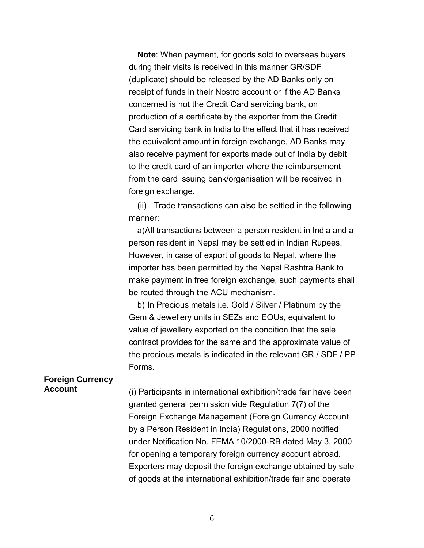**Note**: When payment, for goods sold to overseas buyers during their visits is received in this manner GR/SDF (duplicate) should be released by the AD Banks only on receipt of funds in their Nostro account or if the AD Banks concerned is not the Credit Card servicing bank, on production of a certificate by the exporter from the Credit Card servicing bank in India to the effect that it has received the equivalent amount in foreign exchange, AD Banks may also receive payment for exports made out of India by debit to the credit card of an importer where the reimbursement from the card issuing bank/organisation will be received in foreign exchange.

(ii) Trade transactions can also be settled in the following manner:

a) All transactions between a person resident in India and a person resident in Nepal may be settled in Indian Rupees. However, in case of export of goods to Nepal, where the importer has been permitted by the Nepal Rashtra Bank to make payment in free foreign exchange, such payments shall be routed through the ACU mechanism.

b) In Precious metals i.e. Gold / Silver / Platinum by the Gem & Jewellery units in SEZs and EOUs, equivalent to value of jewellery exported on the condition that the sale contract provides for the same and the approximate value of the precious metals is indicated in the relevant GR / SDF / PP Forms.

## **Foreign Currency**

**Account** (i) Participants in international exhibition/trade fair have been granted general permission vide Regulation 7(7) of the Foreign Exchange Management (Foreign Currency Account by a Person Resident in India) Regulations, 2000 notified under Notification No. FEMA 10/2000-RB dated May 3, 2000 for opening a temporary foreign currency account abroad. Exporters may deposit the foreign exchange obtained by sale of goods at the international exhibition/trade fair and operate

6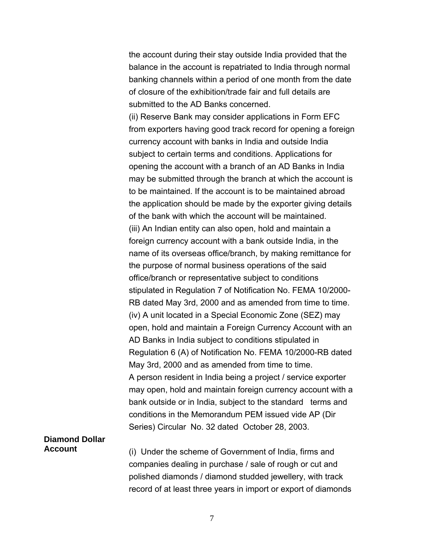the account during their stay outside India provided that the balance in the account is repatriated to India through normal banking channels within a period of one month from the date of closure of the exhibition/trade fair and full details are submitted to the AD Banks concerned.

(ii) Reserve Bank may consider applications in Form EFC from exporters having good track record for opening a foreign currency account with banks in India and outside India subject to certain terms and conditions. Applications for opening the account with a branch of an AD Banks in India may be submitted through the branch at which the account is to be maintained. If the account is to be maintained abroad the application should be made by the exporter giving details of the bank with which the account will be maintained. (iii) An Indian entity can also open, hold and maintain a foreign currency account with a bank outside India, in the name of its overseas office/branch, by making remittance for the purpose of normal business operations of the said office/branch or representative subject to conditions stipulated in Regulation 7 of Notification No. FEMA 10/2000- RB dated May 3rd, 2000 and as amended from time to time. (iv) A unit located in a Special Economic Zone (SEZ) may open, hold and maintain a Foreign Currency Account with an AD Banks in India subject to conditions stipulated in Regulation 6 (A) of Notification No. FEMA 10/2000-RB dated May 3rd, 2000 and as amended from time to time. A person resident in India being a project / service exporter may open, hold and maintain foreign currency account with a bank outside or in India, subject to the standard terms and conditions in the Memorandum PEM issued vide AP (Dir Series) Circular No. 32 dated October 28, 2003.

# **Diamond Dollar**

**Account** (i) Under the scheme of Government of India, firms and companies dealing in purchase / sale of rough or cut and polished diamonds / diamond studded jewellery, with track record of at least three years in import or export of diamonds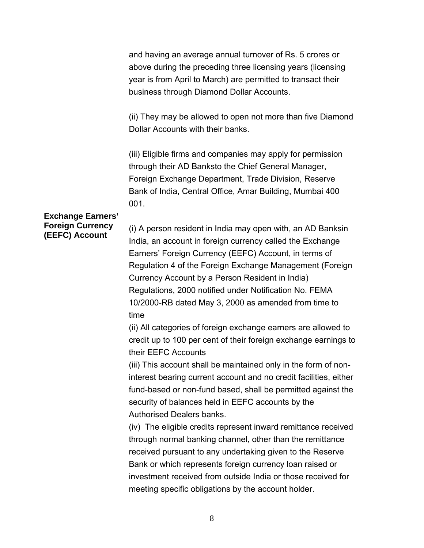and having an average annual turnover of Rs. 5 crores or above during the preceding three licensing years (licensing year is from April to March) are permitted to transact their business through Diamond Dollar Accounts.

(ii) They may be allowed to open not more than five Diamond Dollar Accounts with their banks.

(iii) Eligible firms and companies may apply for permission through their AD Banksto the Chief General Manager, Foreign Exchange Department, Trade Division, Reserve Bank of India, Central Office, Amar Building, Mumbai 400 001.

## **Exchange Earners' Foreign Currency**

**Foreign Currency** (i) A person resident in India may open with, an AD Banksin **(EEFC)** Account India, an account in foreign currency called the Exchange Earners' Foreign Currency (EEFC) Account, in terms of Regulation 4 of the Foreign Exchange Management (Foreign Currency Account by a Person Resident in India) Regulations, 2000 notified under Notification No. FEMA 10/2000-RB dated May 3, 2000 as amended from time to time

> (ii) All categories of foreign exchange earners are allowed to credit up to 100 per cent of their foreign exchange earnings to their EEFC Accounts

> (iii) This account shall be maintained only in the form of noninterest bearing current account and no credit facilities, either fund-based or non-fund based, shall be permitted against the security of balances held in EEFC accounts by the Authorised Dealers banks.

> (iv) The eligible credits represent inward remittance received through normal banking channel, other than the remittance received pursuant to any undertaking given to the Reserve Bank or which represents foreign currency loan raised or investment received from outside India or those received for meeting specific obligations by the account holder.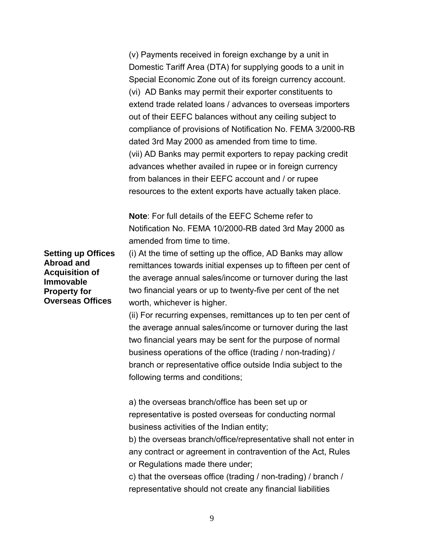(v) Payments received in foreign exchange by a unit in Domestic Tariff Area (DTA) for supplying goods to a unit in Special Economic Zone out of its foreign currency account. (vi) AD Banks may permit their exporter constituents to extend trade related loans / advances to overseas importers out of their EEFC balances without any ceiling subject to compliance of provisions of Notification No. FEMA 3/2000-RB dated 3rd May 2000 as amended from time to time. (vii) AD Banks may permit exporters to repay packing credit advances whether availed in rupee or in foreign currency from balances in their EEFC account and / or rupee resources to the extent exports have actually taken place.

**Note**: For full details of the EEFC Scheme refer to Notification No. FEMA 10/2000-RB dated 3rd May 2000 as amended from time to time.

**Setting up Offices Abroad and Acquisition of Immovable Property for Overseas Offices** 

(i) At the time of setting up the office, AD Banks may allow remittances towards initial expenses up to fifteen per cent of the average annual sales/income or turnover during the last two financial years or up to twenty-five per cent of the net worth, whichever is higher.

(ii) For recurring expenses, remittances up to ten per cent of the average annual sales/income or turnover during the last two financial years may be sent for the purpose of normal business operations of the office (trading / non-trading) / branch or representative office outside India subject to the following terms and conditions;

a) the overseas branch/office has been set up or representative is posted overseas for conducting normal business activities of the Indian entity;

b) the overseas branch/office/representative shall not enter in any contract or agreement in contravention of the Act, Rules or Regulations made there under;

c) that the overseas office (trading / non-trading) / branch / representative should not create any financial liabilities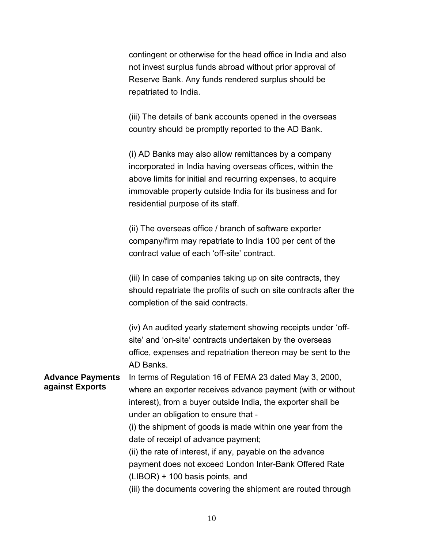contingent or otherwise for the head office in India and also not invest surplus funds abroad without prior approval of Reserve Bank. Any funds rendered surplus should be repatriated to India.

(iii) The details of bank accounts opened in the overseas country should be promptly reported to the AD Bank.

(i) AD Banks may also allow remittances by a company incorporated in India having overseas offices, within the above limits for initial and recurring expenses, to acquire immovable property outside India for its business and for residential purpose of its staff.

(ii) The overseas office / branch of software exporter company/firm may repatriate to India 100 per cent of the contract value of each 'off-site' contract.

(iii) In case of companies taking up on site contracts, they should repatriate the profits of such on site contracts after the completion of the said contracts.

(iv) An audited yearly statement showing receipts under 'offsite' and 'on-site' contracts undertaken by the overseas office, expenses and repatriation thereon may be sent to the AD Banks.

**Advance Payments against Exports**  In terms of Regulation 16 of FEMA 23 dated May 3, 2000, where an exporter receives advance payment (with or without interest), from a buyer outside India, the exporter shall be under an obligation to ensure that -

> (i) the shipment of goods is made within one year from the date of receipt of advance payment;

> (ii) the rate of interest, if any, payable on the advance payment does not exceed London Inter-Bank Offered Rate (LIBOR) + 100 basis points, and

(iii) the documents covering the shipment are routed through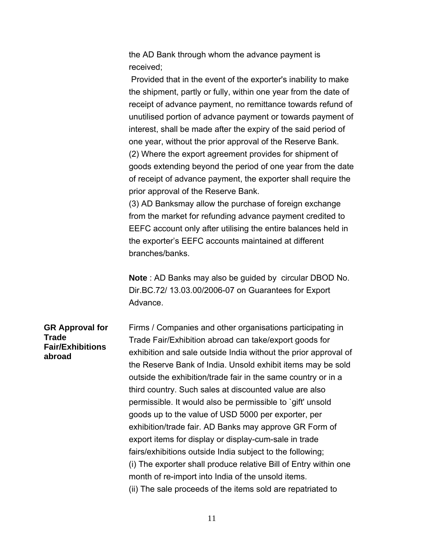the AD Bank through whom the advance payment is received;

 Provided that in the event of the exporter's inability to make the shipment, partly or fully, within one year from the date of receipt of advance payment, no remittance towards refund of unutilised portion of advance payment or towards payment of interest, shall be made after the expiry of the said period of one year, without the prior approval of the Reserve Bank. (2) Where the export agreement provides for shipment of goods extending beyond the period of one year from the date of receipt of advance payment, the exporter shall require the prior approval of the Reserve Bank.

(3) AD Banksmay allow the purchase of foreign exchange from the market for refunding advance payment credited to EEFC account only after utilising the entire balances held in the exporter's EEFC accounts maintained at different branches/banks.

**Note** : AD Banks may also be guided by circular DBOD No. Dir.BC.72/ 13.03.00/2006-07 on Guarantees for Export Advance.

**GR Approval for Trade Fair/Exhibitions abroad** 

Firms / Companies and other organisations participating in Trade Fair/Exhibition abroad can take/export goods for exhibition and sale outside India without the prior approval of the Reserve Bank of India. Unsold exhibit items may be sold outside the exhibition/trade fair in the same country or in a third country. Such sales at discounted value are also permissible. It would also be permissible to `gift' unsold goods up to the value of USD 5000 per exporter, per exhibition/trade fair. AD Banks may approve GR Form of export items for display or display-cum-sale in trade fairs/exhibitions outside India subject to the following; (i) The exporter shall produce relative Bill of Entry within one month of re-import into India of the unsold items. (ii) The sale proceeds of the items sold are repatriated to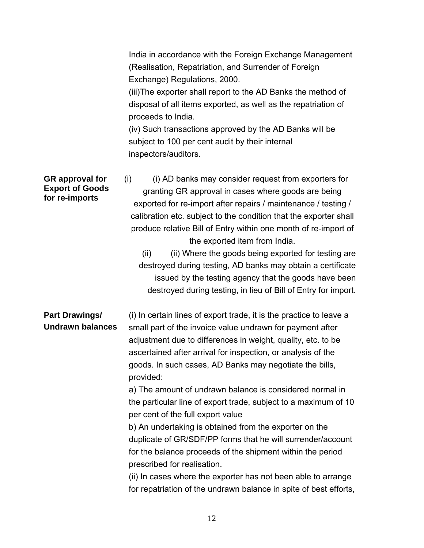|                                                                    | India in accordance with the Foreign Exchange Management<br>(Realisation, Repatriation, and Surrender of Foreign<br>Exchange) Regulations, 2000.<br>(iii) The exporter shall report to the AD Banks the method of<br>disposal of all items exported, as well as the repatriation of<br>proceeds to India.<br>(iv) Such transactions approved by the AD Banks will be<br>subject to 100 per cent audit by their internal<br>inspectors/auditors.                                                                                                                                                                                                                                                                                                                                                                                                                          |
|--------------------------------------------------------------------|--------------------------------------------------------------------------------------------------------------------------------------------------------------------------------------------------------------------------------------------------------------------------------------------------------------------------------------------------------------------------------------------------------------------------------------------------------------------------------------------------------------------------------------------------------------------------------------------------------------------------------------------------------------------------------------------------------------------------------------------------------------------------------------------------------------------------------------------------------------------------|
| <b>GR</b> approval for<br><b>Export of Goods</b><br>for re-imports | (i) AD banks may consider request from exporters for<br>(i)<br>granting GR approval in cases where goods are being<br>exported for re-import after repairs / maintenance / testing /<br>calibration etc. subject to the condition that the exporter shall<br>produce relative Bill of Entry within one month of re-import of<br>the exported item from India.<br>(ii) Where the goods being exported for testing are<br>(ii)<br>destroyed during testing, AD banks may obtain a certificate<br>issued by the testing agency that the goods have been<br>destroyed during testing, in lieu of Bill of Entry for import.                                                                                                                                                                                                                                                   |
| Part Drawings/<br><b>Undrawn balances</b>                          | (i) In certain lines of export trade, it is the practice to leave a<br>small part of the invoice value undrawn for payment after<br>adjustment due to differences in weight, quality, etc. to be<br>ascertained after arrival for inspection, or analysis of the<br>goods. In such cases, AD Banks may negotiate the bills,<br>provided:<br>a) The amount of undrawn balance is considered normal in<br>the particular line of export trade, subject to a maximum of 10<br>per cent of the full export value<br>b) An undertaking is obtained from the exporter on the<br>duplicate of GR/SDF/PP forms that he will surrender/account<br>for the balance proceeds of the shipment within the period<br>prescribed for realisation.<br>(ii) In cases where the exporter has not been able to arrange<br>for repatriation of the undrawn balance in spite of best efforts, |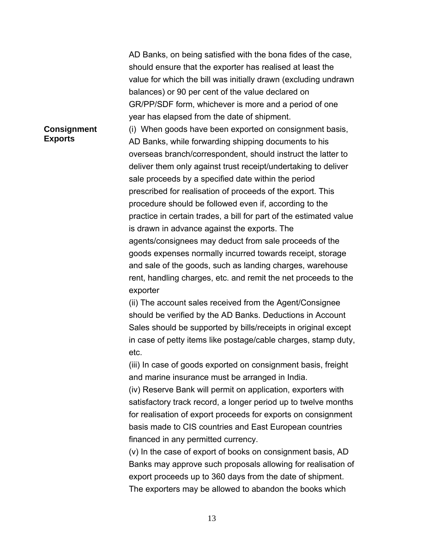AD Banks, on being satisfied with the bona fides of the case, should ensure that the exporter has realised at least the value for which the bill was initially drawn (excluding undrawn balances) or 90 per cent of the value declared on GR/PP/SDF form, whichever is more and a period of one year has elapsed from the date of shipment.

#### **Consignment Exports**

(i) When goods have been exported on consignment basis, AD Banks, while forwarding shipping documents to his overseas branch/correspondent, should instruct the latter to deliver them only against trust receipt/undertaking to deliver sale proceeds by a specified date within the period prescribed for realisation of proceeds of the export. This procedure should be followed even if, according to the practice in certain trades, a bill for part of the estimated value is drawn in advance against the exports. The agents/consignees may deduct from sale proceeds of the goods expenses normally incurred towards receipt, storage and sale of the goods, such as landing charges, warehouse rent, handling charges, etc. and remit the net proceeds to the exporter

(ii) The account sales received from the Agent/Consignee should be verified by the AD Banks. Deductions in Account Sales should be supported by bills/receipts in original except in case of petty items like postage/cable charges, stamp duty, etc.

(iii) In case of goods exported on consignment basis, freight and marine insurance must be arranged in India.

(iv) Reserve Bank will permit on application, exporters with satisfactory track record, a longer period up to twelve months for realisation of export proceeds for exports on consignment basis made to CIS countries and East European countries financed in any permitted currency.

(v) In the case of export of books on consignment basis, AD Banks may approve such proposals allowing for realisation of export proceeds up to 360 days from the date of shipment. The exporters may be allowed to abandon the books which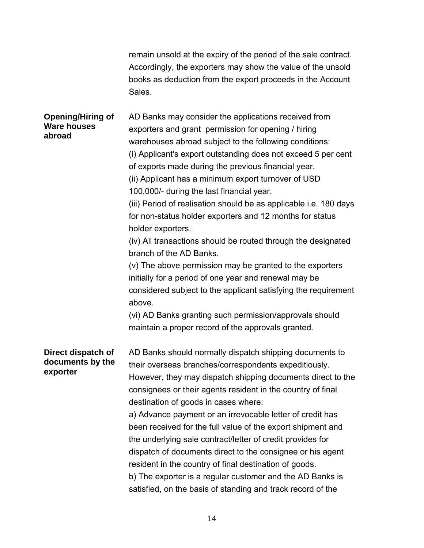|                                                          | remain unsold at the expiry of the period of the sale contract.<br>Accordingly, the exporters may show the value of the unsold<br>books as deduction from the export proceeds in the Account<br>Sales.                                                                                                                                                                                                                                                                                                                                                                                                                                                                                                                                                                                                                                                                                                                                                                |
|----------------------------------------------------------|-----------------------------------------------------------------------------------------------------------------------------------------------------------------------------------------------------------------------------------------------------------------------------------------------------------------------------------------------------------------------------------------------------------------------------------------------------------------------------------------------------------------------------------------------------------------------------------------------------------------------------------------------------------------------------------------------------------------------------------------------------------------------------------------------------------------------------------------------------------------------------------------------------------------------------------------------------------------------|
| <b>Opening/Hiring of</b><br><b>Ware houses</b><br>abroad | AD Banks may consider the applications received from<br>exporters and grant permission for opening / hiring<br>warehouses abroad subject to the following conditions:<br>(i) Applicant's export outstanding does not exceed 5 per cent<br>of exports made during the previous financial year.<br>(ii) Applicant has a minimum export turnover of USD<br>100,000/- during the last financial year.<br>(iii) Period of realisation should be as applicable i.e. 180 days<br>for non-status holder exporters and 12 months for status<br>holder exporters.<br>(iv) All transactions should be routed through the designated<br>branch of the AD Banks.<br>(v) The above permission may be granted to the exporters<br>initially for a period of one year and renewal may be<br>considered subject to the applicant satisfying the requirement<br>above.<br>(vi) AD Banks granting such permission/approvals should<br>maintain a proper record of the approvals granted. |
| Direct dispatch of<br>documents by the<br>exporter       | AD Banks should normally dispatch shipping documents to<br>their overseas branches/correspondents expeditiously.<br>However, they may dispatch shipping documents direct to the<br>consignees or their agents resident in the country of final<br>destination of goods in cases where:<br>a) Advance payment or an irrevocable letter of credit has<br>been received for the full value of the export shipment and<br>the underlying sale contract/letter of credit provides for<br>dispatch of documents direct to the consignee or his agent<br>resident in the country of final destination of goods.<br>b) The exporter is a regular customer and the AD Banks is<br>satisfied, on the basis of standing and track record of the                                                                                                                                                                                                                                  |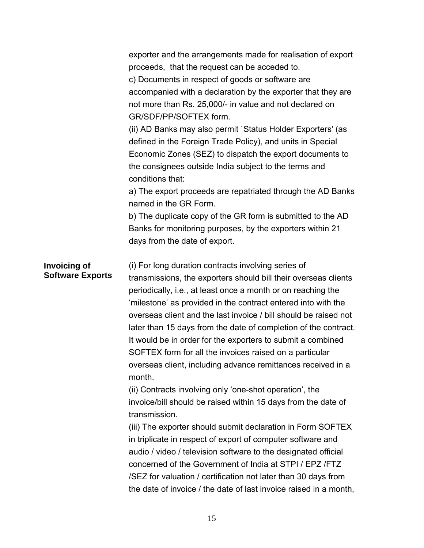|                                                | exporter and the arrangements made for realisation of export<br>proceeds, that the request can be acceded to.<br>c) Documents in respect of goods or software are<br>accompanied with a declaration by the exporter that they are<br>not more than Rs. 25,000/- in value and not declared on<br>GR/SDF/PP/SOFTEX form.<br>(ii) AD Banks may also permit `Status Holder Exporters' (as<br>defined in the Foreign Trade Policy), and units in Special<br>Economic Zones (SEZ) to dispatch the export documents to<br>the consignees outside India subject to the terms and<br>conditions that:                                                                                                                                                                                                                                                                                                                                                                                                                                                                                  |
|------------------------------------------------|-------------------------------------------------------------------------------------------------------------------------------------------------------------------------------------------------------------------------------------------------------------------------------------------------------------------------------------------------------------------------------------------------------------------------------------------------------------------------------------------------------------------------------------------------------------------------------------------------------------------------------------------------------------------------------------------------------------------------------------------------------------------------------------------------------------------------------------------------------------------------------------------------------------------------------------------------------------------------------------------------------------------------------------------------------------------------------|
|                                                | a) The export proceeds are repatriated through the AD Banks                                                                                                                                                                                                                                                                                                                                                                                                                                                                                                                                                                                                                                                                                                                                                                                                                                                                                                                                                                                                                   |
|                                                | named in the GR Form.<br>b) The duplicate copy of the GR form is submitted to the AD<br>Banks for monitoring purposes, by the exporters within 21<br>days from the date of export.                                                                                                                                                                                                                                                                                                                                                                                                                                                                                                                                                                                                                                                                                                                                                                                                                                                                                            |
| <b>Invoicing of</b><br><b>Software Exports</b> | (i) For long duration contracts involving series of<br>transmissions, the exporters should bill their overseas clients<br>periodically, i.e., at least once a month or on reaching the<br>'milestone' as provided in the contract entered into with the<br>overseas client and the last invoice / bill should be raised not<br>later than 15 days from the date of completion of the contract.<br>It would be in order for the exporters to submit a combined<br>SOFTEX form for all the invoices raised on a particular<br>overseas client, including advance remittances received in a<br>month.<br>(ii) Contracts involving only 'one-shot operation', the<br>invoice/bill should be raised within 15 days from the date of<br>transmission.<br>(iii) The exporter should submit declaration in Form SOFTEX<br>in triplicate in respect of export of computer software and<br>audio / video / television software to the designated official<br>concerned of the Government of India at STPI / EPZ / FTZ<br>/SEZ for valuation / certification not later than 30 days from |

the date of invoice / the date of last invoice raised in a month,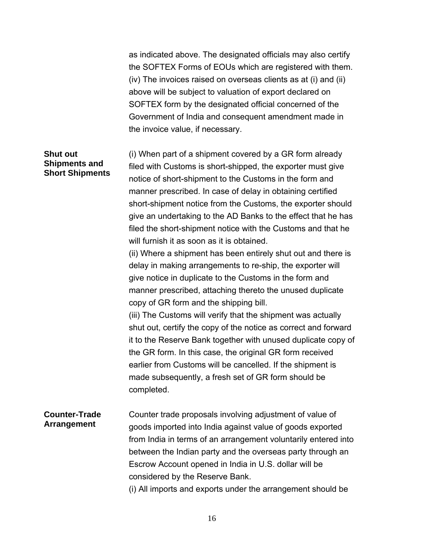as indicated above. The designated officials may also certify the SOFTEX Forms of EOUs which are registered with them. (iv) The invoices raised on overseas clients as at (i) and (ii) above will be subject to valuation of export declared on SOFTEX form by the designated official concerned of the Government of India and consequent amendment made in the invoice value, if necessary.

#### **Shut out Shipments and Short Shipments**

(i) When part of a shipment covered by a GR form already filed with Customs is short-shipped, the exporter must give notice of short-shipment to the Customs in the form and manner prescribed. In case of delay in obtaining certified short-shipment notice from the Customs, the exporter should give an undertaking to the AD Banks to the effect that he has filed the short-shipment notice with the Customs and that he will furnish it as soon as it is obtained.

(ii) Where a shipment has been entirely shut out and there is delay in making arrangements to re-ship, the exporter will give notice in duplicate to the Customs in the form and manner prescribed, attaching thereto the unused duplicate copy of GR form and the shipping bill.

(iii) The Customs will verify that the shipment was actually shut out, certify the copy of the notice as correct and forward it to the Reserve Bank together with unused duplicate copy of the GR form. In this case, the original GR form received earlier from Customs will be cancelled. If the shipment is made subsequently, a fresh set of GR form should be completed.

#### **Counter-Trade Arrangement**  Counter trade proposals involving adjustment of value of goods imported into India against value of goods exported from India in terms of an arrangement voluntarily entered into between the Indian party and the overseas party through an Escrow Account opened in India in U.S. dollar will be considered by the Reserve Bank.

(i) All imports and exports under the arrangement should be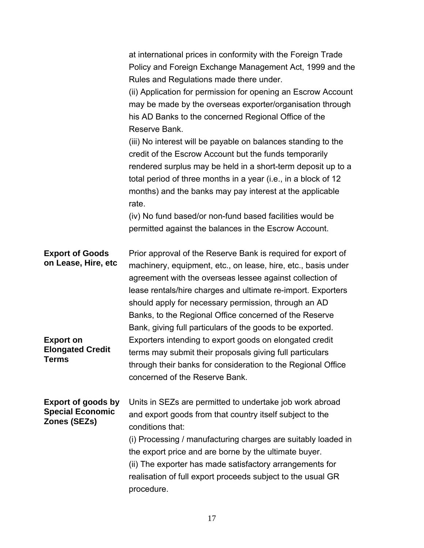| at international prices in conformity with the Foreign Trade<br>Policy and Foreign Exchange Management Act, 1999 and the<br>Rules and Regulations made there under.<br>(ii) Application for permission for opening an Escrow Account<br>may be made by the overseas exporter/organisation through<br>his AD Banks to the concerned Regional Office of the<br>Reserve Bank.<br>(iii) No interest will be payable on balances standing to the<br>credit of the Escrow Account but the funds temporarily<br>rendered surplus may be held in a short-term deposit up to a<br>total period of three months in a year (i.e., in a block of 12<br>months) and the banks may pay interest at the applicable<br>rate. |
|--------------------------------------------------------------------------------------------------------------------------------------------------------------------------------------------------------------------------------------------------------------------------------------------------------------------------------------------------------------------------------------------------------------------------------------------------------------------------------------------------------------------------------------------------------------------------------------------------------------------------------------------------------------------------------------------------------------|
| (iv) No fund based/or non-fund based facilities would be<br>permitted against the balances in the Escrow Account.                                                                                                                                                                                                                                                                                                                                                                                                                                                                                                                                                                                            |
| Prior approval of the Reserve Bank is required for export of<br>machinery, equipment, etc., on lease, hire, etc., basis under<br>agreement with the overseas lessee against collection of<br>lease rentals/hire charges and ultimate re-import. Exporters<br>should apply for necessary permission, through an AD<br>Banks, to the Regional Office concerned of the Reserve<br>Bank, giving full particulars of the goods to be exported.                                                                                                                                                                                                                                                                    |
| Exporters intending to export goods on elongated credit<br>terms may submit their proposals giving full particulars<br>through their banks for consideration to the Regional Office<br>concerned of the Reserve Bank.                                                                                                                                                                                                                                                                                                                                                                                                                                                                                        |
| Units in SEZs are permitted to undertake job work abroad<br>and export goods from that country itself subject to the<br>conditions that:<br>(i) Processing / manufacturing charges are suitably loaded in<br>the export price and are borne by the ultimate buyer.<br>(ii) The exporter has made satisfactory arrangements for<br>realisation of full export proceeds subject to the usual GR<br>procedure.                                                                                                                                                                                                                                                                                                  |
|                                                                                                                                                                                                                                                                                                                                                                                                                                                                                                                                                                                                                                                                                                              |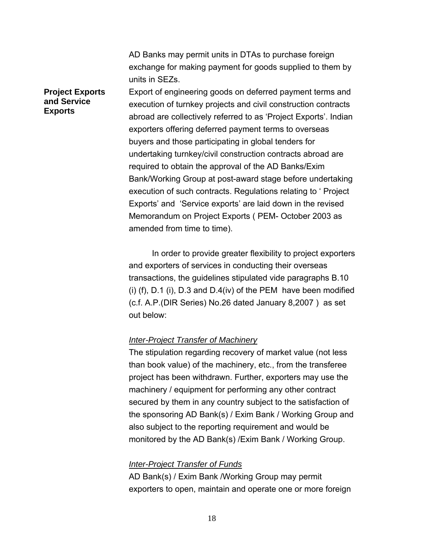AD Banks may permit units in DTAs to purchase foreign exchange for making payment for goods supplied to them by units in SEZs.

#### **Project Exports and Service Exports**

Export of engineering goods on deferred payment terms and execution of turnkey projects and civil construction contracts abroad are collectively referred to as 'Project Exports'. Indian exporters offering deferred payment terms to overseas buyers and those participating in global tenders for undertaking turnkey/civil construction contracts abroad are required to obtain the approval of the AD Banks/Exim Bank/Working Group at post-award stage before undertaking execution of such contracts. Regulations relating to ' Project Exports' and 'Service exports' are laid down in the revised Memorandum on Project Exports ( PEM- October 2003 as amended from time to time).

 In order to provide greater flexibility to project exporters and exporters of services in conducting their overseas transactions, the guidelines stipulated vide paragraphs B.10 (i) (f), D.1 (i), D.3 and D.4(iv) of the PEM have been modified (c.f. A.P.(DIR Series) No.26 dated January 8,2007 ) as set out below:

#### *Inter-Project Transfer of Machinery*

The stipulation regarding recovery of market value (not less than book value) of the machinery, etc., from the transferee project has been withdrawn. Further, exporters may use the machinery / equipment for performing any other contract secured by them in any country subject to the satisfaction of the sponsoring AD Bank(s) / Exim Bank / Working Group and also subject to the reporting requirement and would be monitored by the AD Bank(s) /Exim Bank / Working Group.

#### *Inter-Project Transfer of Funds*

AD Bank(s) / Exim Bank /Working Group may permit exporters to open, maintain and operate one or more foreign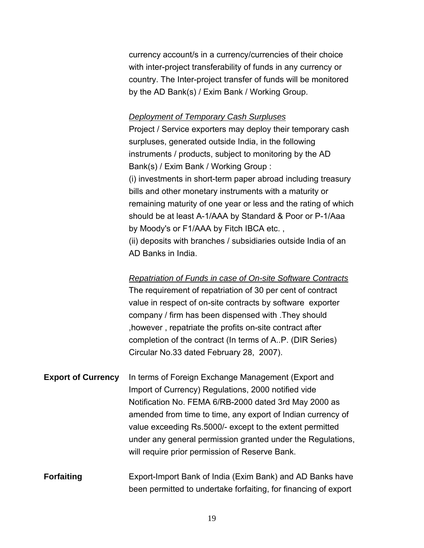currency account/s in a currency/currencies of their choice with inter-project transferability of funds in any currency or country. The Inter-project transfer of funds will be monitored by the AD Bank(s) / Exim Bank / Working Group.

#### *Deployment of Temporary Cash Surpluses*

Project / Service exporters may deploy their temporary cash surpluses, generated outside India, in the following instruments / products, subject to monitoring by the AD Bank(s) / Exim Bank / Working Group : (i) investments in short-term paper abroad including treasury bills and other monetary instruments with a maturity or remaining maturity of one year or less and the rating of which should be at least A-1/AAA by Standard & Poor or P-1/Aaa by Moody's or F1/AAA by Fitch IBCA etc. , (ii) deposits with branches / subsidiaries outside India of an AD Banks in India.

*Repatriation of Funds in case of On-site Software Contracts* The requirement of repatriation of 30 per cent of contract value in respect of on-site contracts by software exporter company / firm has been dispensed with .They should ,however , repatriate the profits on-site contract after completion of the contract (In terms of A..P. (DIR Series) Circular No.33 dated February 28, 2007).

**Export of Currency** In terms of Foreign Exchange Management (Export and Import of Currency) Regulations, 2000 notified vide Notification No. FEMA 6/RB-2000 dated 3rd May 2000 as amended from time to time, any export of Indian currency of value exceeding Rs.5000/- except to the extent permitted under any general permission granted under the Regulations, will require prior permission of Reserve Bank.

**Forfaiting Export-Import Bank of India (Exim Bank) and AD Banks have** been permitted to undertake forfaiting, for financing of export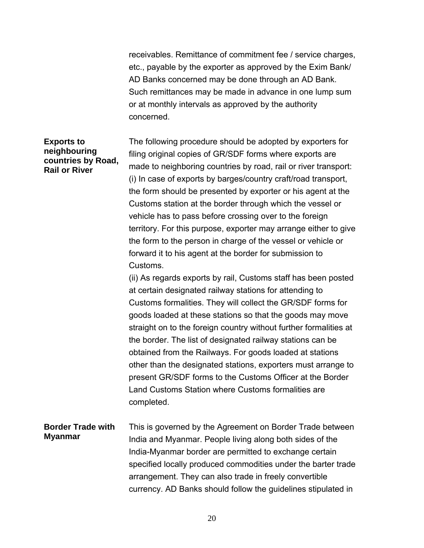receivables. Remittance of commitment fee / service charges, etc., payable by the exporter as approved by the Exim Bank/ AD Banks concerned may be done through an AD Bank. Such remittances may be made in advance in one lump sum or at monthly intervals as approved by the authority concerned.

#### **Exports to neighbouring countries by Road, Rail or River**

The following procedure should be adopted by exporters for filing original copies of GR/SDF forms where exports are made to neighboring countries by road, rail or river transport: (i) In case of exports by barges/country craft/road transport, the form should be presented by exporter or his agent at the Customs station at the border through which the vessel or vehicle has to pass before crossing over to the foreign territory. For this purpose, exporter may arrange either to give the form to the person in charge of the vessel or vehicle or forward it to his agent at the border for submission to Customs.

(ii) As regards exports by rail, Customs staff has been posted at certain designated railway stations for attending to Customs formalities. They will collect the GR/SDF forms for goods loaded at these stations so that the goods may move straight on to the foreign country without further formalities at the border. The list of designated railway stations can be obtained from the Railways. For goods loaded at stations other than the designated stations, exporters must arrange to present GR/SDF forms to the Customs Officer at the Border Land Customs Station where Customs formalities are completed.

#### **Border Trade with Myanmar**  This is governed by the Agreement on Border Trade between India and Myanmar. People living along both sides of the India-Myanmar border are permitted to exchange certain specified locally produced commodities under the barter trade arrangement. They can also trade in freely convertible currency. AD Banks should follow the guidelines stipulated in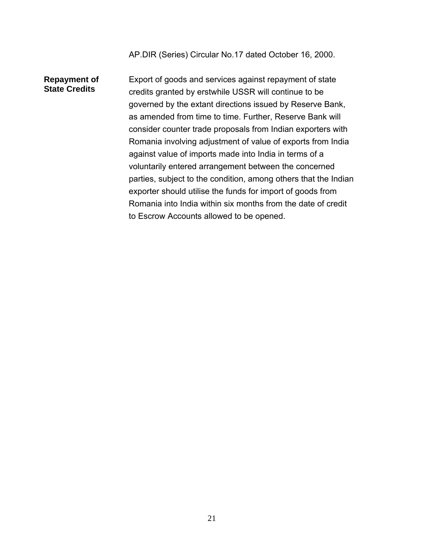AP.DIR (Series) Circular No.17 dated October 16, 2000.

#### **Repayment of State Credits**

Export of goods and services against repayment of state credits granted by erstwhile USSR will continue to be governed by the extant directions issued by Reserve Bank, as amended from time to time. Further, Reserve Bank will consider counter trade proposals from Indian exporters with Romania involving adjustment of value of exports from India against value of imports made into India in terms of a voluntarily entered arrangement between the concerned parties, subject to the condition, among others that the Indian exporter should utilise the funds for import of goods from Romania into India within six months from the date of credit to Escrow Accounts allowed to be opened.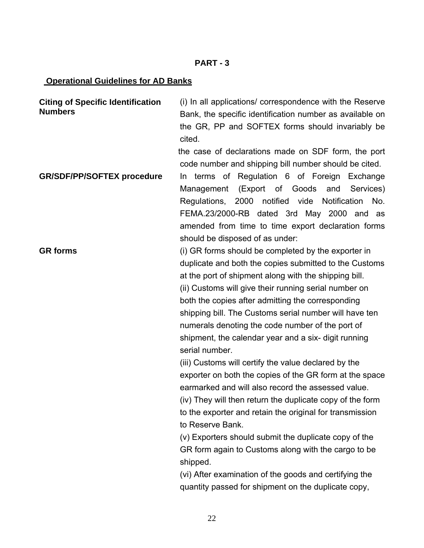#### **PART - 3**

#### **Operational Guidelines for AD Banks**

**Citing of Specific Identification Numbers**  (i) In all applications/ correspondence with the Reserve Bank, the specific identification number as available on the GR, PP and SOFTEX forms should invariably be cited.

the case of declarations made on SDF form, the port code number and shipping bill number should be cited.

**GR/SDF/PP/SOFTEX procedure** In terms of Regulation 6 of Foreign Exchange Management (Export of Goods and Services) Regulations, 2000 notified vide Notification No. FEMA.23/2000-RB dated 3rd May 2000 and as amended from time to time export declaration forms should be disposed of as under:

**GR forms** (i) GR forms should be completed by the exporter in duplicate and both the copies submitted to the Customs at the port of shipment along with the shipping bill. (ii) Customs will give their running serial number on both the copies after admitting the corresponding shipping bill. The Customs serial number will have ten numerals denoting the code number of the port of shipment, the calendar year and a six- digit running serial number.

> (iii) Customs will certify the value declared by the exporter on both the copies of the GR form at the space earmarked and will also record the assessed value. (iv) They will then return the duplicate copy of the form to the exporter and retain the original for transmission to Reserve Bank.

(v) Exporters should submit the duplicate copy of the GR form again to Customs along with the cargo to be shipped.

(vi) After examination of the goods and certifying the quantity passed for shipment on the duplicate copy,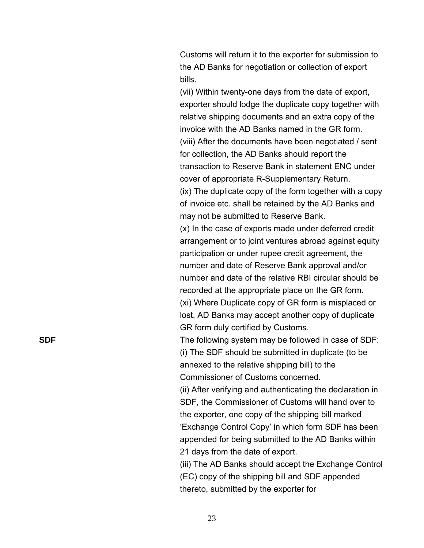Customs will return it to the exporter for submission to the AD Banks for negotiation or collection of export bills.

(vii) Within twenty-one days from the date of export, exporter should lodge the duplicate copy together with relative shipping documents and an extra copy of the invoice with the AD Banks named in the GR form. (viii) After the documents have been negotiated / sent for collection, the AD Banks should report the transaction to Reserve Bank in statement ENC under cover of appropriate R-Supplementary Return.

(ix) The duplicate copy of the form together with a copy of invoice etc. shall be retained by the AD Banks and may not be submitted to Reserve Bank.

(x) In the case of exports made under deferred credit arrangement or to joint ventures abroad against equity participation or under rupee credit agreement, the number and date of Reserve Bank approval and/or number and date of the relative RBI circular should be recorded at the appropriate place on the GR form. (xi) Where Duplicate copy of GR form is misplaced or lost, AD Banks may accept another copy of duplicate GR form duly certified by Customs.

**SDF** SDF **The following system may be followed in case of SDF:** (i) The SDF should be submitted in duplicate (to be annexed to the relative shipping bill) to the Commissioner of Customs concerned.

> (ii) After verifying and authenticating the declaration in SDF, the Commissioner of Customs will hand over to the exporter, one copy of the shipping bill marked 'Exchange Control Copy' in which form SDF has been appended for being submitted to the AD Banks within 21 days from the date of export.

(iii) The AD Banks should accept the Exchange Control (EC) copy of the shipping bill and SDF appended thereto, submitted by the exporter for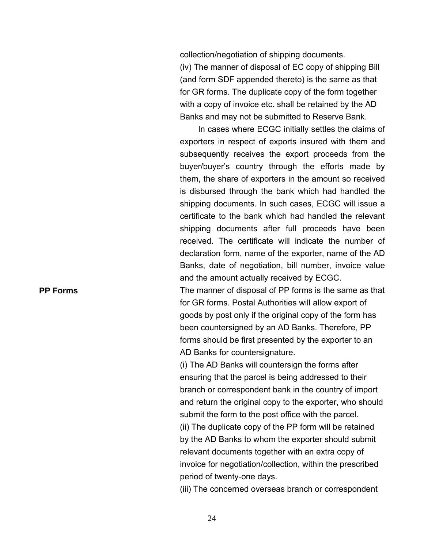collection/negotiation of shipping documents. (iv) The manner of disposal of EC copy of shipping Bill (and form SDF appended thereto) is the same as that for GR forms. The duplicate copy of the form together with a copy of invoice etc. shall be retained by the AD Banks and may not be submitted to Reserve Bank.

In cases where ECGC initially settles the claims of exporters in respect of exports insured with them and subsequently receives the export proceeds from the buyer/buyer's country through the efforts made by them, the share of exporters in the amount so received is disbursed through the bank which had handled the shipping documents. In such cases, ECGC will issue a certificate to the bank which had handled the relevant shipping documents after full proceeds have been received. The certificate will indicate the number of declaration form, name of the exporter, name of the AD Banks, date of negotiation, bill number, invoice value and the amount actually received by ECGC.

**PP Forms The manner of disposal of PP forms is the same as that** for GR forms. Postal Authorities will allow export of goods by post only if the original copy of the form has been countersigned by an AD Banks. Therefore, PP forms should be first presented by the exporter to an AD Banks for countersignature.

> (i) The AD Banks will countersign the forms after ensuring that the parcel is being addressed to their branch or correspondent bank in the country of import and return the original copy to the exporter, who should submit the form to the post office with the parcel. (ii) The duplicate copy of the PP form will be retained by the AD Banks to whom the exporter should submit relevant documents together with an extra copy of invoice for negotiation/collection, within the prescribed period of twenty-one days.

(iii) The concerned overseas branch or correspondent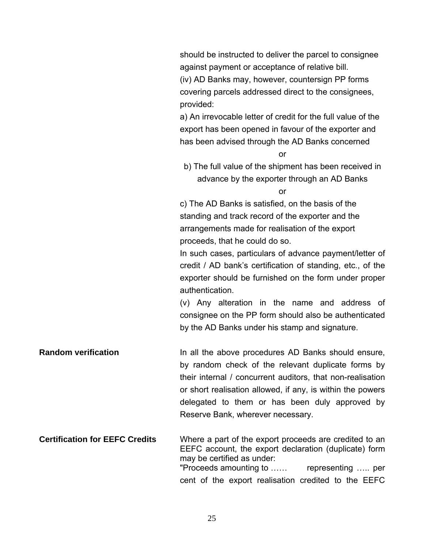should be instructed to deliver the parcel to consignee against payment or acceptance of relative bill. (iv) AD Banks may, however, countersign PP forms covering parcels addressed direct to the consignees, provided:

a) An irrevocable letter of credit for the full value of the export has been opened in favour of the exporter and has been advised through the AD Banks concerned

or

b) The full value of the shipment has been received in advance by the exporter through an AD Banks

or

c) The AD Banks is satisfied, on the basis of the standing and track record of the exporter and the arrangements made for realisation of the export proceeds, that he could do so.

In such cases, particulars of advance payment/letter of credit / AD bank's certification of standing, etc., of the exporter should be furnished on the form under proper authentication.

(v) Any alteration in the name and address of consignee on the PP form should also be authenticated by the AD Banks under his stamp and signature.

**Random verification In all the above procedures AD Banks should ensure,** by random check of the relevant duplicate forms by their internal / concurrent auditors, that non-realisation or short realisation allowed, if any, is within the powers delegated to them or has been duly approved by Reserve Bank, wherever necessary.

**Certification for EEFC Credits** Where a part of the export proceeds are credited to an EEFC account, the export declaration (duplicate) form may be certified as under: "Proceeds amounting to …… representing ….. per cent of the export realisation credited to the EEFC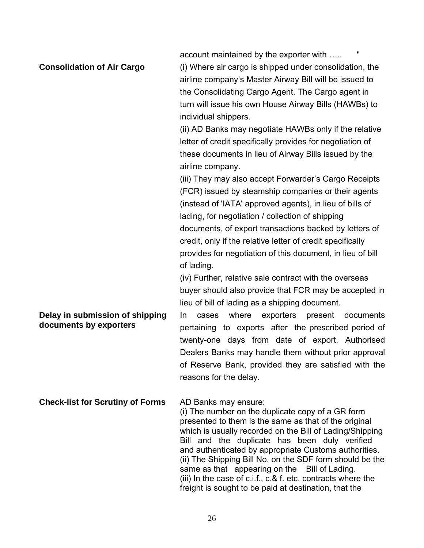account maintained by the exporter with ..... **Consolidation of Air Cargo** (i) Where air cargo is shipped under consolidation, the airline company's Master Airway Bill will be issued to the Consolidating Cargo Agent. The Cargo agent in turn will issue his own House Airway Bills (HAWBs) to individual shippers.

> (ii) AD Banks may negotiate HAWBs only if the relative letter of credit specifically provides for negotiation of these documents in lieu of Airway Bills issued by the airline company.

> (iii) They may also accept Forwarder's Cargo Receipts (FCR) issued by steamship companies or their agents (instead of 'IATA' approved agents), in lieu of bills of lading, for negotiation / collection of shipping documents, of export transactions backed by letters of credit, only if the relative letter of credit specifically provides for negotiation of this document, in lieu of bill of lading.

(iv) Further, relative sale contract with the overseas buyer should also provide that FCR may be accepted in lieu of bill of lading as a shipping document.

### **Delay in submission of shipping documents by exporters**

In cases where exporters present documents pertaining to exports after the prescribed period of twenty-one days from date of export, Authorised Dealers Banks may handle them without prior approval of Reserve Bank, provided they are satisfied with the reasons for the delay.

### **Check-list for Scrutiny of Forms** AD Banks may ensure:

(i) The number on the duplicate copy of a GR form presented to them is the same as that of the original which is usually recorded on the Bill of Lading/Shipping Bill and the duplicate has been duly verified and authenticated by appropriate Customs authorities. (ii) The Shipping Bill No. on the SDF form should be the same as that appearing on the Bill of Lading. (iii) In the case of c.i.f., c.& f. etc. contracts where the freight is sought to be paid at destination, that the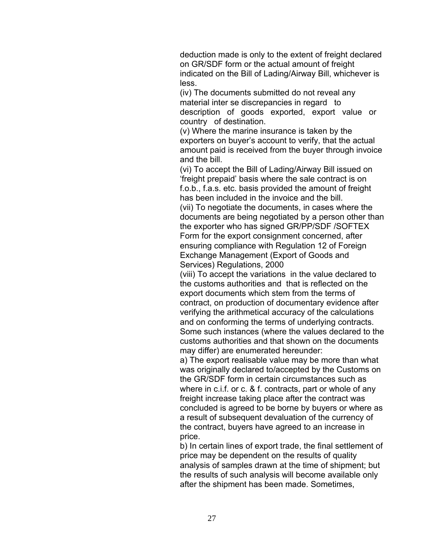deduction made is only to the extent of freight declared on GR/SDF form or the actual amount of freight indicated on the Bill of Lading/Airway Bill, whichever is less.

(iv) The documents submitted do not reveal any material inter se discrepancies in regard to description of goods exported, export value or country of destination.

(v) Where the marine insurance is taken by the exporters on buyer's account to verify, that the actual amount paid is received from the buyer through invoice and the bill.

(vi) To accept the Bill of Lading/Airway Bill issued on 'freight prepaid' basis where the sale contract is on f.o.b., f.a.s. etc. basis provided the amount of freight has been included in the invoice and the bill.

(vii) To negotiate the documents, in cases where the documents are being negotiated by a person other than the exporter who has signed GR/PP/SDF /SOFTEX Form for the export consignment concerned, after ensuring compliance with Regulation 12 of Foreign Exchange Management (Export of Goods and Services) Regulations, 2000

(viii) To accept the variations in the value declared to the customs authorities and that is reflected on the export documents which stem from the terms of contract, on production of documentary evidence after verifying the arithmetical accuracy of the calculations and on conforming the terms of underlying contracts. Some such instances (where the values declared to the customs authorities and that shown on the documents may differ) are enumerated hereunder:

a) The export realisable value may be more than what was originally declared to/accepted by the Customs on the GR/SDF form in certain circumstances such as where in c.i.f. or c. & f. contracts, part or whole of any freight increase taking place after the contract was concluded is agreed to be borne by buyers or where as a result of subsequent devaluation of the currency of the contract, buyers have agreed to an increase in price.

b) In certain lines of export trade, the final settlement of price may be dependent on the results of quality analysis of samples drawn at the time of shipment; but the results of such analysis will become available only after the shipment has been made. Sometimes,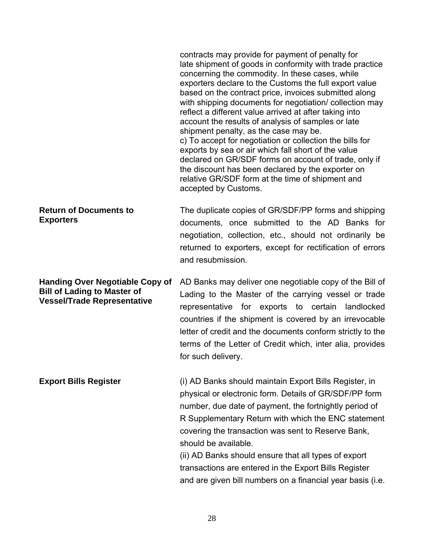|                                                                                                                    | contracts may provide for payment of penalty for<br>late shipment of goods in conformity with trade practice<br>concerning the commodity. In these cases, while<br>exporters declare to the Customs the full export value<br>based on the contract price, invoices submitted along<br>with shipping documents for negotiation/ collection may<br>reflect a different value arrived at after taking into<br>account the results of analysis of samples or late<br>shipment penalty, as the case may be.<br>c) To accept for negotiation or collection the bills for<br>exports by sea or air which fall short of the value<br>declared on GR/SDF forms on account of trade, only if<br>the discount has been declared by the exporter on<br>relative GR/SDF form at the time of shipment and<br>accepted by Customs. |
|--------------------------------------------------------------------------------------------------------------------|---------------------------------------------------------------------------------------------------------------------------------------------------------------------------------------------------------------------------------------------------------------------------------------------------------------------------------------------------------------------------------------------------------------------------------------------------------------------------------------------------------------------------------------------------------------------------------------------------------------------------------------------------------------------------------------------------------------------------------------------------------------------------------------------------------------------|
| <b>Return of Documents to</b><br><b>Exporters</b>                                                                  | The duplicate copies of GR/SDF/PP forms and shipping<br>documents, once submitted to the AD Banks for<br>negotiation, collection, etc., should not ordinarily be<br>returned to exporters, except for rectification of errors<br>and resubmission.                                                                                                                                                                                                                                                                                                                                                                                                                                                                                                                                                                  |
| <b>Handing Over Negotiable Copy of</b><br><b>Bill of Lading to Master of</b><br><b>Vessel/Trade Representative</b> | AD Banks may deliver one negotiable copy of the Bill of<br>Lading to the Master of the carrying vessel or trade<br>representative for exports to certain<br>landlocked<br>countries if the shipment is covered by an irrevocable<br>letter of credit and the documents conform strictly to the<br>terms of the Letter of Credit which, inter alia, provides<br>for such delivery.                                                                                                                                                                                                                                                                                                                                                                                                                                   |
| <b>Export Bills Register</b>                                                                                       | (i) AD Banks should maintain Export Bills Register, in<br>physical or electronic form. Details of GR/SDF/PP form<br>number, due date of payment, the fortnightly period of<br>R Supplementary Return with which the ENC statement<br>covering the transaction was sent to Reserve Bank,<br>should be available.<br>(ii) AD Banks should ensure that all types of export<br>transactions are entered in the Export Bills Register<br>and are given bill numbers on a financial year basis (i.e.                                                                                                                                                                                                                                                                                                                      |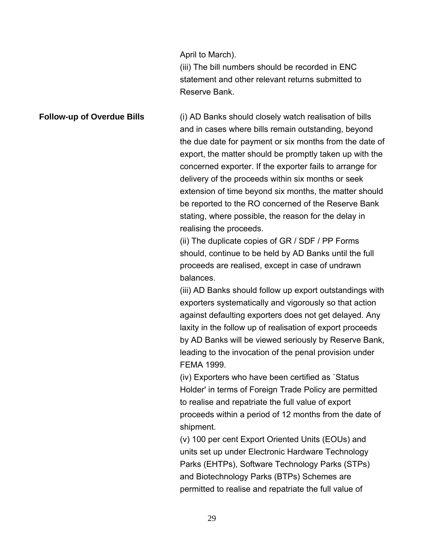April to March).

(iii) The bill numbers should be recorded in ENC statement and other relevant returns submitted to Reserve Bank.

**Follow-up of Overdue Bills** (i) AD Banks should closely watch realisation of bills and in cases where bills remain outstanding, beyond the due date for payment or six months from the date of export, the matter should be promptly taken up with the concerned exporter. If the exporter fails to arrange for delivery of the proceeds within six months or seek extension of time beyond six months, the matter should be reported to the RO concerned of the Reserve Bank stating, where possible, the reason for the delay in realising the proceeds.

> (ii) The duplicate copies of GR / SDF / PP Forms should, continue to be held by AD Banks until the full proceeds are realised, except in case of undrawn balances.

(iii) AD Banks should follow up export outstandings with exporters systematically and vigorously so that action against defaulting exporters does not get delayed. Any laxity in the follow up of realisation of export proceeds by AD Banks will be viewed seriously by Reserve Bank, leading to the invocation of the penal provision under FEMA 1999.

(iv) Exporters who have been certified as `Status Holder' in terms of Foreign Trade Policy are permitted to realise and repatriate the full value of export proceeds within a period of 12 months from the date of shipment.

(v) 100 per cent Export Oriented Units (EOUs) and units set up under Electronic Hardware Technology Parks (EHTPs), Software Technology Parks (STPs) and Biotechnology Parks (BTPs) Schemes are permitted to realise and repatriate the full value of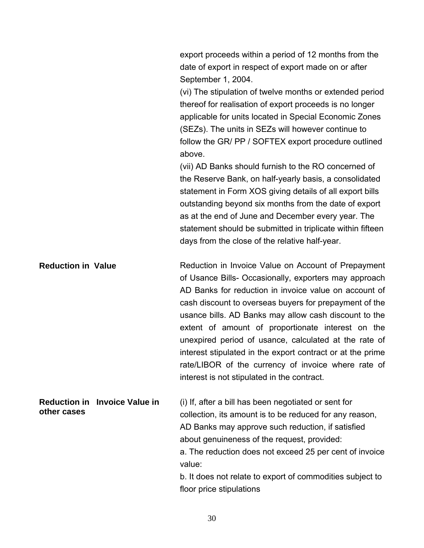export proceeds within a period of 12 months from the date of export in respect of export made on or after September 1, 2004.

(vi) The stipulation of twelve months or extended period thereof for realisation of export proceeds is no longer applicable for units located in Special Economic Zones (SEZs). The units in SEZs will however continue to follow the GR/ PP / SOFTEX export procedure outlined above.

(vii) AD Banks should furnish to the RO concerned of the Reserve Bank, on half-yearly basis, a consolidated statement in Form XOS giving details of all export bills outstanding beyond six months from the date of export as at the end of June and December every year. The statement should be submitted in triplicate within fifteen days from the close of the relative half-year.

**Reduction in Value Reduction in Invoice Value on Account of Prepayment** of Usance Bills- Occasionally, exporters may approach AD Banks for reduction in invoice value on account of cash discount to overseas buyers for prepayment of the usance bills. AD Banks may allow cash discount to the extent of amount of proportionate interest on the unexpired period of usance, calculated at the rate of interest stipulated in the export contract or at the prime rate/LIBOR of the currency of invoice where rate of interest is not stipulated in the contract.

**Reduction in Invoice Value in other cases**  (i) If, after a bill has been negotiated or sent for collection, its amount is to be reduced for any reason, AD Banks may approve such reduction, if satisfied about genuineness of the request, provided: a. The reduction does not exceed 25 per cent of invoice value:

b. It does not relate to export of commodities subject to floor price stipulations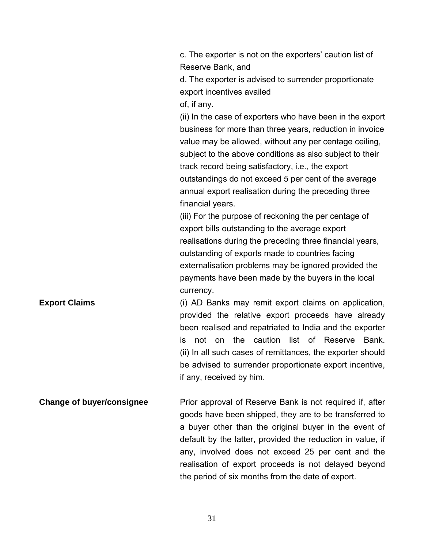c. The exporter is not on the exporters' caution list of Reserve Bank, and

d. The exporter is advised to surrender proportionate export incentives availed

of, if any.

(ii) In the case of exporters who have been in the export business for more than three years, reduction in invoice value may be allowed, without any per centage ceiling, subject to the above conditions as also subject to their track record being satisfactory, i.e., the export outstandings do not exceed 5 per cent of the average annual export realisation during the preceding three financial years.

(iii) For the purpose of reckoning the per centage of export bills outstanding to the average export realisations during the preceding three financial years, outstanding of exports made to countries facing externalisation problems may be ignored provided the payments have been made by the buyers in the local currency.

**Export Claims** (i) AD Banks may remit export claims on application, provided the relative export proceeds have already been realised and repatriated to India and the exporter is not on the caution list of Reserve Bank. (ii) In all such cases of remittances, the exporter should be advised to surrender proportionate export incentive, if any, received by him.

**Change of buyer/consignee** Prior approval of Reserve Bank is not required if, after goods have been shipped, they are to be transferred to a buyer other than the original buyer in the event of default by the latter, provided the reduction in value, if any, involved does not exceed 25 per cent and the realisation of export proceeds is not delayed beyond the period of six months from the date of export.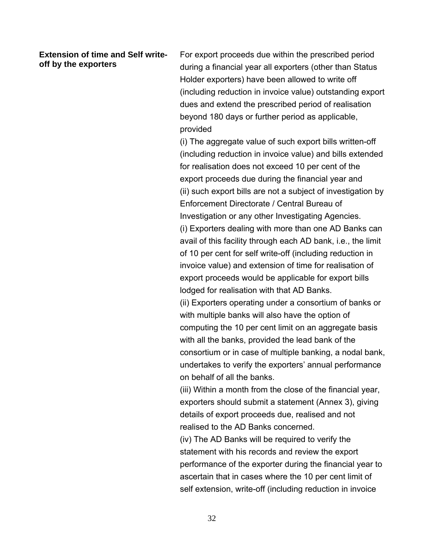#### **Extension of time and Self writeoff by the exporters**

For export proceeds due within the prescribed period during a financial year all exporters (other than Status Holder exporters) have been allowed to write off (including reduction in invoice value) outstanding export dues and extend the prescribed period of realisation beyond 180 days or further period as applicable, provided

(i) The aggregate value of such export bills written-off (including reduction in invoice value) and bills extended for realisation does not exceed 10 per cent of the export proceeds due during the financial year and (ii) such export bills are not a subject of investigation by Enforcement Directorate / Central Bureau of Investigation or any other Investigating Agencies. (i) Exporters dealing with more than one AD Banks can avail of this facility through each AD bank, i.e., the limit of 10 per cent for self write-off (including reduction in invoice value) and extension of time for realisation of export proceeds would be applicable for export bills

lodged for realisation with that AD Banks.

(ii) Exporters operating under a consortium of banks or with multiple banks will also have the option of computing the 10 per cent limit on an aggregate basis with all the banks, provided the lead bank of the consortium or in case of multiple banking, a nodal bank, undertakes to verify the exporters' annual performance on behalf of all the banks.

(iii) Within a month from the close of the financial year, exporters should submit a statement (Annex 3), giving details of export proceeds due, realised and not realised to the AD Banks concerned.

(iv) The AD Banks will be required to verify the statement with his records and review the export performance of the exporter during the financial year to ascertain that in cases where the 10 per cent limit of self extension, write-off (including reduction in invoice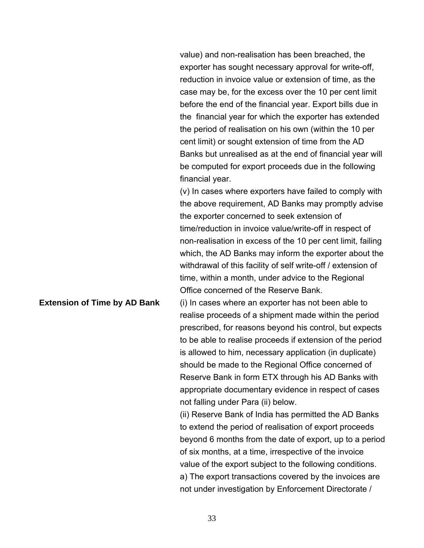value) and non-realisation has been breached, the exporter has sought necessary approval for write-off, reduction in invoice value or extension of time, as the case may be, for the excess over the 10 per cent limit before the end of the financial year. Export bills due in the financial year for which the exporter has extended the period of realisation on his own (within the 10 per cent limit) or sought extension of time from the AD Banks but unrealised as at the end of financial year will be computed for export proceeds due in the following financial year.

(v) In cases where exporters have failed to comply with the above requirement, AD Banks may promptly advise the exporter concerned to seek extension of time/reduction in invoice value/write-off in respect of non-realisation in excess of the 10 per cent limit, failing which, the AD Banks may inform the exporter about the withdrawal of this facility of self write-off / extension of time, within a month, under advice to the Regional Office concerned of the Reserve Bank.

**Extension of Time by AD Bank** (i) In cases where an exporter has not been able to realise proceeds of a shipment made within the period prescribed, for reasons beyond his control, but expects to be able to realise proceeds if extension of the period is allowed to him, necessary application (in duplicate) should be made to the Regional Office concerned of Reserve Bank in form ETX through his AD Banks with appropriate documentary evidence in respect of cases not falling under Para (ii) below.

> (ii) Reserve Bank of India has permitted the AD Banks to extend the period of realisation of export proceeds beyond 6 months from the date of export, up to a period of six months, at a time, irrespective of the invoice value of the export subject to the following conditions. a) The export transactions covered by the invoices are not under investigation by Enforcement Directorate /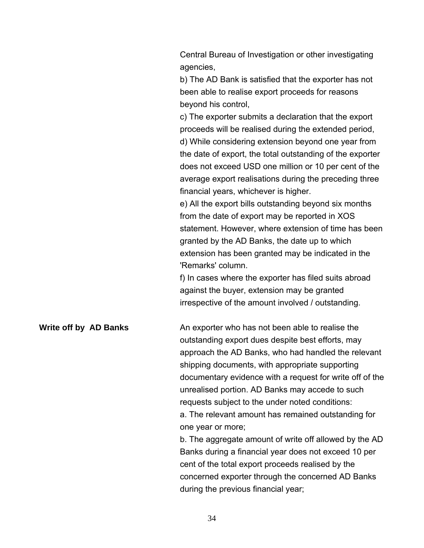Central Bureau of Investigation or other investigating agencies,

b) The AD Bank is satisfied that the exporter has not been able to realise export proceeds for reasons beyond his control,

c) The exporter submits a declaration that the export proceeds will be realised during the extended period, d) While considering extension beyond one year from the date of export, the total outstanding of the exporter does not exceed USD one million or 10 per cent of the average export realisations during the preceding three financial years, whichever is higher.

e) All the export bills outstanding beyond six months from the date of export may be reported in XOS statement. However, where extension of time has been granted by the AD Banks, the date up to which extension has been granted may be indicated in the 'Remarks' column.

f) In cases where the exporter has filed suits abroad against the buyer, extension may be granted irrespective of the amount involved / outstanding.

**Write off by AD Banks** An exporter who has not been able to realise the outstanding export dues despite best efforts, may approach the AD Banks, who had handled the relevant shipping documents, with appropriate supporting documentary evidence with a request for write off of the unrealised portion. AD Banks may accede to such requests subject to the under noted conditions: a. The relevant amount has remained outstanding for one year or more;

b. The aggregate amount of write off allowed by the AD Banks during a financial year does not exceed 10 per cent of the total export proceeds realised by the concerned exporter through the concerned AD Banks during the previous financial year;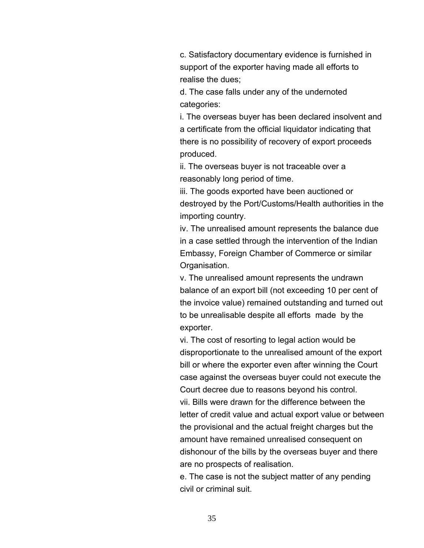c. Satisfactory documentary evidence is furnished in support of the exporter having made all efforts to realise the dues;

d. The case falls under any of the undernoted categories:

i. The overseas buyer has been declared insolvent and a certificate from the official liquidator indicating that there is no possibility of recovery of export proceeds produced.

ii. The overseas buyer is not traceable over a reasonably long period of time.

iii. The goods exported have been auctioned or destroyed by the Port/Customs/Health authorities in the importing country.

iv. The unrealised amount represents the balance due in a case settled through the intervention of the Indian Embassy, Foreign Chamber of Commerce or similar Organisation.

v. The unrealised amount represents the undrawn balance of an export bill (not exceeding 10 per cent of the invoice value) remained outstanding and turned out to be unrealisable despite all efforts made by the exporter.

vi. The cost of resorting to legal action would be disproportionate to the unrealised amount of the export bill or where the exporter even after winning the Court case against the overseas buyer could not execute the Court decree due to reasons beyond his control. vii. Bills were drawn for the difference between the letter of credit value and actual export value or between the provisional and the actual freight charges but the amount have remained unrealised consequent on dishonour of the bills by the overseas buyer and there are no prospects of realisation.

e. The case is not the subject matter of any pending civil or criminal suit.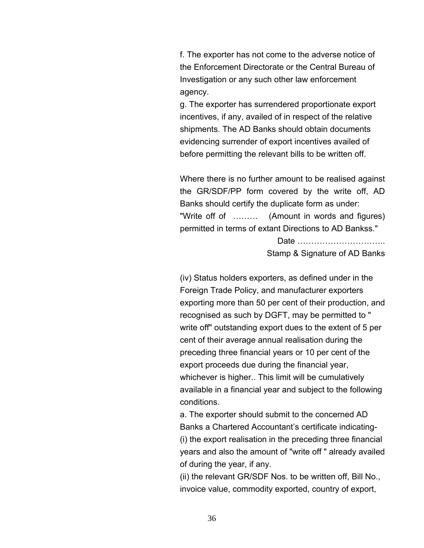f. The exporter has not come to the adverse notice of the Enforcement Directorate or the Central Bureau of Investigation or any such other law enforcement agency.

g. The exporter has surrendered proportionate export incentives, if any, availed of in respect of the relative shipments. The AD Banks should obtain documents evidencing surrender of export incentives availed of before permitting the relevant bills to be written off.

Where there is no further amount to be realised against the GR/SDF/PP form covered by the write off, AD Banks should certify the duplicate form as under: "Write off of ……… (Amount in words and figures) permitted in terms of extant Directions to AD Bankss."

> Date ………………………….. Stamp & Signature of AD Banks

(iv) Status holders exporters, as defined under in the Foreign Trade Policy, and manufacturer exporters exporting more than 50 per cent of their production, and recognised as such by DGFT, may be permitted to " write off" outstanding export dues to the extent of 5 per cent of their average annual realisation during the preceding three financial years or 10 per cent of the export proceeds due during the financial year, whichever is higher.. This limit will be cumulatively available in a financial year and subject to the following conditions.

a. The exporter should submit to the concerned AD Banks a Chartered Accountant's certificate indicating- (i) the export realisation in the preceding three financial years and also the amount of "write off " already availed of during the year, if any.

(ii) the relevant GR/SDF Nos. to be written off, Bill No., invoice value, commodity exported, country of export,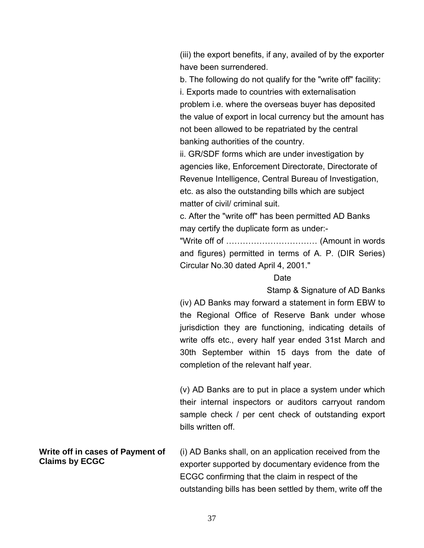(iii) the export benefits, if any, availed of by the exporter have been surrendered.

b. The following do not qualify for the "write off" facility: i. Exports made to countries with externalisation problem i.e. where the overseas buyer has deposited the value of export in local currency but the amount has not been allowed to be repatriated by the central banking authorities of the country.

ii. GR/SDF forms which are under investigation by agencies like, Enforcement Directorate, Directorate of Revenue Intelligence, Central Bureau of Investigation, etc. as also the outstanding bills which are subject matter of civil/ criminal suit.

c. After the "write off" has been permitted AD Banks may certify the duplicate form as under:-

"Write off of …………………………… (Amount in words and figures) permitted in terms of A. P. (DIR Series) Circular No.30 dated April 4, 2001."

# **Date**

Stamp & Signature of AD Banks

(iv) AD Banks may forward a statement in form EBW to the Regional Office of Reserve Bank under whose jurisdiction they are functioning, indicating details of write offs etc., every half year ended 31st March and 30th September within 15 days from the date of completion of the relevant half year.

(v) AD Banks are to put in place a system under which their internal inspectors or auditors carryout random sample check / per cent check of outstanding export bills written off.

**Write off in cases of Payment of Claims by ECGC**  (i) AD Banks shall, on an application received from the exporter supported by documentary evidence from the ECGC confirming that the claim in respect of the outstanding bills has been settled by them, write off the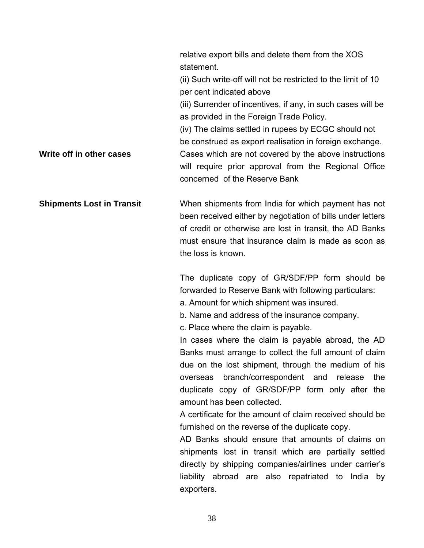relative export bills and delete them from the XOS statement.

(ii) Such write-off will not be restricted to the limit of 10 per cent indicated above

(iii) Surrender of incentives, if any, in such cases will be as provided in the Foreign Trade Policy.

(iv) The claims settled in rupees by ECGC should not

be construed as export realisation in foreign exchange.

**Write off in other cases Cases which are not covered by the above instructions** will require prior approval from the Regional Office concerned of the Reserve Bank

**Shipments Lost in Transit When shipments from India for which payment has not** been received either by negotiation of bills under letters of credit or otherwise are lost in transit, the AD Banks must ensure that insurance claim is made as soon as the loss is known.

> The duplicate copy of GR/SDF/PP form should be forwarded to Reserve Bank with following particulars:

a. Amount for which shipment was insured.

b. Name and address of the insurance company.

c. Place where the claim is payable.

In cases where the claim is payable abroad, the AD Banks must arrange to collect the full amount of claim due on the lost shipment, through the medium of his overseas branch/correspondent and release the duplicate copy of GR/SDF/PP form only after the amount has been collected.

A certificate for the amount of claim received should be furnished on the reverse of the duplicate copy.

AD Banks should ensure that amounts of claims on shipments lost in transit which are partially settled directly by shipping companies/airlines under carrier's liability abroad are also repatriated to India by exporters.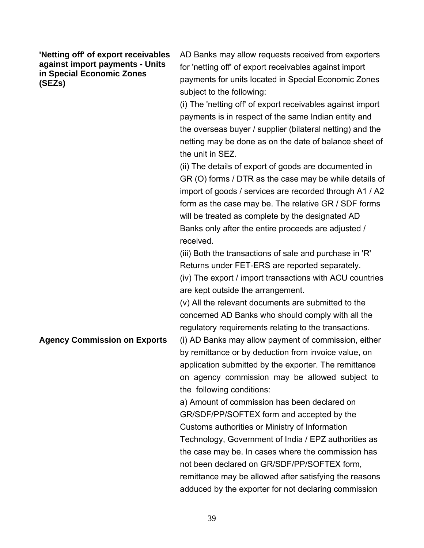**'Netting off' of export receivables against import payments - Units in Special Economic Zones (SEZs)** 

AD Banks may allow requests received from exporters for 'netting off' of export receivables against import payments for units located in Special Economic Zones subject to the following:

(i) The 'netting off' of export receivables against import payments is in respect of the same Indian entity and the overseas buyer / supplier (bilateral netting) and the netting may be done as on the date of balance sheet of the unit in SEZ.

(ii) The details of export of goods are documented in GR (O) forms / DTR as the case may be while details of import of goods / services are recorded through A1 / A2 form as the case may be. The relative GR / SDF forms will be treated as complete by the designated AD Banks only after the entire proceeds are adjusted / received.

(iii) Both the transactions of sale and purchase in 'R' Returns under FET-ERS are reported separately. (iv) The export / import transactions with ACU countries are kept outside the arrangement.

(v) All the relevant documents are submitted to the concerned AD Banks who should comply with all the regulatory requirements relating to the transactions.

**Agency Commission on Exports** (i) AD Banks may allow payment of commission, either by remittance or by deduction from invoice value, on application submitted by the exporter. The remittance on agency commission may be allowed subject to the following conditions:

> a) Amount of commission has been declared on GR/SDF/PP/SOFTEX form and accepted by the Customs authorities or Ministry of Information Technology, Government of India / EPZ authorities as the case may be. In cases where the commission has not been declared on GR/SDF/PP/SOFTEX form, remittance may be allowed after satisfying the reasons adduced by the exporter for not declaring commission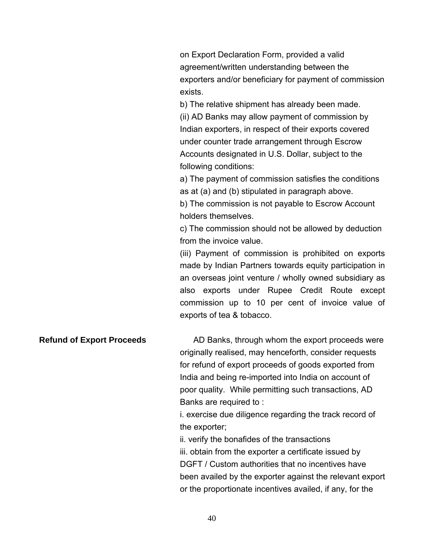on Export Declaration Form, provided a valid agreement/written understanding between the exporters and/or beneficiary for payment of commission exists.

b) The relative shipment has already been made. (ii) AD Banks may allow payment of commission by Indian exporters, in respect of their exports covered under counter trade arrangement through Escrow Accounts designated in U.S. Dollar, subject to the following conditions:

a) The payment of commission satisfies the conditions as at (a) and (b) stipulated in paragraph above.

b) The commission is not payable to Escrow Account holders themselves.

c) The commission should not be allowed by deduction from the invoice value.

(iii) Payment of commission is prohibited on exports made by Indian Partners towards equity participation in an overseas joint venture / wholly owned subsidiary as also exports under Rupee Credit Route except commission up to 10 per cent of invoice value of exports of tea & tobacco.

**Refund of Export Proceeds** AD Banks, through whom the export proceeds were originally realised, may henceforth, consider requests for refund of export proceeds of goods exported from India and being re-imported into India on account of poor quality. While permitting such transactions, AD Banks are required to :

> i. exercise due diligence regarding the track record of the exporter;

ii. verify the bonafides of the transactions iii. obtain from the exporter a certificate issued by DGFT / Custom authorities that no incentives have been availed by the exporter against the relevant export or the proportionate incentives availed, if any, for the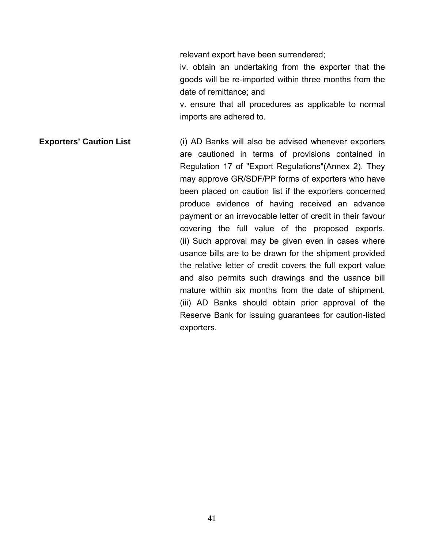relevant export have been surrendered;

iv. obtain an undertaking from the exporter that the goods will be re-imported within three months from the date of remittance; and

v. ensure that all procedures as applicable to normal imports are adhered to.

**Exporters' Caution List** (i) AD Banks will also be advised whenever exporters are cautioned in terms of provisions contained in Regulation 17 of "Export Regulations"(Annex 2). They may approve GR/SDF/PP forms of exporters who have been placed on caution list if the exporters concerned produce evidence of having received an advance payment or an irrevocable letter of credit in their favour covering the full value of the proposed exports. (ii) Such approval may be given even in cases where usance bills are to be drawn for the shipment provided the relative letter of credit covers the full export value and also permits such drawings and the usance bill mature within six months from the date of shipment. (iii) AD Banks should obtain prior approval of the Reserve Bank for issuing guarantees for caution-listed exporters.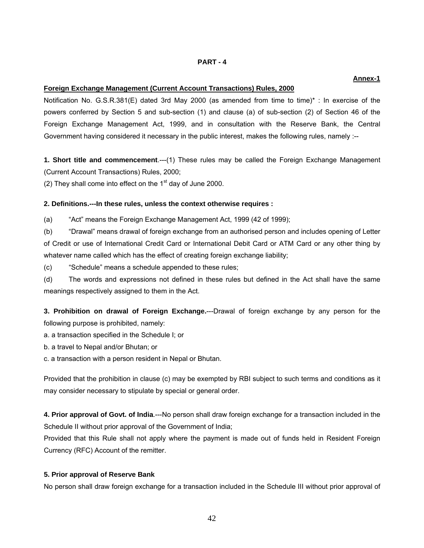## **PART - 4**

# **Foreign Exchange Management (Current Account Transactions) Rules, 2000**

Notification No. G.S.R.381(E) dated 3rd May 2000 (as amended from time to time)\* : In exercise of the powers conferred by Section 5 and sub-section (1) and clause (a) of sub-section (2) of Section 46 of the Foreign Exchange Management Act, 1999, and in consultation with the Reserve Bank, the Central Government having considered it necessary in the public interest, makes the following rules, namely :--

**1. Short title and commencement**.---(1) These rules may be called the Foreign Exchange Management (Current Account Transactions) Rules, 2000;

(2) They shall come into effect on the  $1<sup>st</sup>$  day of June 2000.

# **2. Definitions.---In these rules, unless the context otherwise requires :**

(a) "Act" means the Foreign Exchange Management Act, 1999 (42 of 1999);

(b) "Drawal" means drawal of foreign exchange from an authorised person and includes opening of Letter of Credit or use of International Credit Card or International Debit Card or ATM Card or any other thing by whatever name called which has the effect of creating foreign exchange liability;

(c) "Schedule" means a schedule appended to these rules;

(d) The words and expressions not defined in these rules but defined in the Act shall have the same meanings respectively assigned to them in the Act.

**3. Prohibition on drawal of Foreign Exchange.**---Drawal of foreign exchange by any person for the following purpose is prohibited, namely:

a. a transaction specified in the Schedule I; or

b. a travel to Nepal and/or Bhutan; or

c. a transaction with a person resident in Nepal or Bhutan.

Provided that the prohibition in clause (c) may be exempted by RBI subject to such terms and conditions as it may consider necessary to stipulate by special or general order.

**4. Prior approval of Govt. of India**.---No person shall draw foreign exchange for a transaction included in the Schedule II without prior approval of the Government of India;

Provided that this Rule shall not apply where the payment is made out of funds held in Resident Foreign Currency (RFC) Account of the remitter.

# **5. Prior approval of Reserve Bank**

No person shall draw foreign exchange for a transaction included in the Schedule III without prior approval of

# **Annex-1**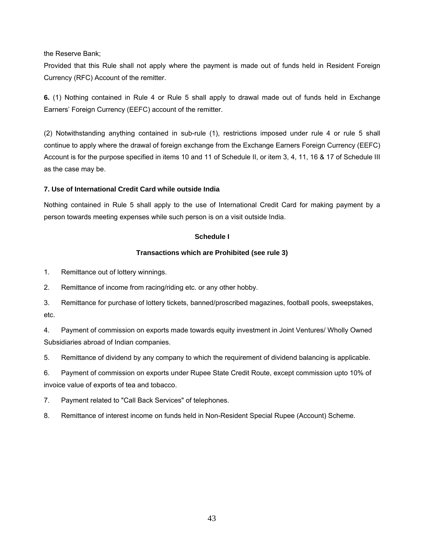the Reserve Bank;

Provided that this Rule shall not apply where the payment is made out of funds held in Resident Foreign Currency (RFC) Account of the remitter.

**6.** (1) Nothing contained in Rule 4 or Rule 5 shall apply to drawal made out of funds held in Exchange Earners' Foreign Currency (EEFC) account of the remitter.

(2) Notwithstanding anything contained in sub-rule (1), restrictions imposed under rule 4 or rule 5 shall continue to apply where the drawal of foreign exchange from the Exchange Earners Foreign Currency (EEFC) Account is for the purpose specified in items 10 and 11 of Schedule II, or item 3, 4, 11, 16 & 17 of Schedule III as the case may be.

# **7. Use of International Credit Card while outside India**

Nothing contained in Rule 5 shall apply to the use of International Credit Card for making payment by a person towards meeting expenses while such person is on a visit outside India.

# **Schedule I**

# **Transactions which are Prohibited (see rule 3)**

1. Remittance out of lottery winnings.

2. Remittance of income from racing/riding etc. or any other hobby.

3. Remittance for purchase of lottery tickets, banned/proscribed magazines, football pools, sweepstakes, etc.

4. Payment of commission on exports made towards equity investment in Joint Ventures/ Wholly Owned Subsidiaries abroad of Indian companies.

5. Remittance of dividend by any company to which the requirement of dividend balancing is applicable.

6. Payment of commission on exports under Rupee State Credit Route, except commission upto 10% of invoice value of exports of tea and tobacco.

7. Payment related to "Call Back Services" of telephones.

8. Remittance of interest income on funds held in Non-Resident Special Rupee (Account) Scheme.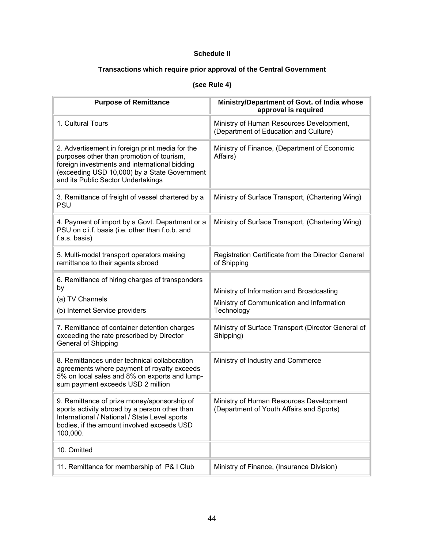# **Schedule II**

# **Transactions which require prior approval of the Central Government**

# **(see Rule 4)**

| <b>Purpose of Remittance</b>                                                                                                                                                                                                        | Ministry/Department of Govt. of India whose<br>approval is required                                 |
|-------------------------------------------------------------------------------------------------------------------------------------------------------------------------------------------------------------------------------------|-----------------------------------------------------------------------------------------------------|
| 1. Cultural Tours                                                                                                                                                                                                                   | Ministry of Human Resources Development,<br>(Department of Education and Culture)                   |
| 2. Advertisement in foreign print media for the<br>purposes other than promotion of tourism,<br>foreign investments and international bidding<br>(exceeding USD 10,000) by a State Government<br>and its Public Sector Undertakings | Ministry of Finance, (Department of Economic<br>Affairs)                                            |
| 3. Remittance of freight of vessel chartered by a<br><b>PSU</b>                                                                                                                                                                     | Ministry of Surface Transport, (Chartering Wing)                                                    |
| 4. Payment of import by a Govt. Department or a<br>PSU on c.i.f. basis (i.e. other than f.o.b. and<br>f.a.s. basis)                                                                                                                 | Ministry of Surface Transport, (Chartering Wing)                                                    |
| 5. Multi-modal transport operators making<br>remittance to their agents abroad                                                                                                                                                      | Registration Certificate from the Director General<br>of Shipping                                   |
| 6. Remittance of hiring charges of transponders<br>by<br>(a) TV Channels<br>(b) Internet Service providers                                                                                                                          | Ministry of Information and Broadcasting<br>Ministry of Communication and Information<br>Technology |
| 7. Remittance of container detention charges<br>exceeding the rate prescribed by Director<br>General of Shipping                                                                                                                    | Ministry of Surface Transport (Director General of<br>Shipping)                                     |
| 8. Remittances under technical collaboration<br>agreements where payment of royalty exceeds<br>5% on local sales and 8% on exports and lump-<br>sum payment exceeds USD 2 million                                                   | Ministry of Industry and Commerce                                                                   |
| 9. Remittance of prize money/sponsorship of<br>sports activity abroad by a person other than<br>International / National / State Level sports<br>bodies, if the amount involved exceeds USD<br>100,000.                             | Ministry of Human Resources Development<br>(Department of Youth Affairs and Sports)                 |
| 10. Omitted                                                                                                                                                                                                                         |                                                                                                     |
| 11. Remittance for membership of P& I Club                                                                                                                                                                                          | Ministry of Finance, (Insurance Division)                                                           |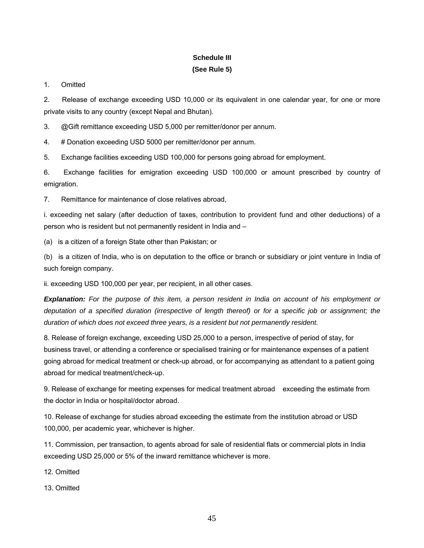# **Schedule III (See Rule 5)**

1. Omitted

2. Release of exchange exceeding USD 10,000 or its equivalent in one calendar year, for one or more private visits to any country (except Nepal and Bhutan).

3. @Gift remittance exceeding USD 5,000 per remitter/donor per annum.

4. # Donation exceeding USD 5000 per remitter/donor per annum.

5. Exchange facilities exceeding USD 100,000 for persons going abroad for employment.

6. Exchange facilities for emigration exceeding USD 100,000 or amount prescribed by country of emigration.

7. Remittance for maintenance of close relatives abroad,

i. exceeding net salary (after deduction of taxes, contribution to provident fund and other deductions) of a person who is resident but not permanently resident in India and –

(a) is a citizen of a foreign State other than Pakistan; or

(b) is a citizen of India, who is on deputation to the office or branch or subsidiary or joint venture in India of such foreign company.

ii. exceeding USD 100,000 per year, per recipient, in all other cases.

*Explanation: For the purpose of this item, a person resident in India on account of his employment or deputation of a specified duration (irrespective of length thereof) or for a specific job or assignment; the duration of which does not exceed three years, is a resident but not permanently resident.* 

8. Release of foreign exchange, exceeding USD 25,000 to a person, irrespective of period of stay, for business travel, or attending a conference or specialised training or for maintenance expenses of a patient going abroad for medical treatment or check-up abroad, or for accompanying as attendant to a patient going abroad for medical treatment/check-up.

9. Release of exchange for meeting expenses for medical treatment abroad exceeding the estimate from the doctor in India or hospital/doctor abroad.

10. Release of exchange for studies abroad exceeding the estimate from the institution abroad or USD 100,000, per academic year, whichever is higher.

11. Commission, per transaction, to agents abroad for sale of residential flats or commercial plots in India exceeding USD 25,000 or 5% of the inward remittance whichever is more.

12. Omitted

13. Omitted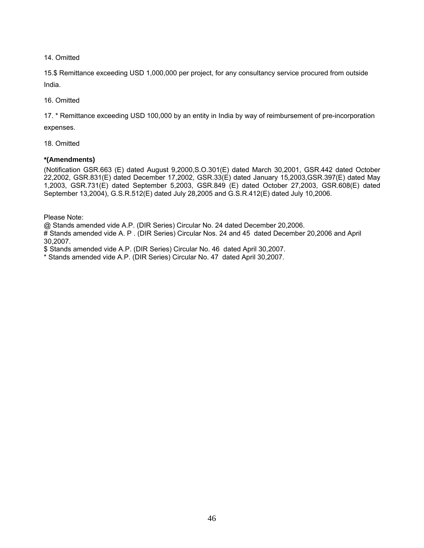14. Omitted

15.\$ Remittance exceeding USD 1,000,000 per project, for any consultancy service procured from outside India.

16. Omitted

17. \* Remittance exceeding USD 100,000 by an entity in India by way of reimbursement of pre-incorporation expenses.

18. Omitted

# **\*(Amendments)**

(Notification GSR.663 (E) dated August 9,2000,S.O.301(E) dated March 30,2001, GSR.442 dated October 22,2002, GSR.831(E) dated December 17,2002, GSR.33(E) dated January 15,2003,GSR.397(E) dated May 1,2003, GSR.731(E) dated September 5,2003, GSR.849 (E) dated October 27,2003, GSR.608(E) dated September 13,2004), G.S.R.512(E) dated July 28,2005 and G.S.R.412(E) dated July 10,2006.

Please Note:

@ Stands amended vide A.P. (DIR Series) Circular No. 24 dated December 20,2006.

# Stands amended vide A. P . (DIR Series) Circular Nos. 24 and 45 dated December 20,2006 and April 30,2007.

\$ Stands amended vide A.P. (DIR Series) Circular No. 46 dated April 30,2007.

\* Stands amended vide A.P. (DIR Series) Circular No. 47 dated April 30,2007.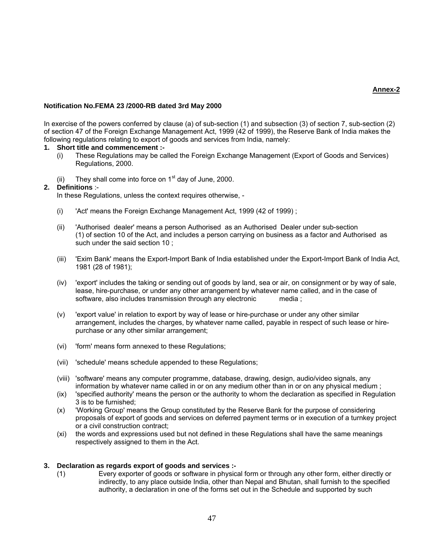## **Annex-2**

## **Notification No.FEMA 23 /2000-RB dated 3rd May 2000**

In exercise of the powers conferred by clause (a) of sub-section (1) and subsection (3) of section 7, sub-section (2) of section 47 of the Foreign Exchange Management Act, 1999 (42 of 1999), the Reserve Bank of India makes the following regulations relating to export of goods and services from India, namely:

# **1. Short title and commencement :-**

- (i) These Regulations may be called the Foreign Exchange Management (Export of Goods and Services) Regulations, 2000.
- (ii) They shall come into force on  $1<sup>st</sup>$  day of June, 2000.

# **2. Definitions** :-

In these Regulations, unless the context requires otherwise, -

- (i) 'Act' means the Foreign Exchange Management Act, 1999 (42 of 1999) ;
- (ii) 'Authorised dealer' means a person Authorised as an Authorised Dealer under sub-section (1) of section 10 of the Act, and includes a person carrying on business as a factor and Authorised as such under the said section 10 ;
- (iii) 'Exim Bank' means the Export-Import Bank of India established under the Export-Import Bank of India Act, 1981 (28 of 1981);
- (iv) 'export' includes the taking or sending out of goods by land, sea or air, on consignment or by way of sale, lease, hire-purchase, or under any other arrangement by whatever name called, and in the case of software, also includes transmission through any electronic media ;
- (v) 'export value' in relation to export by way of lease or hire-purchase or under any other similar arrangement, includes the charges, by whatever name called, payable in respect of such lease or hirepurchase or any other similar arrangement;
- (vi) 'form' means form annexed to these Regulations;
- (vii) 'schedule' means schedule appended to these Regulations;
- (viii) 'software' means any computer programme, database, drawing, design, audio/video signals, any information by whatever name called in or on any medium other than in or on any physical medium ;
- (ix) 'specified authority' means the person or the authority to whom the declaration as specified in Regulation 3 is to be furnished;
- (x) 'Working Group' means the Group constituted by the Reserve Bank for the purpose of considering proposals of export of goods and services on deferred payment terms or in execution of a turnkey project or a civil construction contract;
- (xi) the words and expressions used but not defined in these Regulations shall have the same meanings respectively assigned to them in the Act.

# **3. Declaration as regards export of goods and services :-**

 (1) Every exporter of goods or software in physical form or through any other form, either directly or indirectly, to any place outside India, other than Nepal and Bhutan, shall furnish to the specified authority, a declaration in one of the forms set out in the Schedule and supported by such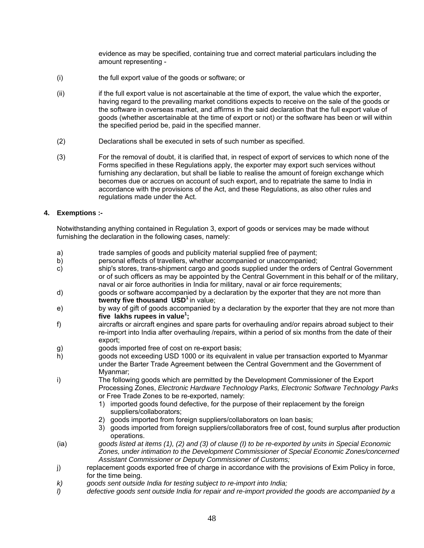evidence as may be specified, containing true and correct material particulars including the amount representing -

- (i) the full export value of the goods or software; or
- (ii) if the full export value is not ascertainable at the time of export, the value which the exporter, having regard to the prevailing market conditions expects to receive on the sale of the goods or the software in overseas market, and affirms in the said declaration that the full export value of goods (whether ascertainable at the time of export or not) or the software has been or will within the specified period be, paid in the specified manner.
- (2) Declarations shall be executed in sets of such number as specified.
- (3) For the removal of doubt, it is clarified that, in respect of export of services to which none of the Forms specified in these Regulations apply, the exporter may export such services without furnishing any declaration, but shall be liable to realise the amount of foreign exchange which becomes due or accrues on account of such export, and to repatriate the same to India in accordance with the provisions of the Act, and these Regulations, as also other rules and regulations made under the Act.

# **4. Exemptions :-**

 Notwithstanding anything contained in Regulation 3, export of goods or services may be made without furnishing the declaration in the following cases, namely:

- a) trade samples of goods and publicity material supplied free of payment;
- b) personal effects of travellers, whether accompanied or unaccompanied;
- c) ship's stores, trans-shipment cargo and goods supplied under the orders of Central Government or of such officers as may be appointed by the Central Government in this behalf or of the military, naval or air force authorities in India for military, naval or air force requirements;
- d) goods or software accompanied by a declaration by the exporter that they are not more than **twenty five thousand USD<sup>1</sup>** in value;
- e) by way of gift of goods accompanied by a declaration by the exporter that they are not more than **five lakhs rupees in value<sup>1</sup> ;**
- f) aircrafts or aircraft engines and spare parts for overhauling and/or repairs abroad subject to their re-import into India after overhauling /repairs, within a period of six months from the date of their export;
- g) goods imported free of cost on re-export basis;
- h) goods not exceeding USD 1000 or its equivalent in value per transaction exported to Myanmar under the Barter Trade Agreement between the Central Government and the Government of Myanmar;
- i) The following goods which are permitted by the Development Commissioner of the Export Processing Zones, *Electronic Hardware Technology Parks, Electronic Software Technology Parks* or Free Trade Zones to be re-exported, namely:
	- 1) imported goods found defective, for the purpose of their replacement by the foreign suppliers/collaborators;
	- 2) goods imported from foreign suppliers/collaborators on loan basis;
	- 3) goods imported from foreign suppliers/collaborators free of cost, found surplus after production operations.
- (ia) *goods listed at items (1), (2) and (3) of clause (I) to be re-exported by units in Special Economic Zones, under intimation to the Development Commissioner of Special Economic Zones/concerned Assistant Commissioner or Deputy Commissioner of Customs;*
- j) replacement goods exported free of charge in accordance with the provisions of Exim Policy in force, for the time being.
- *k) goods sent outside India for testing subject to re-import into India;*
- *l) defective goods sent outside India for repair and re-import provided the goods are accompanied by a*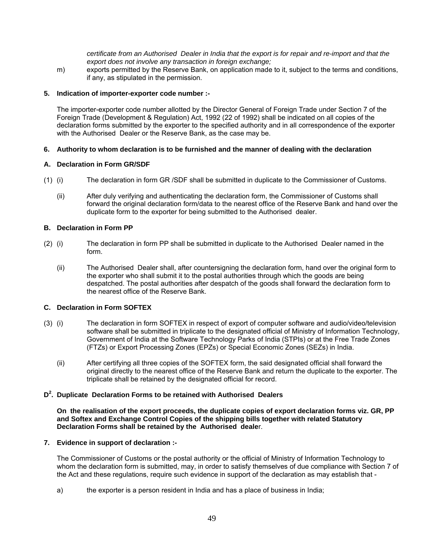*certificate from an Authorised Dealer in India that the export is for repair and re-import and that the export does not involve any transaction in foreign exchange;*

 m) exports permitted by the Reserve Bank, on application made to it, subject to the terms and conditions, if any, as stipulated in the permission.

# **5. Indication of importer-exporter code number :-**

 The importer-exporter code number allotted by the Director General of Foreign Trade under Section 7 of the Foreign Trade (Development & Regulation) Act, 1992 (22 of 1992) shall be indicated on all copies of the declaration forms submitted by the exporter to the specified authority and in all correspondence of the exporter with the Authorised Dealer or the Reserve Bank, as the case may be.

# **6. Authority to whom declaration is to be furnished and the manner of dealing with the declaration**

# **A. Declaration in Form GR/SDF**

- (1) (i) The declaration in form GR /SDF shall be submitted in duplicate to the Commissioner of Customs.
	- (ii) After duly verifying and authenticating the declaration form, the Commissioner of Customs shall forward the original declaration form/data to the nearest office of the Reserve Bank and hand over the duplicate form to the exporter for being submitted to the Authorised dealer.

## **B. Declaration in Form PP**

- (2) (i) The declaration in form PP shall be submitted in duplicate to the Authorised Dealer named in the form.
	- (ii) The Authorised Dealer shall, after countersigning the declaration form, hand over the original form to the exporter who shall submit it to the postal authorities through which the goods are being despatched. The postal authorities after despatch of the goods shall forward the declaration form to the nearest office of the Reserve Bank.

## **C. Declaration in Form SOFTEX**

- (3) (i) The declaration in form SOFTEX in respect of export of computer software and audio/video/television software shall be submitted in triplicate to the designated official of Ministry of Information Technology, Government of India at the Software Technology Parks of India (STPIs) or at the Free Trade Zones (FTZs) or Export Processing Zones (EPZs) or Special Economic Zones (SEZs) in India.
	- (ii) After certifying all three copies of the SOFTEX form, the said designated official shall forward the original directly to the nearest office of the Reserve Bank and return the duplicate to the exporter. The triplicate shall be retained by the designated official for record.

# **D2 . Duplicate Declaration Forms to be retained with Authorised Dealers**

 **On the realisation of the export proceeds, the duplicate copies of export declaration forms viz. GR, PP and Softex and Exchange Control Copies of the shipping bills together with related Statutory Declaration Forms shall be retained by the Authorised deale**r.

## **7. Evidence in support of declaration :-**

 The Commissioner of Customs or the postal authority or the official of Ministry of Information Technology to whom the declaration form is submitted, may, in order to satisfy themselves of due compliance with Section 7 of the Act and these regulations, require such evidence in support of the declaration as may establish that -

a) the exporter is a person resident in India and has a place of business in India;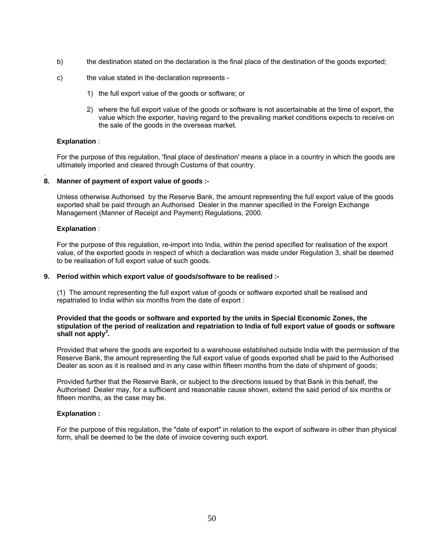- b) the destination stated on the declaration is the final place of the destination of the goods exported;
- c) the value stated in the declaration represents
	- 1) the full export value of the goods or software; or
	- 2) where the full export value of the goods or software is not ascertainable at the time of export, the value which the exporter, having regard to the prevailing market conditions expects to receive on the sale of the goods in the overseas market.

# **Explanation** :

 For the purpose of this regulation, 'final place of destination' means a place in a country in which the goods are ultimately imported and cleared through Customs of that country.

#### . **8. Manner of payment of export value of goods :-**

 Unless otherwise Authorised by the Reserve Bank, the amount representing the full export value of the goods exported shall be paid through an Authorised Dealer in the manner specified in the Foreign Exchange Management (Manner of Receipt and Payment) Regulations, 2000.

## **Explanation** :

 For the purpose of this regulation, re-import into India, within the period specified for realisation of the export value, of the exported goods in respect of which a declaration was made under Regulation 3, shall be deemed to be realisation of full export value of such goods.

## **9. Period within which export value of goods/software to be realised :-**

 (1) The amount representing the full export value of goods or software exported shall be realised and repatriated to India within six months from the date of export :

## **Provided that the goods or software and exported by the units in Special Economic Zones, the stipulation of the period of realization and repatriation to India of full export value of goods or software**  shall not apply<sup>3</sup>.

 Provided that where the goods are exported to a warehouse established outside India with the permission of the Reserve Bank, the amount representing the full export value of goods exported shall be paid to the Authorised Dealer as soon as it is realised and in any case within fifteen months from the date of shipment of goods;

 Provided further that the Reserve Bank, or subject to the directions issued by that Bank in this behalf, the Authorised Dealer may, for a sufficient and reasonable cause shown, extend the said period of six months or fifteen months, as the case may be.

## **Explanation :**

 For the purpose of this regulation, the "date of export" in relation to the export of software in other than physical form, shall be deemed to be the date of invoice covering such export.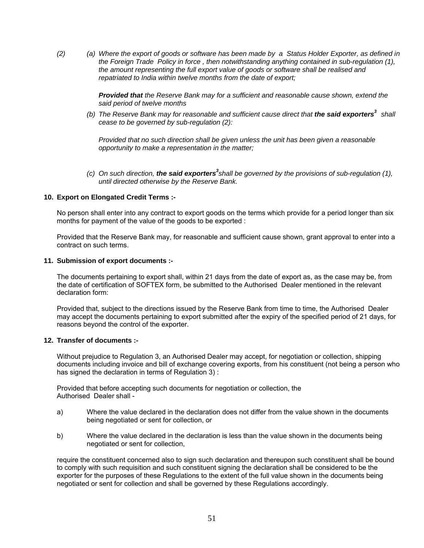*(2) (a) Where the export of goods or software has been made by a Status Holder Exporter, as defined in the Foreign Trade Policy in force , then notwithstanding anything contained in sub-regulation (1), the amount representing the full export value of goods or software shall be realised and repatriated to India within twelve months from the date of export;*

> *Provided that the Reserve Bank may for a sufficient and reasonable cause shown, extend the said period of twelve months*

*(b)* The Reserve Bank may for reasonable and sufficient cause direct that *the said exporters*<sup>3</sup> shall *cease to be governed by sub-regulation (2):*

*Provided that no such direction shall be given unless the unit has been given a reasonable opportunity to make a representation in the matter;* 

 *(c) On such direction, the said exporters<sup>3</sup> shall be governed by the provisions of sub-regulation (1), until directed otherwise by the Reserve Bank.*

## **10. Export on Elongated Credit Terms :-**

 No person shall enter into any contract to export goods on the terms which provide for a period longer than six months for payment of the value of the goods to be exported :

 Provided that the Reserve Bank may, for reasonable and sufficient cause shown, grant approval to enter into a contract on such terms.

#### **11. Submission of export documents :-**

 The documents pertaining to export shall, within 21 days from the date of export as, as the case may be, from the date of certification of SOFTEX form, be submitted to the Authorised Dealer mentioned in the relevant declaration form:

 Provided that, subject to the directions issued by the Reserve Bank from time to time, the Authorised Dealer may accept the documents pertaining to export submitted after the expiry of the specified period of 21 days, for reasons beyond the control of the exporter.

## **12. Transfer of documents :-**

 Without prejudice to Regulation 3, an Authorised Dealer may accept, for negotiation or collection, shipping documents including invoice and bill of exchange covering exports, from his constituent (not being a person who has signed the declaration in terms of Regulation 3) :

 Provided that before accepting such documents for negotiation or collection, the Authorised Dealer shall -

- a) Where the value declared in the declaration does not differ from the value shown in the documents being negotiated or sent for collection, or
- b) Where the value declared in the declaration is less than the value shown in the documents being negotiated or sent for collection,

 require the constituent concerned also to sign such declaration and thereupon such constituent shall be bound to comply with such requisition and such constituent signing the declaration shall be considered to be the exporter for the purposes of these Regulations to the extent of the full value shown in the documents being negotiated or sent for collection and shall be governed by these Regulations accordingly.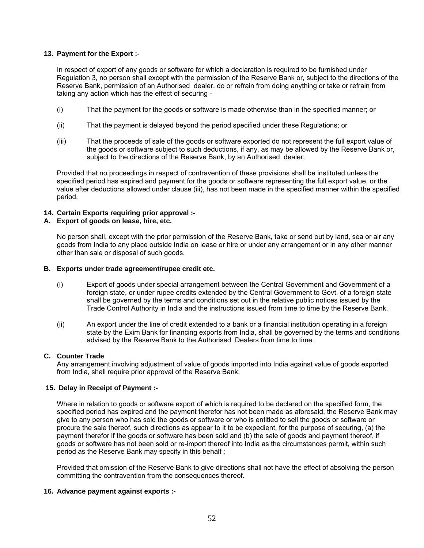# **13. Payment for the Export :-**

 In respect of export of any goods or software for which a declaration is required to be furnished under Regulation 3, no person shall except with the permission of the Reserve Bank or, subject to the directions of the Reserve Bank, permission of an Authorised dealer, do or refrain from doing anything or take or refrain from taking any action which has the effect of securing -

- (i) That the payment for the goods or software is made otherwise than in the specified manner; or
- (ii) That the payment is delayed beyond the period specified under these Regulations; or
- (iii) That the proceeds of sale of the goods or software exported do not represent the full export value of the goods or software subject to such deductions, if any, as may be allowed by the Reserve Bank or, subject to the directions of the Reserve Bank, by an Authorised dealer;

 Provided that no proceedings in respect of contravention of these provisions shall be instituted unless the specified period has expired and payment for the goods or software representing the full export value, or the value after deductions allowed under clause (iii), has not been made in the specified manner within the specified period.

# **14. Certain Exports requiring prior approval :-**

# **A. Export of goods on lease, hire, etc.**

 No person shall, except with the prior permission of the Reserve Bank, take or send out by land, sea or air any goods from India to any place outside India on lease or hire or under any arrangement or in any other manner other than sale or disposal of such goods.

## **B. Exports under trade agreement/rupee credit etc.**

- (i) Export of goods under special arrangement between the Central Government and Government of a foreign state, or under rupee credits extended by the Central Government to Govt. of a foreign state shall be governed by the terms and conditions set out in the relative public notices issued by the Trade Control Authority in India and the instructions issued from time to time by the Reserve Bank.
- (ii) An export under the line of credit extended to a bank or a financial institution operating in a foreign state by the Exim Bank for financing exports from India, shall be governed by the terms and conditions advised by the Reserve Bank to the Authorised Dealers from time to time.

# **C. Counter Trade**

 Any arrangement involving adjustment of value of goods imported into India against value of goods exported from India, shall require prior approval of the Reserve Bank.

# **15. Delay in Receipt of Payment :-**

 Where in relation to goods or software export of which is required to be declared on the specified form, the specified period has expired and the payment therefor has not been made as aforesaid, the Reserve Bank may give to any person who has sold the goods or software or who is entitled to sell the goods or software or procure the sale thereof, such directions as appear to it to be expedient, for the purpose of securing, (a) the payment therefor if the goods or software has been sold and (b) the sale of goods and payment thereof, if goods or software has not been sold or re-import thereof into India as the circumstances permit, within such period as the Reserve Bank may specify in this behalf ;

 Provided that omission of the Reserve Bank to give directions shall not have the effect of absolving the person committing the contravention from the consequences thereof.

# **16. Advance payment against exports :-**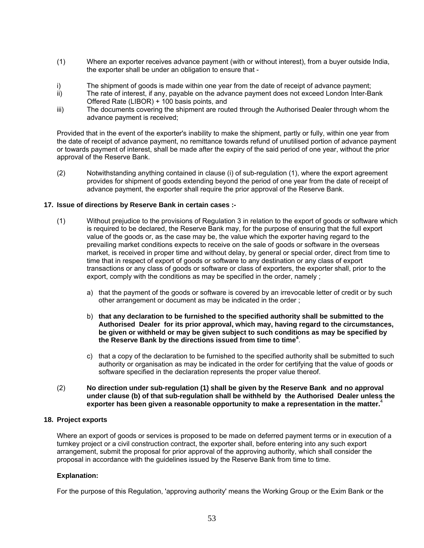- (1) Where an exporter receives advance payment (with or without interest), from a buyer outside India, the exporter shall be under an obligation to ensure that -
- i) The shipment of goods is made within one year from the date of receipt of advance payment;
- ii) The rate of interest, if any, payable on the advance payment does not exceed London Inter-Bank Offered Rate (LIBOR) + 100 basis points, and
- iii) The documents covering the shipment are routed through the Authorised Dealer through whom the advance payment is received;

 Provided that in the event of the exporter's inability to make the shipment, partly or fully, within one year from the date of receipt of advance payment, no remittance towards refund of unutilised portion of advance payment or towards payment of interest, shall be made after the expiry of the said period of one year, without the prior approval of the Reserve Bank.

 (2) Notwithstanding anything contained in clause (i) of sub-regulation (1), where the export agreement provides for shipment of goods extending beyond the period of one year from the date of receipt of advance payment, the exporter shall require the prior approval of the Reserve Bank.

# **17. Issue of directions by Reserve Bank in certain cases :-**

- (1) Without prejudice to the provisions of Regulation 3 in relation to the export of goods or software which is required to be declared, the Reserve Bank may, for the purpose of ensuring that the full export value of the goods or, as the case may be, the value which the exporter having regard to the prevailing market conditions expects to receive on the sale of goods or software in the overseas market, is received in proper time and without delay, by general or special order, direct from time to time that in respect of export of goods or software to any destination or any class of export transactions or any class of goods or software or class of exporters, the exporter shall, prior to the export, comply with the conditions as may be specified in the order, namely ;
	- a) that the payment of the goods or software is covered by an irrevocable letter of credit or by such other arrangement or document as may be indicated in the order ;
	- b) **that any declaration to be furnished to the specified authority shall be submitted to the Authorised Dealer for its prior approval, which may, having regard to the circumstances, be given or withheld or may be given subject to such conditions as may be specified by the Reserve Bank by the directions issued from time to time<sup>4</sup>** .
	- c) that a copy of the declaration to be furnished to the specified authority shall be submitted to such authority or organisation as may be indicated in the order for certifying that the value of goods or software specified in the declaration represents the proper value thereof.
- (2) **No direction under sub-regulation (1) shall be given by the Reserve Bank and no approval under clause (b) of that sub-regulation shall be withheld by the Authorised Dealer unless the exporter has been given a reasonable opportunity to make a representation in the matter.**<sup>4</sup>

## **18. Project exports**

 Where an export of goods or services is proposed to be made on deferred payment terms or in execution of a turnkey project or a civil construction contract, the exporter shall, before entering into any such export arrangement, submit the proposal for prior approval of the approving authority, which shall consider the proposal in accordance with the guidelines issued by the Reserve Bank from time to time.

## **Explanation:**

For the purpose of this Regulation, 'approving authority' means the Working Group or the Exim Bank or the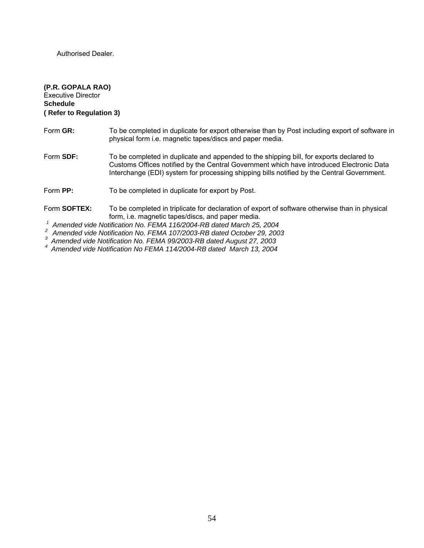Authorised Dealer.

# **(P.R. GOPALA RAO)** Executive Director **Schedule ( Refer to Regulation 3)**

| Form GR:          | To be completed in duplicate for export otherwise than by Post including export of software in<br>physical form i.e. magnetic tapes/discs and paper media.                                                                                                                                                                                                   |
|-------------------|--------------------------------------------------------------------------------------------------------------------------------------------------------------------------------------------------------------------------------------------------------------------------------------------------------------------------------------------------------------|
| Form <b>SDF</b> : | To be completed in duplicate and appended to the shipping bill, for exports declared to<br>Customs Offices notified by the Central Government which have introduced Electronic Data<br>Interchange (EDI) system for processing shipping bills notified by the Central Government.                                                                            |
| Form PP:          | To be completed in duplicate for export by Post.                                                                                                                                                                                                                                                                                                             |
| Form SOFTEX:      | To be completed in triplicate for declaration of export of software otherwise than in physical<br>form, i.e. magnetic tapes/discs, and paper media.                                                                                                                                                                                                          |
|                   | $\overline{1}$ a little $\overline{1}$ at $\overline{1}$ $\overline{1}$ at $\overline{1}$ $\overline{1}$ at $\overline{1}$ $\overline{1}$ at $\overline{1}$ $\overline{1}$ at $\overline{1}$ $\overline{1}$ at $\overline{1}$ $\overline{1}$ at $\overline{1}$ $\overline{1}$ $\overline{1}$ $\overline{1}$ $\overline{1}$ $\overline{1}$ $\overline{1}$ $\$ |

 *1 Amended vide Notification No. FEMA 116/2004-RB dated March 25, 2004* 

 *2 Amended vide Notification No. FEMA 107/2003-RB dated October 29, 2003* 

 *3 Amended vide Notification No. FEMA 99/2003-RB dated August 27, 2003 4 Amended vide Notification No FEMA 114/2004-RB dated March 13, 2004*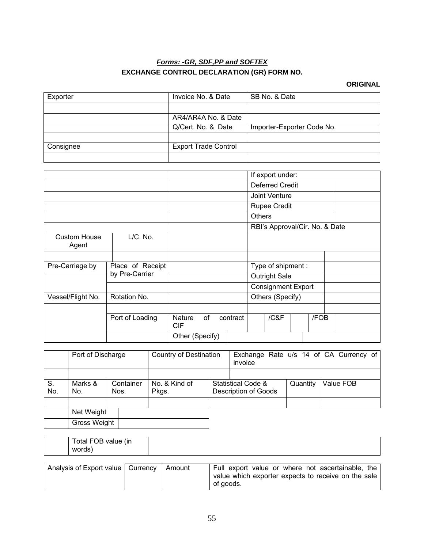# *Forms: -GR, SDF,PP and SOFTEX* **EXCHANGE CONTROL DECLARATION (GR) FORM NO.**

# **ORIGINAL**

| Exporter                     |                  | Invoice No. & Date          |    |          |                     | SB No. & Date                  |  |      |  |  |
|------------------------------|------------------|-----------------------------|----|----------|---------------------|--------------------------------|--|------|--|--|
|                              |                  |                             |    |          |                     |                                |  |      |  |  |
|                              |                  | AR4/AR4A No. & Date         |    |          |                     |                                |  |      |  |  |
|                              |                  | Q/Cert. No. & Date          |    |          |                     | Importer-Exporter Code No.     |  |      |  |  |
|                              |                  |                             |    |          |                     |                                |  |      |  |  |
| Consignee                    |                  | <b>Export Trade Control</b> |    |          |                     |                                |  |      |  |  |
|                              |                  |                             |    |          |                     |                                |  |      |  |  |
|                              |                  |                             |    |          |                     |                                |  |      |  |  |
|                              |                  |                             |    |          |                     | If export under:               |  |      |  |  |
|                              |                  |                             |    |          |                     | <b>Deferred Credit</b>         |  |      |  |  |
|                              |                  |                             |    |          | Joint Venture       |                                |  |      |  |  |
|                              |                  |                             |    |          | <b>Rupee Credit</b> |                                |  |      |  |  |
|                              |                  |                             |    |          | <b>Others</b>       |                                |  |      |  |  |
|                              |                  |                             |    |          |                     | RBI's Approval/Cir. No. & Date |  |      |  |  |
| <b>Custom House</b><br>Agent | L/C. No.         |                             |    |          |                     |                                |  |      |  |  |
|                              |                  |                             |    |          |                     |                                |  |      |  |  |
| Pre-Carriage by              | Place of Receipt |                             |    |          |                     | Type of shipment:              |  |      |  |  |
|                              | by Pre-Carrier   |                             |    |          |                     | <b>Outright Sale</b>           |  |      |  |  |
|                              |                  |                             |    |          |                     | <b>Consignment Export</b>      |  |      |  |  |
| Vessel/Flight No.            | Rotation No.     |                             |    |          |                     | Others (Specify)               |  |      |  |  |
|                              |                  |                             |    |          |                     |                                |  |      |  |  |
|                              | Port of Loading  | <b>Nature</b><br><b>CIF</b> | of | contract |                     | / C& F                         |  | /FOB |  |  |
|                              |                  | Other (Specify)             |    |          |                     |                                |  |      |  |  |

|           | Port of Discharge |                   | <b>Country of Destination</b> |  | Exchange Rate u/s 14 of CA Currency of<br>invoice            |  |           |  |  |
|-----------|-------------------|-------------------|-------------------------------|--|--------------------------------------------------------------|--|-----------|--|--|
|           |                   |                   |                               |  |                                                              |  |           |  |  |
| S.<br>No. | Marks &<br>No.    | Container<br>Nos. | No. & Kind of<br>Pkgs.        |  | <b>Statistical Code &amp;</b><br><b>Description of Goods</b> |  | Value FOB |  |  |
|           |                   |                   |                               |  |                                                              |  |           |  |  |
|           | Net Weight        |                   |                               |  |                                                              |  |           |  |  |
|           | Gross Weight      |                   |                               |  |                                                              |  |           |  |  |

| Total FOB value (in<br>words, |  |
|-------------------------------|--|
|                               |  |

| Analysis of Export value   Currency   Amount |  | Full export value or where not ascertainable, the   |
|----------------------------------------------|--|-----------------------------------------------------|
|                                              |  | value which exporter expects to receive on the sale |
|                                              |  | of goods.                                           |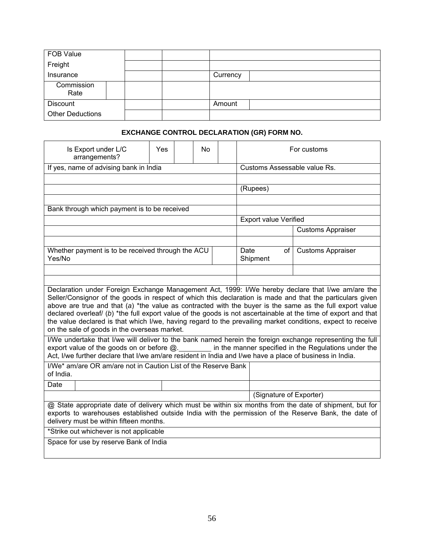| FOB Value               |  |          |
|-------------------------|--|----------|
| Freight                 |  |          |
| Insurance               |  | Currency |
| Commission<br>Rate      |  |          |
| Discount                |  | Amount   |
| <b>Other Deductions</b> |  |          |

# **EXCHANGE CONTROL DECLARATION (GR) FORM NO.**

| Is Export under L/C<br>arrangements?                                                                                                                                                                                                                                                                                                                                                                                                                                                                                                                                                                                                                                                                                                                                                                                                                                                                                                                                                                                                                                                                                                                                        | Yes |  | <b>No</b> |                              | For customs                  |      |                          |  |  |  |
|-----------------------------------------------------------------------------------------------------------------------------------------------------------------------------------------------------------------------------------------------------------------------------------------------------------------------------------------------------------------------------------------------------------------------------------------------------------------------------------------------------------------------------------------------------------------------------------------------------------------------------------------------------------------------------------------------------------------------------------------------------------------------------------------------------------------------------------------------------------------------------------------------------------------------------------------------------------------------------------------------------------------------------------------------------------------------------------------------------------------------------------------------------------------------------|-----|--|-----------|------------------------------|------------------------------|------|--------------------------|--|--|--|
| If yes, name of advising bank in India                                                                                                                                                                                                                                                                                                                                                                                                                                                                                                                                                                                                                                                                                                                                                                                                                                                                                                                                                                                                                                                                                                                                      |     |  |           | Customs Assessable value Rs. |                              |      |                          |  |  |  |
|                                                                                                                                                                                                                                                                                                                                                                                                                                                                                                                                                                                                                                                                                                                                                                                                                                                                                                                                                                                                                                                                                                                                                                             |     |  |           |                              |                              |      |                          |  |  |  |
|                                                                                                                                                                                                                                                                                                                                                                                                                                                                                                                                                                                                                                                                                                                                                                                                                                                                                                                                                                                                                                                                                                                                                                             |     |  |           |                              | (Rupees)                     |      |                          |  |  |  |
| Bank through which payment is to be received                                                                                                                                                                                                                                                                                                                                                                                                                                                                                                                                                                                                                                                                                                                                                                                                                                                                                                                                                                                                                                                                                                                                |     |  |           |                              |                              |      |                          |  |  |  |
|                                                                                                                                                                                                                                                                                                                                                                                                                                                                                                                                                                                                                                                                                                                                                                                                                                                                                                                                                                                                                                                                                                                                                                             |     |  |           |                              | <b>Export value Verified</b> |      |                          |  |  |  |
|                                                                                                                                                                                                                                                                                                                                                                                                                                                                                                                                                                                                                                                                                                                                                                                                                                                                                                                                                                                                                                                                                                                                                                             |     |  |           |                              |                              |      | <b>Customs Appraiser</b> |  |  |  |
|                                                                                                                                                                                                                                                                                                                                                                                                                                                                                                                                                                                                                                                                                                                                                                                                                                                                                                                                                                                                                                                                                                                                                                             |     |  |           |                              |                              |      |                          |  |  |  |
| Whether payment is to be received through the ACU<br>Yes/No                                                                                                                                                                                                                                                                                                                                                                                                                                                                                                                                                                                                                                                                                                                                                                                                                                                                                                                                                                                                                                                                                                                 |     |  |           |                              | Date<br>Shipment             | of l | <b>Customs Appraiser</b> |  |  |  |
|                                                                                                                                                                                                                                                                                                                                                                                                                                                                                                                                                                                                                                                                                                                                                                                                                                                                                                                                                                                                                                                                                                                                                                             |     |  |           |                              |                              |      |                          |  |  |  |
| Declaration under Foreign Exchange Management Act, 1999: I/We hereby declare that I/we am/are the<br>Seller/Consignor of the goods in respect of which this declaration is made and that the particulars given<br>above are true and that (a) *the value as contracted with the buyer is the same as the full export value<br>declared overleaf/ (b) *the full export value of the goods is not ascertainable at the time of export and that<br>the value declared is that which I/we, having regard to the prevailing market conditions, expect to receive<br>on the sale of goods in the overseas market.<br>I/We undertake that I/we will deliver to the bank named herein the foreign exchange representing the full<br>export value of the goods on or before @. _______ in the manner specified in the Regulations under the<br>Act, I/we further declare that I/we am/are resident in India and I/we have a place of business in India.<br>I/We* am/are OR am/are not in Caution List of the Reserve Bank<br>of India.<br>Date<br>(Signature of Exporter)<br>@ State appropriate date of delivery which must be within six months from the date of shipment, but for |     |  |           |                              |                              |      |                          |  |  |  |
| exports to warehouses established outside India with the permission of the Reserve Bank, the date of<br>delivery must be within fifteen months.                                                                                                                                                                                                                                                                                                                                                                                                                                                                                                                                                                                                                                                                                                                                                                                                                                                                                                                                                                                                                             |     |  |           |                              |                              |      |                          |  |  |  |
| *Strike out whichever is not applicable                                                                                                                                                                                                                                                                                                                                                                                                                                                                                                                                                                                                                                                                                                                                                                                                                                                                                                                                                                                                                                                                                                                                     |     |  |           |                              |                              |      |                          |  |  |  |
| Space for use by reserve Bank of India                                                                                                                                                                                                                                                                                                                                                                                                                                                                                                                                                                                                                                                                                                                                                                                                                                                                                                                                                                                                                                                                                                                                      |     |  |           |                              |                              |      |                          |  |  |  |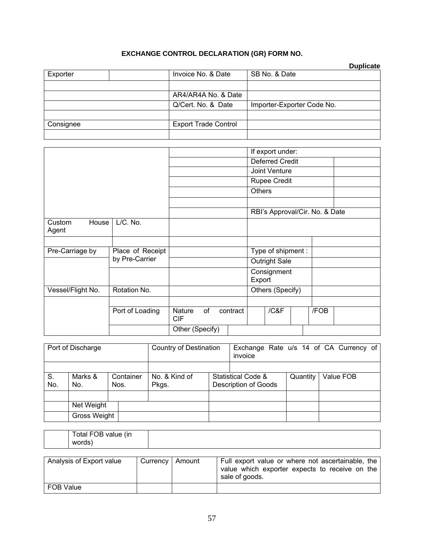# **EXCHANGE CONTROL DECLARATION (GR) FORM NO.**

|           |                             |                            | <b>Duplicate</b> |
|-----------|-----------------------------|----------------------------|------------------|
| Exporter  | Invoice No. & Date          | SB No. & Date              |                  |
|           |                             |                            |                  |
|           | AR4/AR4A No. & Date         |                            |                  |
|           | Q/Cert. No. & Date          | Importer-Exporter Code No. |                  |
|           |                             |                            |                  |
| Consignee | <b>Export Trade Control</b> |                            |                  |
|           |                             |                            |                  |

|                          |                  |                      |    |          |               | If export under:               |      |  |
|--------------------------|------------------|----------------------|----|----------|---------------|--------------------------------|------|--|
|                          |                  |                      |    |          |               | <b>Deferred Credit</b>         |      |  |
|                          |                  |                      |    |          |               | Joint Venture                  |      |  |
|                          |                  |                      |    |          |               | <b>Rupee Credit</b>            |      |  |
|                          |                  |                      |    |          | <b>Others</b> |                                |      |  |
|                          |                  |                      |    |          |               |                                |      |  |
|                          |                  |                      |    |          |               | RBI's Approval/Cir. No. & Date |      |  |
| Custom<br>House<br>Agent | L/C. No.         |                      |    |          |               |                                |      |  |
|                          |                  |                      |    |          |               |                                |      |  |
| Pre-Carriage by          | Place of Receipt |                      |    |          |               | Type of shipment :             |      |  |
|                          | by Pre-Carrier   |                      |    |          |               | <b>Outright Sale</b>           |      |  |
|                          |                  |                      |    |          | Export        | Consignment                    |      |  |
| Vessel/Flight No.        | Rotation No.     |                      |    |          |               | Others (Specify)               |      |  |
|                          |                  |                      |    |          |               |                                |      |  |
|                          | Port of Loading  | Nature<br><b>CIF</b> | of | contract |               | /C&F                           | /FOB |  |
|                          |                  | Other (Specify)      |    |          |               |                                |      |  |

| Port of Discharge |              | <b>Country of Destination</b> |               | Exchange Rate u/s 14 of CA Currency of<br>invoice |  |          |           |
|-------------------|--------------|-------------------------------|---------------|---------------------------------------------------|--|----------|-----------|
|                   |              |                               |               |                                                   |  |          |           |
| S.                | Marks &      | Container                     | No. & Kind of | Statistical Code &                                |  | Quantity | Value FOB |
| No.               | No.          | Nos.                          | Pkgs.         | <b>Description of Goods</b>                       |  |          |           |
|                   |              |                               |               |                                                   |  |          |           |
|                   | Net Weight   |                               |               |                                                   |  |          |           |
|                   | Gross Weight |                               |               |                                                   |  |          |           |

| Analysis of Export value | Currency   Amount | Full export value or where not ascertainable, the<br>value which exporter expects to receive on the<br>sale of goods. |
|--------------------------|-------------------|-----------------------------------------------------------------------------------------------------------------------|
| FOB Value                |                   |                                                                                                                       |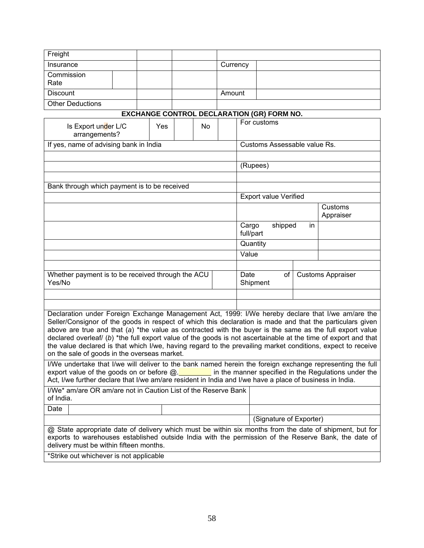| Freight                                                                                                                                                                                                                                                    |  |  |     |  |    |          |                                             |                                                   |  |  |                      |
|------------------------------------------------------------------------------------------------------------------------------------------------------------------------------------------------------------------------------------------------------------|--|--|-----|--|----|----------|---------------------------------------------|---------------------------------------------------|--|--|----------------------|
| Insurance                                                                                                                                                                                                                                                  |  |  |     |  |    | Currency |                                             |                                                   |  |  |                      |
| Commission                                                                                                                                                                                                                                                 |  |  |     |  |    |          |                                             |                                                   |  |  |                      |
| Rate                                                                                                                                                                                                                                                       |  |  |     |  |    |          |                                             |                                                   |  |  |                      |
| <b>Discount</b>                                                                                                                                                                                                                                            |  |  |     |  |    | Amount   |                                             |                                                   |  |  |                      |
| <b>Other Deductions</b>                                                                                                                                                                                                                                    |  |  |     |  |    |          |                                             |                                                   |  |  |                      |
|                                                                                                                                                                                                                                                            |  |  |     |  |    |          |                                             | <b>EXCHANGE CONTROL DECLARATION (GR) FORM NO.</b> |  |  |                      |
| Is Export under L/C<br>arrangements?                                                                                                                                                                                                                       |  |  | Yes |  | No |          |                                             | For customs                                       |  |  |                      |
| If yes, name of advising bank in India                                                                                                                                                                                                                     |  |  |     |  |    |          |                                             | Customs Assessable value Rs.                      |  |  |                      |
|                                                                                                                                                                                                                                                            |  |  |     |  |    |          |                                             |                                                   |  |  |                      |
|                                                                                                                                                                                                                                                            |  |  |     |  |    |          |                                             | (Rupees)                                          |  |  |                      |
|                                                                                                                                                                                                                                                            |  |  |     |  |    |          |                                             |                                                   |  |  |                      |
| Bank through which payment is to be received                                                                                                                                                                                                               |  |  |     |  |    |          |                                             |                                                   |  |  |                      |
|                                                                                                                                                                                                                                                            |  |  |     |  |    |          |                                             | <b>Export value Verified</b>                      |  |  |                      |
|                                                                                                                                                                                                                                                            |  |  |     |  |    |          |                                             |                                                   |  |  | Customs<br>Appraiser |
|                                                                                                                                                                                                                                                            |  |  |     |  |    |          | Cargo<br>shipped<br>in<br>full/part         |                                                   |  |  |                      |
|                                                                                                                                                                                                                                                            |  |  |     |  |    |          | Quantity                                    |                                                   |  |  |                      |
|                                                                                                                                                                                                                                                            |  |  |     |  |    |          | Value                                       |                                                   |  |  |                      |
|                                                                                                                                                                                                                                                            |  |  |     |  |    |          |                                             |                                                   |  |  |                      |
| Whether payment is to be received through the ACU<br>Yes/No                                                                                                                                                                                                |  |  |     |  |    |          | Date<br>Customs Appraiser<br>of<br>Shipment |                                                   |  |  |                      |
|                                                                                                                                                                                                                                                            |  |  |     |  |    |          |                                             |                                                   |  |  |                      |
|                                                                                                                                                                                                                                                            |  |  |     |  |    |          |                                             |                                                   |  |  |                      |
| Declaration under Foreign Exchange Management Act, 1999: I/We hereby declare that I/we am/are the                                                                                                                                                          |  |  |     |  |    |          |                                             |                                                   |  |  |                      |
| Seller/Consignor of the goods in respect of which this declaration is made and that the particulars given                                                                                                                                                  |  |  |     |  |    |          |                                             |                                                   |  |  |                      |
| above are true and that (a) *the value as contracted with the buyer is the same as the full export value<br>declared overleaf/ $(b)$ *the full export value of the goods is not ascertainable at the time of export and that                               |  |  |     |  |    |          |                                             |                                                   |  |  |                      |
| the value declared is that which I/we, having regard to the prevailing market conditions, expect to receive                                                                                                                                                |  |  |     |  |    |          |                                             |                                                   |  |  |                      |
| on the sale of goods in the overseas market.                                                                                                                                                                                                               |  |  |     |  |    |          |                                             |                                                   |  |  |                      |
| I/We undertake that I/we will deliver to the bank named herein the foreign exchange representing the full                                                                                                                                                  |  |  |     |  |    |          |                                             |                                                   |  |  |                      |
| export value of the goods on or before $@.$ in the manner specified in the Regulations under the                                                                                                                                                           |  |  |     |  |    |          |                                             |                                                   |  |  |                      |
| Act, I/we further declare that I/we am/are resident in India and I/we have a place of business in India.                                                                                                                                                   |  |  |     |  |    |          |                                             |                                                   |  |  |                      |
| I/We* am/are OR am/are not in Caution List of the Reserve Bank<br>of India.                                                                                                                                                                                |  |  |     |  |    |          |                                             |                                                   |  |  |                      |
| Date                                                                                                                                                                                                                                                       |  |  |     |  |    |          |                                             |                                                   |  |  |                      |
|                                                                                                                                                                                                                                                            |  |  |     |  |    |          |                                             | (Signature of Exporter)                           |  |  |                      |
| @ State appropriate date of delivery which must be within six months from the date of shipment, but for<br>exports to warehouses established outside India with the permission of the Reserve Bank, the date of<br>delivery must be within fifteen months. |  |  |     |  |    |          |                                             |                                                   |  |  |                      |
| *Strike out whichever is not applicable                                                                                                                                                                                                                    |  |  |     |  |    |          |                                             |                                                   |  |  |                      |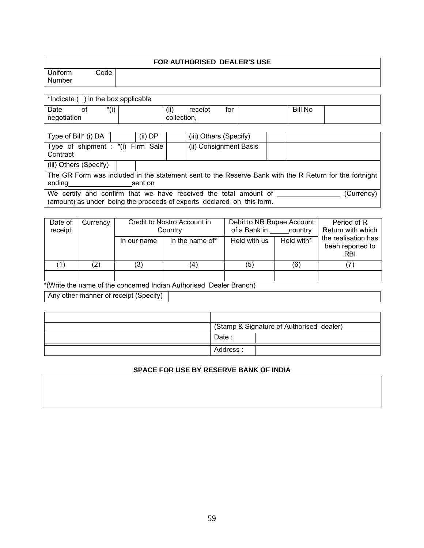|                   |      | FOR AUTHORISED DEALER'S USE |
|-------------------|------|-----------------------------|
| Uniform<br>Number | Code |                             |

| *Indicate (<br>) in the box applicable |    |      |  |             |         |     |                |  |
|----------------------------------------|----|------|--|-------------|---------|-----|----------------|--|
| Date                                   | O1 | */i\ |  | (ii)        | receipt | tor | <b>Bill No</b> |  |
| negotiation                            |    |      |  | collection, |         |     |                |  |

| Type of Bill* (i) DA                                                                                                                                     |                                                                                                                     | (ii) DP |  | (iii) Others (Specify) |  |  |  |
|----------------------------------------------------------------------------------------------------------------------------------------------------------|---------------------------------------------------------------------------------------------------------------------|---------|--|------------------------|--|--|--|
| Type of shipment : *(i) Firm Sale<br>Contract                                                                                                            |                                                                                                                     |         |  | (ii) Consignment Basis |  |  |  |
| (iii) Others (Specify)                                                                                                                                   |                                                                                                                     |         |  |                        |  |  |  |
| ending                                                                                                                                                   | The GR Form was included in the statement sent to the Reserve Bank with the R Return for the fortnight  <br>sent on |         |  |                        |  |  |  |
| We certify and confirm that we have received the total amount of<br>(Currency)<br>(amount) as under being the proceeds of exports declared on this form. |                                                                                                                     |         |  |                        |  |  |  |

| Date of<br>receipt | Currency          |             | Credit to Nostro Account in<br>Country | Debit to NR Rupee Account<br>of a Bank in | country    | Period of R<br>Return with which                      |
|--------------------|-------------------|-------------|----------------------------------------|-------------------------------------------|------------|-------------------------------------------------------|
|                    |                   | In our name | In the name of*                        | Held with us                              | Held with* | the realisation has<br>been reported to<br><b>RBI</b> |
|                    | $\left( 2\right)$ | (3)         | (4،                                    | (5)                                       | (6)        |                                                       |
|                    |                   |             |                                        |                                           |            |                                                       |

\*(Write the name of the concerned Indian Authorised Dealer Branch)

Any other manner of receipt (Specify)

| (Stamp & Signature of Authorised dealer) |
|------------------------------------------|
| Date:                                    |
| Address:                                 |

# **SPACE FOR USE BY RESERVE BANK OF INDIA**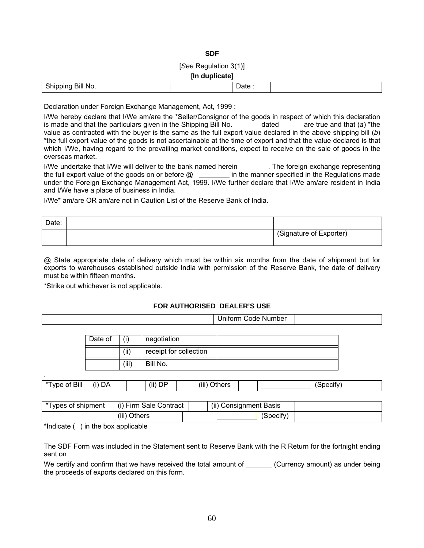## **SDF**

# [*See* Regulation 3(1)]

#### [**In duplicate**]

| $\sim$<br>$\sim$ $\sim$ $\sim$<br>BIII NO.<br>31 I 10<br>$\overline{\phantom{0}}$ |  | . .<br>. . |  |
|-----------------------------------------------------------------------------------|--|------------|--|
|                                                                                   |  |            |  |

Declaration under Foreign Exchange Management, Act, 1999 :

I/We hereby declare that I/We am/are the \*Seller/Consignor of the goods in respect of which this declaration is made and that the particulars given in the Shipping Bill No. \_\_\_\_\_\_\_\_ dated \_\_\_\_\_\_ are true and that (*a*) \*the value as contracted with the buyer is the same as the full export value declared in the above shipping bill (*b*) \*the full export value of the goods is not ascertainable at the time of export and that the value declared is that which I/We, having regard to the prevailing market conditions, expect to receive on the sale of goods in the overseas market.

I/We undertake that I/We will deliver to the bank named herein \_\_\_\_\_\_\_\_. The foreign exchange representing the full export value of the goods on or before  $@ \_\_$ in the manner specified in the Regulations made under the Foreign Exchange Management Act, 1999. I/We further declare that I/We am/are resident in India and I/We have a place of business in India.

I/We\* am/are OR am/are not in Caution List of the Reserve Bank of India.

| Date: |  |                         |
|-------|--|-------------------------|
|       |  | (Signature of Exporter) |

@ State appropriate date of delivery which must be within six months from the date of shipment but for exports to warehouses established outside India with permission of the Reserve Bank, the date of delivery must be within fifteen months.

\*Strike out whichever is not applicable.

# **FOR AUTHORISED DEALER'S USE**

|         |       |                        | <b>Uniform Code Number</b> |  |
|---------|-------|------------------------|----------------------------|--|
|         |       |                        |                            |  |
| Date of | (i)   | negotiation            |                            |  |
|         | (ii)  | receipt for collection |                            |  |
|         | (iii) | Bill No.               |                            |  |

| Bill<br>---<br>vne<br>ΩL | DΑ | $\cdots$<br>(ii)<br>⊣ו<br>◡ | $\cdots$<br>-<br>(iii<br>--<br>™er⊾ | ```<br>⊶u⊷<br>. .IIV |
|--------------------------|----|-----------------------------|-------------------------------------|----------------------|
|                          |    |                             |                                     |                      |

| *Types of shipment | (i) Firm Sale Contract |  |  | (ii) Consignment Basis |  |
|--------------------|------------------------|--|--|------------------------|--|
|                    | (iii) Others           |  |  | (Specify)              |  |

\*Indicate  $($  ) in the box applicable

.

The SDF Form was included in the Statement sent to Reserve Bank with the R Return for the fortnight ending sent on

We certify and confirm that we have received the total amount of (Currency amount) as under being the proceeds of exports declared on this form.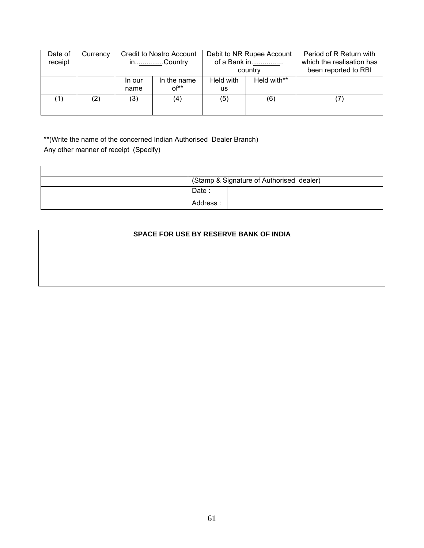| Date of<br>receipt | Currency |                | Credit to Nostro Account<br>in <u></u> .Country | Debit to NR Rupee Account<br>of a Bank in<br>country |             | Period of R Return with<br>which the realisation has<br>been reported to RBI |
|--------------------|----------|----------------|-------------------------------------------------|------------------------------------------------------|-------------|------------------------------------------------------------------------------|
|                    |          | In our<br>name | In the name<br>$0f^{**}$                        | Held with<br>us                                      | Held with** |                                                                              |
| $\left( 1\right)$  | (2)      | (3)            | (4)                                             | (5)                                                  | (6)         |                                                                              |
|                    |          |                |                                                 |                                                      |             |                                                                              |

\*\*(Write the name of the concerned Indian Authorised Dealer Branch) Any other manner of receipt (Specify)

|          | (Stamp & Signature of Authorised dealer) |
|----------|------------------------------------------|
| Date:    |                                          |
| Address: |                                          |

# **SPACE FOR USE BY RESERVE BANK OF INDIA**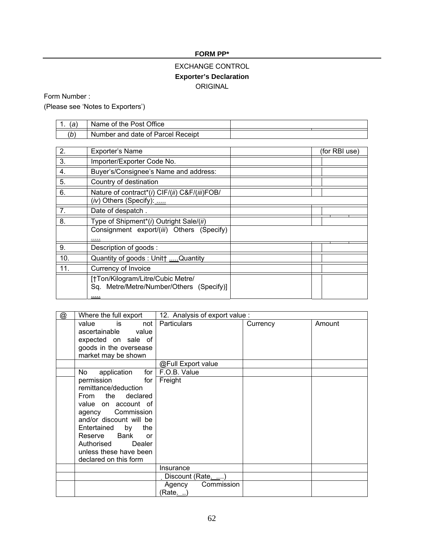# **FORM PP\***

# EXCHANGE CONTROL **Exporter's Declaration**  ORIGINAL

Form Number :

(Please see 'Notes to Exporters')

| 1.<br>(a)        | Name of the Post Office                                                           |               |
|------------------|-----------------------------------------------------------------------------------|---------------|
| (b)              | Number and date of Parcel Receipt                                                 |               |
|                  |                                                                                   |               |
| 2.               | <b>Exporter's Name</b>                                                            | (for RBI use) |
| $\overline{3}$ . | Importer/Exporter Code No.                                                        |               |
| 4.               | Buyer's/Consignee's Name and address:                                             |               |
| 5.               | Country of destination                                                            |               |
| 6.               | Nature of contract*(i) CIF/(ii) C&F/(iii)FOB/                                     |               |
|                  | (iv) Others (Specify):                                                            |               |
| 7.               | Date of despatch.                                                                 |               |
| 8.               | Type of Shipment <sup>*</sup> (i) Outright Sale/(ii)                              |               |
|                  | Consignment export/(iii) Others (Specify)                                         |               |
|                  |                                                                                   |               |
| 9.               | Description of goods:                                                             |               |
| 10.              | Quantity of goods: Unit† Quantity                                                 |               |
| 11.              | Currency of Invoice                                                               |               |
|                  | [†Ton/Kilogram/Litre/Cubic Metre/<br>Sq. Metre/Metre/Number/Others (Specify)]<br> |               |

| @ | Where the full export              | 12. Analysis of export value : |          |        |
|---|------------------------------------|--------------------------------|----------|--------|
|   | not<br>value<br>is                 | <b>Particulars</b>             | Currency | Amount |
|   | ascertainable value                |                                |          |        |
|   | expected on sale of                |                                |          |        |
|   | goods in the oversease             |                                |          |        |
|   | market may be shown                |                                |          |        |
|   |                                    | @Full Export value             |          |        |
|   | for $\vert$<br>application<br>No l | F.O.B. Value                   |          |        |
|   | permission<br>for                  | Freight                        |          |        |
|   | remittance/deduction               |                                |          |        |
|   | From the declared                  |                                |          |        |
|   | value on account of                |                                |          |        |
|   | agency Commission                  |                                |          |        |
|   | and/or discount will be            |                                |          |        |
|   | Entertained by<br>the              |                                |          |        |
|   | Bank<br>Reserve<br>or              |                                |          |        |
|   | Authorised Dealer                  |                                |          |        |
|   | unless these have been             |                                |          |        |
|   | declared on this form              |                                |          |        |
|   |                                    | Insurance                      |          |        |
|   |                                    | Discount (Rate)                |          |        |
|   |                                    | Agency<br>Commission           |          |        |
|   |                                    | (Rate. )                       |          |        |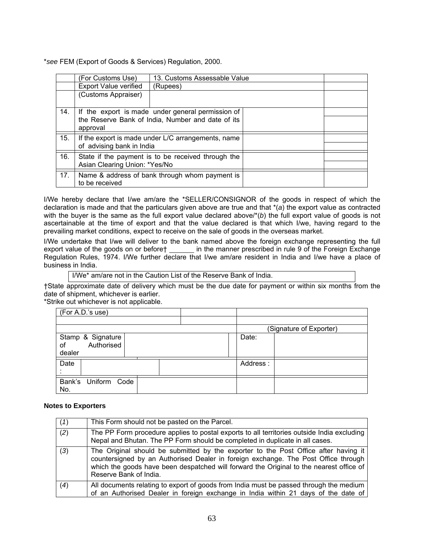\**see* FEM (Export of Goods & Services) Regulation, 2000.

|     | (For Customs Use)             | 13. Customs Assessable Value                       |  |
|-----|-------------------------------|----------------------------------------------------|--|
|     | <b>Export Value verified</b>  | (Rupees)                                           |  |
|     | (Customs Appraiser)           |                                                    |  |
| 14. |                               | If the export is made under general permission of  |  |
|     | approval                      | the Reserve Bank of India, Number and date of its  |  |
| 15. |                               | If the export is made under L/C arrangements, name |  |
|     | of advising bank in India     |                                                    |  |
| 16. |                               | State if the payment is to be received through the |  |
|     | Asian Clearing Union: *Yes/No |                                                    |  |
| 17. | to be received                | Name & address of bank through whom payment is     |  |

I/We hereby declare that I/we am/are the \*SELLER/CONSIGNOR of the goods in respect of which the declaration is made and that the particulars given above are true and that \*(*a*) the export value as contracted with the buyer is the same as the full export value declared above/\*(*b*) the full export value of goods is not ascertainable at the time of export and that the value declared is that which I/we, having regard to the prevailing market conditions, expect to receive on the sale of goods in the overseas market.

I/We undertake that I/we will deliver to the bank named above the foreign exchange representing the full export value of the goods on or before† \_\_\_\_\_\_ in the manner prescribed in rule 9 of the Foreign Exchange Regulation Rules, 1974. I/We further declare that I/we am/are resident in India and I/we have a place of business in India.

I/We\* am/are not in the Caution List of the Reserve Bank of India.

†State approximate date of delivery which must be the due date for payment or within six months from the date of shipment, whichever is earlier.

\*Strike out whichever is not applicable.

| (For A.D.'s use)           |                         |
|----------------------------|-------------------------|
|                            |                         |
|                            | (Signature of Exporter) |
| Stamp & Signature          | Date:                   |
| Authorised<br>οf           |                         |
| dealer                     |                         |
| Date                       | Address:                |
|                            |                         |
| Bank's Uniform Code<br>No. |                         |

## **Notes to Exporters**

| (1) | This Form should not be pasted on the Parcel.                                                                                                                                                                                                                                                  |
|-----|------------------------------------------------------------------------------------------------------------------------------------------------------------------------------------------------------------------------------------------------------------------------------------------------|
| (2) | The PP Form procedure applies to postal exports to all territories outside India excluding<br>Nepal and Bhutan. The PP Form should be completed in duplicate in all cases.                                                                                                                     |
| (3) | The Original should be submitted by the exporter to the Post Office after having it<br>countersigned by an Authorised Dealer in foreign exchange. The Post Office through<br>which the goods have been despatched will forward the Original to the nearest office of<br>Reserve Bank of India. |
| (4) | All documents relating to export of goods from India must be passed through the medium<br>of an Authorised Dealer in foreign exchange in India within 21 days of the date of                                                                                                                   |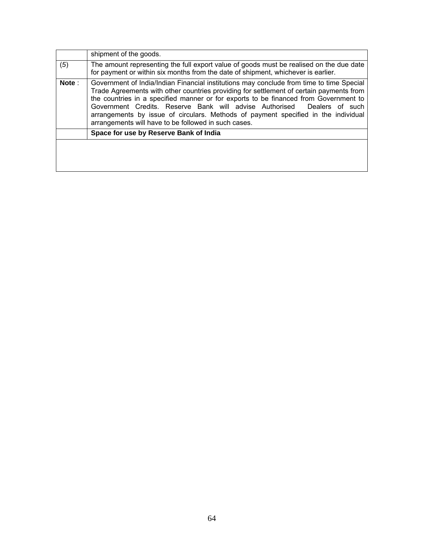|       | shipment of the goods.                                                                                                                                                                                                                                                                                                                                                                                                                                                                                  |  |
|-------|---------------------------------------------------------------------------------------------------------------------------------------------------------------------------------------------------------------------------------------------------------------------------------------------------------------------------------------------------------------------------------------------------------------------------------------------------------------------------------------------------------|--|
| (5)   | The amount representing the full export value of goods must be realised on the due date<br>for payment or within six months from the date of shipment, whichever is earlier.                                                                                                                                                                                                                                                                                                                            |  |
| Note: | Government of India/Indian Financial institutions may conclude from time to time Special<br>Trade Agreements with other countries providing for settlement of certain payments from<br>the countries in a specified manner or for exports to be financed from Government to<br>Government Credits. Reserve Bank will advise Authorised<br>Dealers of such<br>arrangements by issue of circulars. Methods of payment specified in the individual<br>arrangements will have to be followed in such cases. |  |
|       | Space for use by Reserve Bank of India                                                                                                                                                                                                                                                                                                                                                                                                                                                                  |  |
|       |                                                                                                                                                                                                                                                                                                                                                                                                                                                                                                         |  |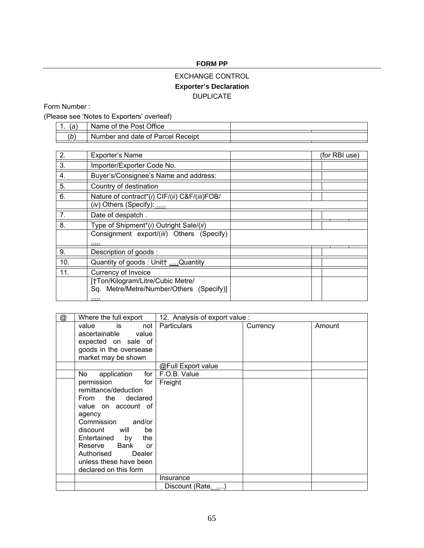# **FORM PP**

# EXCHANGE CONTROL **Exporter's Declaration**  DUPLICATE

Form Number :

(Please see 'Notes to Exporters' overleaf)

| $\sim$<br>. . | Name of the Post Office           |  |
|---------------|-----------------------------------|--|
| 'b)           | Number and date of Parcel Receipt |  |

| 2.  | Exporter's Name                                      | (for RBI use) |
|-----|------------------------------------------------------|---------------|
| 3.  | Importer/Exporter Code No.                           |               |
| 4.  | Buyer's/Consignee's Name and address:                |               |
| 5.  | Country of destination                               |               |
| 6.  | Nature of contract*(i) CIF/(ii) C&F/(iii)FOB/        |               |
|     | $(iv)$ Others (Specify):                             |               |
| 7.  | Date of despatch.                                    |               |
| 8.  | Type of Shipment <sup>*</sup> (i) Outright Sale/(ii) |               |
|     | Consignment export/(iii) Others (Specify)            |               |
|     |                                                      |               |
| 9.  | Description of goods:                                |               |
| 10. | Quantity of goods: Unit† Quantity                    |               |
| 11. | Currency of Invoice                                  |               |
|     | [†Ton/Kilogram/Litre/Cubic Metre/                    |               |
|     | Sq. Metre/Metre/Number/Others (Specify)]             |               |
|     |                                                      |               |

| @ | Where the full export                                                                                                                                                                                                                                                             |                    | 12. Analysis of export value: |        |
|---|-----------------------------------------------------------------------------------------------------------------------------------------------------------------------------------------------------------------------------------------------------------------------------------|--------------------|-------------------------------|--------|
|   | value<br>is is<br>not<br>ascertainable value<br>expected on sale of<br>goods in the oversease<br>market may be shown                                                                                                                                                              | <b>Particulars</b> | Currency                      | Amount |
|   |                                                                                                                                                                                                                                                                                   | @Full Export value |                               |        |
|   | for $\vert$<br>No<br>application                                                                                                                                                                                                                                                  | F.O.B. Value       |                               |        |
|   | permission<br>for l<br>remittance/deduction<br>From the declared<br>value on account of<br>agency<br>Commission and/or<br>discount will<br>be<br>Entertained by<br>the<br>Bank<br>Reserve<br><b>or</b><br>Dealer<br>Authorised<br>unless these have been<br>declared on this form | Freight            |                               |        |
|   |                                                                                                                                                                                                                                                                                   | Insurance          |                               |        |
|   |                                                                                                                                                                                                                                                                                   | Discount (Rate)    |                               |        |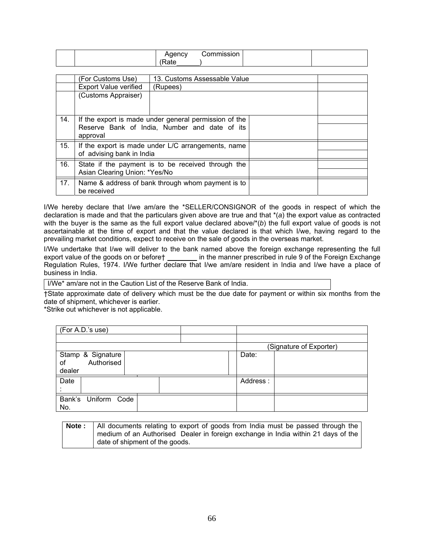|  | . . | - - - - |  |
|--|-----|---------|--|
|  |     |         |  |

|     | (For Customs Use)                                                | 13. Customs Assessable Value                          |  |
|-----|------------------------------------------------------------------|-------------------------------------------------------|--|
|     | <b>Export Value verified</b>                                     | (Rupees)                                              |  |
|     | (Customs Appraiser)                                              |                                                       |  |
| 14. |                                                                  | If the export is made under general permission of the |  |
|     | Reserve Bank of India, Number and date of its<br>approval        |                                                       |  |
| 15. | If the export is made under L/C arrangements, name               |                                                       |  |
|     | of advising bank in India                                        |                                                       |  |
| 16. | State if the payment is to be received through the               |                                                       |  |
|     | Asian Clearing Union: *Yes/No                                    |                                                       |  |
| 17. | Name & address of bank through whom payment is to<br>be received |                                                       |  |

I/We hereby declare that I/we am/are the \*SELLER/CONSIGNOR of the goods in respect of which the declaration is made and that the particulars given above are true and that \*(*a*) the export value as contracted with the buyer is the same as the full export value declared above/\*(*b*) the full export value of goods is not ascertainable at the time of export and that the value declared is that which I/we, having regard to the prevailing market conditions, expect to receive on the sale of goods in the overseas market.

I/We undertake that I/we will deliver to the bank named above the foreign exchange representing the full export value of the goods on or before† \_\_\_\_\_\_\_ in the manner prescribed in rule 9 of the Foreign Exchange Regulation Rules, 1974. I/We further declare that I/we am/are resident in India and I/we have a place of business in India.

I/We\* am/are not in the Caution List of the Reserve Bank of India.

†State approximate date of delivery which must be the due date for payment or within six months from the date of shipment, whichever is earlier.

\*Strike out whichever is not applicable.

| (For A.D.'s use)       |                         |
|------------------------|-------------------------|
|                        |                         |
|                        | (Signature of Exporter) |
| Stamp & Signature      | Date:                   |
| Authorised<br>of       |                         |
| dealer                 |                         |
| Date                   | Address:                |
|                        |                         |
| Bank's<br>Uniform Code |                         |
| No.                    |                         |

| Note: | All documents relating to export of goods from India must be passed through the   |
|-------|-----------------------------------------------------------------------------------|
|       | medium of an Authorised Dealer in foreign exchange in India within 21 days of the |
|       | date of shipment of the goods.                                                    |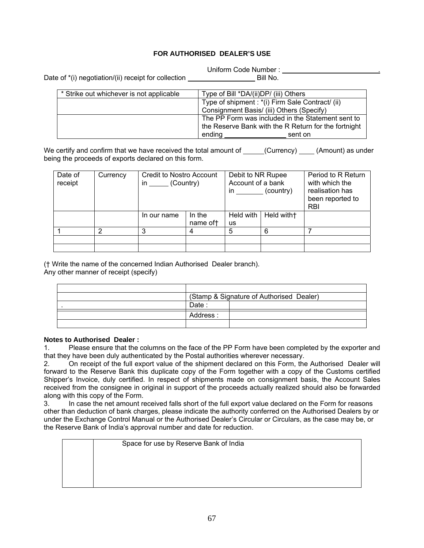# **FOR AUTHORISED DEALER'S USE**

Uniform Code Number : .

Date of  $*(i)$  negotiation/(ii) receipt for collection Bill No.

| * Strike out whichever is not applicable | Type of Bill *DA/(ii)DP/ (iii) Others                |
|------------------------------------------|------------------------------------------------------|
|                                          | Type of shipment : *(i) Firm Sale Contract/ (ii)     |
|                                          | Consignment Basis/ (iii) Others (Specify)            |
|                                          | The PP Form was included in the Statement sent to    |
|                                          | the Reserve Bank with the R Return for the fortnight |
|                                          | ending<br>sent on                                    |

We certify and confirm that we have received the total amount of  $\qquad (Current)$  (Amount) as under being the proceeds of exports declared on this form.

| Date of<br>receipt | Currency | <b>Credit to Nostro Account</b><br>(Country)<br>in |                     | Debit to NR Rupee<br>Account of a bank<br>(country)<br>in. |            | Period to R Return<br>with which the<br>realisation has<br>been reported to<br><b>RBI</b> |
|--------------------|----------|----------------------------------------------------|---------------------|------------------------------------------------------------|------------|-------------------------------------------------------------------------------------------|
|                    |          | In our name                                        | In the<br>name of t | Held with  <br>us                                          | Held with+ |                                                                                           |
|                    | っ        | 3                                                  | 4                   | 5                                                          | 6          |                                                                                           |
|                    |          |                                                    |                     |                                                            |            |                                                                                           |
|                    |          |                                                    |                     |                                                            |            |                                                                                           |

(† Write the name of the concerned Indian Authorised Dealer branch).

Any other manner of receipt (specify)

|          | (Stamp & Signature of Authorised Dealer) |
|----------|------------------------------------------|
| Date.    |                                          |
| Address: |                                          |
|          |                                          |

## **Notes to Authorised Dealer :**

1. Please ensure that the columns on the face of the PP Form have been completed by the exporter and that they have been duly authenticated by the Postal authorities wherever necessary.

2. On receipt of the full export value of the shipment declared on this Form, the Authorised Dealer will forward to the Reserve Bank this duplicate copy of the Form together with a copy of the Customs certified Shipper's Invoice, duly certified. In respect of shipments made on consignment basis, the Account Sales received from the consignee in original in support of the proceeds actually realized should also be forwarded along with this copy of the Form.

3. In case the net amount received falls short of the full export value declared on the Form for reasons other than deduction of bank charges, please indicate the authority conferred on the Authorised Dealers by or under the Exchange Control Manual or the Authorised Dealer's Circular or Circulars, as the case may be, or the Reserve Bank of India's approval number and date for reduction.

Space for use by Reserve Bank of India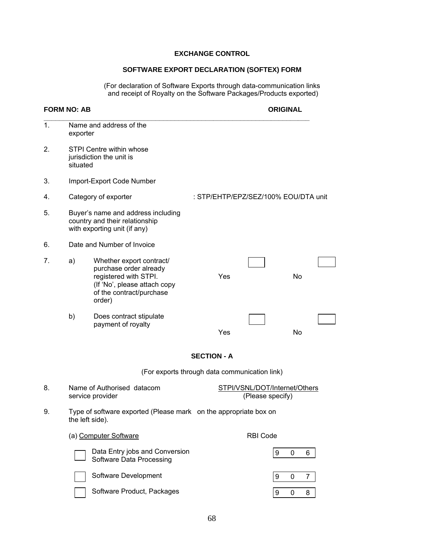# **EXCHANGE CONTROL**

# **SOFTWARE EXPORT DECLARATION (SOFTEX) FORM**

(For declaration of Software Exports through data-communication links and receipt of Royalty on the Software Packages/Products exported)

# **FORM NO: AB ORIGINAL**

9 0 8

| 1. |                                                                                                     | Name and address of the<br>exporter                                                                                                               |                                               |                  |           |                |  |
|----|-----------------------------------------------------------------------------------------------------|---------------------------------------------------------------------------------------------------------------------------------------------------|-----------------------------------------------|------------------|-----------|----------------|--|
| 2. | situated                                                                                            | STPI Centre within whose<br>jurisdiction the unit is                                                                                              |                                               |                  |           |                |  |
| 3. |                                                                                                     | Import-Export Code Number                                                                                                                         |                                               |                  |           |                |  |
| 4. |                                                                                                     | Category of exporter                                                                                                                              | : STP/EHTP/EPZ/SEZ/100% EOU/DTA unit          |                  |           |                |  |
| 5. |                                                                                                     | Buyer's name and address including<br>country and their relationship<br>with exporting unit (if any)                                              |                                               |                  |           |                |  |
| 6. |                                                                                                     | Date and Number of Invoice                                                                                                                        |                                               |                  |           |                |  |
| 7. | a)                                                                                                  | Whether export contract/<br>purchase order already<br>registered with STPI.<br>(If 'No', please attach copy<br>of the contract/purchase<br>order) | Yes                                           |                  | <b>No</b> |                |  |
|    | b)                                                                                                  | Does contract stipulate<br>payment of royalty                                                                                                     | Yes                                           |                  | No        |                |  |
|    |                                                                                                     |                                                                                                                                                   | <b>SECTION - A</b>                            |                  |           |                |  |
|    |                                                                                                     |                                                                                                                                                   | (For exports through data communication link) |                  |           |                |  |
| 8. | Name of Authorised datacom<br>STPI/VSNL/DOT/Internet/Others<br>(Please specify)<br>service provider |                                                                                                                                                   |                                               |                  |           |                |  |
| 9. |                                                                                                     | Type of software exported (Please mark on the appropriate box on<br>the left side).                                                               |                                               |                  |           |                |  |
|    |                                                                                                     | (a) Computer Software                                                                                                                             |                                               | <b>RBI Code</b>  |           |                |  |
|    |                                                                                                     | Data Entry jobs and Conversion<br>Software Data Processing                                                                                        |                                               | 9                | 0         | 6              |  |
|    |                                                                                                     | Software Development                                                                                                                              |                                               | $\boldsymbol{9}$ | 0         | $\overline{7}$ |  |

Software Product, Packages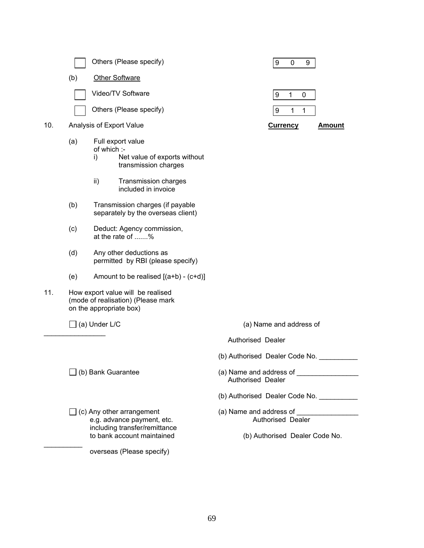|     |     | Others (Please specify)                                                                                                                              | 9<br>$\mathbf 0$<br>9                                                          |  |  |
|-----|-----|------------------------------------------------------------------------------------------------------------------------------------------------------|--------------------------------------------------------------------------------|--|--|
|     | (b) | <b>Other Software</b>                                                                                                                                |                                                                                |  |  |
|     |     | Video/TV Software                                                                                                                                    | $\boldsymbol{9}$<br>$\mathbf{1}$<br>$\mathbf 0$                                |  |  |
|     |     | Others (Please specify)                                                                                                                              | $\boldsymbol{9}$<br>1<br>1                                                     |  |  |
| 10. |     | Analysis of Export Value                                                                                                                             | <b>Currency</b><br><u>Amount</u>                                               |  |  |
|     | (a) | Full export value<br>of which :-<br>Net value of exports without<br>i)<br>transmission charges<br>ii)<br>Transmission charges<br>included in invoice |                                                                                |  |  |
|     | (b) | Transmission charges (if payable<br>separately by the overseas client)                                                                               |                                                                                |  |  |
|     | (c) | Deduct: Agency commission,<br>at the rate of %                                                                                                       |                                                                                |  |  |
|     | (d) | Any other deductions as<br>permitted by RBI (please specify)                                                                                         |                                                                                |  |  |
|     | (e) | Amount to be realised $[(a+b)-(c+d)]$                                                                                                                |                                                                                |  |  |
| 11. |     | How export value will be realised<br>(mode of realisation) (Please mark<br>on the appropriate box)                                                   |                                                                                |  |  |
|     |     | $\Box$ (a) Under L/C                                                                                                                                 | (a) Name and address of                                                        |  |  |
|     |     |                                                                                                                                                      | Authorised Dealer                                                              |  |  |
|     |     |                                                                                                                                                      | (b) Authorised Dealer Code No.                                                 |  |  |
|     |     | $\Box$ (b) Bank Guarantee                                                                                                                            | <b>Authorised Dealer</b>                                                       |  |  |
|     |     |                                                                                                                                                      | (b) Authorised Dealer Code No. __________                                      |  |  |
|     |     | $\Box$ (c) Any other arrangement<br>e.g. advance payment, etc.<br>including transfer/remittance<br>to bank account maintained                        | (a) Name and address of<br>Authorised Dealer<br>(b) Authorised Dealer Code No. |  |  |
|     |     | overseas (Please specify)                                                                                                                            |                                                                                |  |  |
|     |     |                                                                                                                                                      |                                                                                |  |  |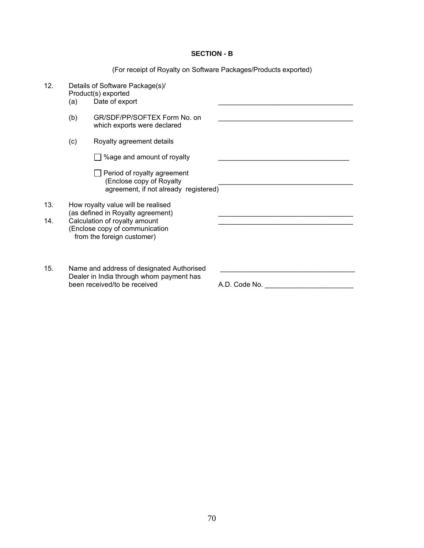# **SECTION - B**

(For receipt of Royalty on Software Packages/Products exported)

| 12. | (a) | Details of Software Package(s)/<br>Product(s) exported<br>Date of export                                              |               |
|-----|-----|-----------------------------------------------------------------------------------------------------------------------|---------------|
|     | (b) | GR/SDF/PP/SOFTEX Form No. on<br>which exports were declared                                                           |               |
|     | (c) | Royalty agreement details                                                                                             |               |
|     |     | %age and amount of royalty                                                                                            |               |
|     |     | Period of royalty agreement<br>(Enclose copy of Royalty<br>agreement, if not already registered)                      |               |
| 13. |     | How royalty value will be realised<br>(as defined in Royalty agreement)                                               |               |
| 14. |     | Calculation of royalty amount<br>(Enclose copy of communication<br>from the foreign customer)                         |               |
| 15. |     | Name and address of designated Authorised<br>Dealer in India through whom payment has<br>been received/to be received | A.D. Code No. |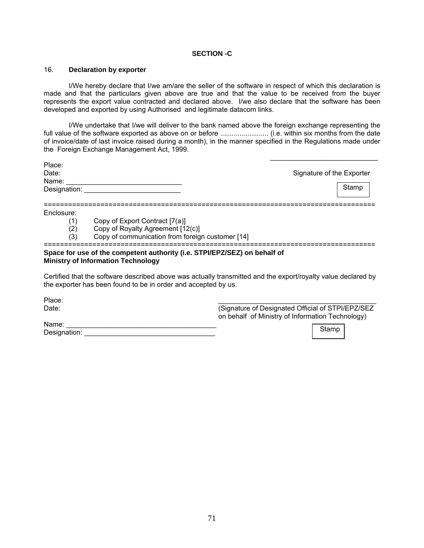## **SECTION -C**

## 16. **Declaration by exporter**

 I/We hereby declare that I/we am/are the seller of the software in respect of which this declaration is made and that the particulars given above are true and that the value to be received from the buyer represents the export value contracted and declared above. I/we also declare that the software has been developed and exported by using Authorised and legitimate datacom links.

 I/We undertake that I/we will deliver to the bank named above the foreign exchange representing the full value of the software exported as above on or before ......................... (i.e. within six months from the date of invoice/date of last invoice raised during a month), in the manner specified in the Regulations made under the Foreign Exchange Management Act, 1999.

 $\mathcal{L}_\text{max}$  , and the contract of the contract of the contract of the contract of the contract of the contract of the contract of the contract of the contract of the contract of the contract of the contract of the contr

| Place:<br>Date:       |                                                                                                                        | Signature of the Exporter |       |  |
|-----------------------|------------------------------------------------------------------------------------------------------------------------|---------------------------|-------|--|
| Name:<br>Designation: |                                                                                                                        |                           | Stamp |  |
| Enclosure:            |                                                                                                                        |                           |       |  |
| (1)                   | Copy of Export Contract [7(a)]                                                                                         |                           |       |  |
| (2)                   | Copy of Royalty Agreement [12(c)]                                                                                      |                           |       |  |
| (3)                   | Copy of communication from foreign customer [14]                                                                       |                           |       |  |
|                       | Space for use of the competent authority (i.e. STPI/EPZ/SEZ) on behalf of<br><b>Ministry of Information Technology</b> |                           |       |  |

Certified that the software described above was actually transmitted and the export/royalty value declared by the exporter has been found to be in order and accepted by us.

| Place:       |                                                    |
|--------------|----------------------------------------------------|
| Date:        | (Signature of Designated Official of STPI/EPZ/SEZ) |
|              | on behalf of Ministry of Information Technology)   |
| Name:        |                                                    |
| Designation: | Stamp                                              |
|              |                                                    |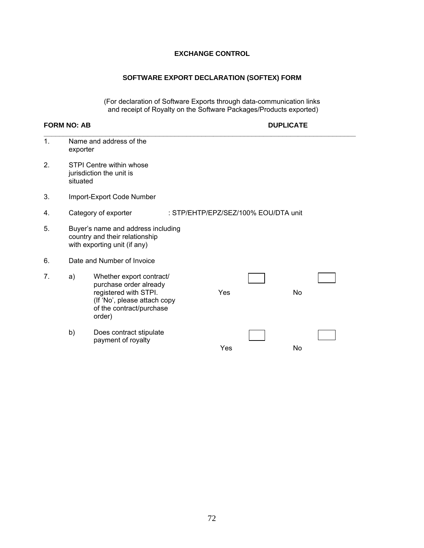# **EXCHANGE CONTROL**

# **SOFTWARE EXPORT DECLARATION (SOFTEX) FORM**

(For declaration of Software Exports through data-communication links and receipt of Royalty on the Software Packages/Products exported)

# **FORM NO: AB DUPLICATE**

| $\mathbf{1}$ . | exporter                                                                                             | Name and address of the                                                                                                                           |  |     |                                      |           |  |
|----------------|------------------------------------------------------------------------------------------------------|---------------------------------------------------------------------------------------------------------------------------------------------------|--|-----|--------------------------------------|-----------|--|
| 2.             | situated                                                                                             | STPI Centre within whose<br>jurisdiction the unit is                                                                                              |  |     |                                      |           |  |
| 3.             | Import-Export Code Number                                                                            |                                                                                                                                                   |  |     |                                      |           |  |
| 4.             |                                                                                                      | Category of exporter                                                                                                                              |  |     | : STP/EHTP/EPZ/SEZ/100% EOU/DTA unit |           |  |
| 5.             | Buyer's name and address including<br>country and their relationship<br>with exporting unit (if any) |                                                                                                                                                   |  |     |                                      |           |  |
| 6.             |                                                                                                      | Date and Number of Invoice                                                                                                                        |  |     |                                      |           |  |
| 7.             | a)                                                                                                   | Whether export contract/<br>purchase order already<br>registered with STPI.<br>(If 'No', please attach copy<br>of the contract/purchase<br>order) |  | Yes |                                      | <b>No</b> |  |
|                | b)                                                                                                   | Does contract stipulate<br>payment of royalty                                                                                                     |  | Yes |                                      | No        |  |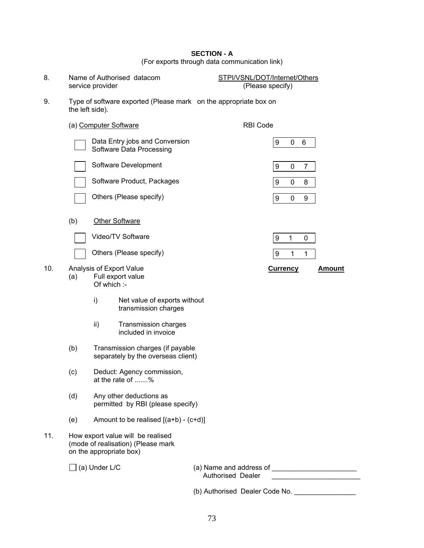# **SECTION - A**

(For exports through data communication link)

| 8.  |                 | Name of Authorised datacom<br>service provider                                                     | STPI/VSNL/DOT/Internet/Others<br>(Please specify) |                 |             |                |               |
|-----|-----------------|----------------------------------------------------------------------------------------------------|---------------------------------------------------|-----------------|-------------|----------------|---------------|
| 9.  | the left side). | Type of software exported (Please mark on the appropriate box on                                   |                                                   |                 |             |                |               |
|     |                 | (a) Computer Software                                                                              | <b>RBI Code</b>                                   |                 |             |                |               |
|     |                 | Data Entry jobs and Conversion<br>Software Data Processing                                         |                                                   | 9               | 0           | 6              |               |
|     |                 | Software Development                                                                               |                                                   | 9               | $\pmb{0}$   | $\overline{7}$ |               |
|     |                 | Software Product, Packages                                                                         |                                                   | 9               | 0           | 8              |               |
|     |                 | Others (Please specify)                                                                            |                                                   | 9               | $\pmb{0}$   | 9              |               |
|     | (b)             | <b>Other Software</b>                                                                              |                                                   |                 |             |                |               |
|     |                 | Video/TV Software                                                                                  |                                                   | 9               | $\mathbf 1$ | 0              |               |
|     |                 | Others (Please specify)                                                                            |                                                   | 9               | 1           | 1              |               |
| 10. | (a)             | Analysis of Export Value<br>Full export value<br>Of which :-                                       |                                                   | <b>Currency</b> |             |                | <u>Amount</u> |
|     |                 | i)<br>Net value of exports without<br>transmission charges                                         |                                                   |                 |             |                |               |
|     |                 | ii)<br><b>Transmission charges</b><br>included in invoice                                          |                                                   |                 |             |                |               |
|     | (b)             | Transmission charges (if payable<br>separately by the overseas client)                             |                                                   |                 |             |                |               |
|     | (c)             | Deduct: Agency commission,<br>at the rate of %                                                     |                                                   |                 |             |                |               |
|     | (d)             | Any other deductions as<br>permitted by RBI (please specify)                                       |                                                   |                 |             |                |               |
|     | (e)             | Amount to be realised $[(a+b) - (c+d)]$                                                            |                                                   |                 |             |                |               |
| 11. |                 | How export value will be realised<br>(mode of realisation) (Please mark<br>on the appropriate box) |                                                   |                 |             |                |               |
|     |                 | $\Box$ (a) Under L/C                                                                               | <b>Authorised Dealer</b>                          |                 |             |                |               |

(b) Authorised Dealer Code No. \_\_\_\_\_\_\_\_\_\_\_\_\_\_\_\_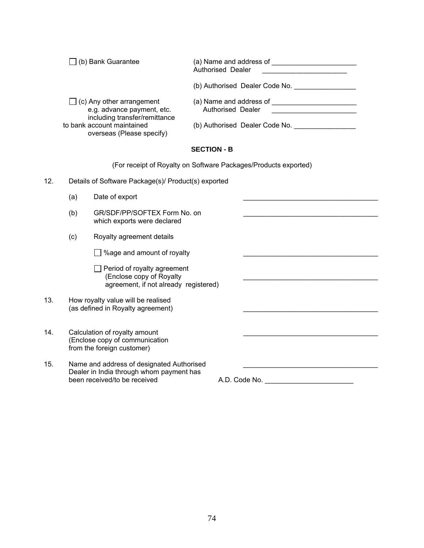| $\Box$ (b) Bank Guarantee                                                                       | (a) Name and address of<br>Authorised Dealer |
|-------------------------------------------------------------------------------------------------|----------------------------------------------|
|                                                                                                 | (b) Authorised Dealer Code No.               |
| $\Box$ (c) Any other arrangement<br>e.g. advance payment, etc.<br>including transfer/remittance | (a) Name and address of<br>Authorised Dealer |
| to bank account maintained<br>overseas (Please specify)                                         | (b) Authorised Dealer Code No.               |
|                                                                                                 | <b>SECTION - B</b>                           |

(For receipt of Royalty on Software Packages/Products exported)

- 12. Details of Software Package(s)/ Product(s) exported
- $(a)$  Date of export (b) GR/SDF/PP/SOFTEX Form No. on which exports were declared (c) Royalty agreement details  $\Box$  %age and amount of royalty  $\Box$  Period of royalty agreement (Enclose copy of Royalty \_\_\_\_\_\_\_\_\_\_\_\_\_\_\_\_\_\_\_\_\_\_\_\_\_\_\_\_\_\_\_\_\_\_\_ agreement, if not already registered) 13. How royalty value will be realised (as defined in Royalty agreement) 14. Calculation of royalty amount (Enclose copy of communication from the foreign customer) 15. Name and address of designated Authorised Dealer in India through whom payment has<br>been received/to be received been received/to be received A.D. Code No. \_\_\_\_\_\_\_\_\_\_\_\_\_\_\_\_\_\_\_\_\_\_\_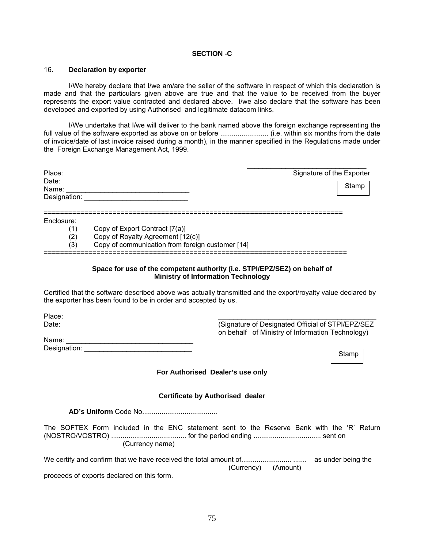# **SECTION -C**

#### 16. **Declaration by exporter**

 I/We hereby declare that I/we am/are the seller of the software in respect of which this declaration is made and that the particulars given above are true and that the value to be received from the buyer represents the export value contracted and declared above. I/we also declare that the software has been developed and exported by using Authorised and legitimate datacom links.

 I/We undertake that I/we will deliver to the bank named above the foreign exchange representing the full value of the software exported as above on or before ......................... (i.e. within six months from the date of invoice/date of last invoice raised during a month), in the manner specified in the Regulations made under the Foreign Exchange Management Act, 1999.

| Place:<br>Date:<br>Name: | <u> 1980 - Johann Barbara, martxa alemaniar argumento de la contrada de la contrada de la contrada de la contrada</u><br>Designation: _____________ | Signature of the Exporter<br>Stamp                                                                                     |
|--------------------------|-----------------------------------------------------------------------------------------------------------------------------------------------------|------------------------------------------------------------------------------------------------------------------------|
|                          |                                                                                                                                                     |                                                                                                                        |
| Enclosure:               |                                                                                                                                                     |                                                                                                                        |
| (1)                      | Copy of Export Contract [7(a)]                                                                                                                      |                                                                                                                        |
| (2)                      | Copy of Royalty Agreement [12(c)]                                                                                                                   |                                                                                                                        |
| (3)                      | Copy of communication from foreign customer [14]                                                                                                    |                                                                                                                        |
|                          |                                                                                                                                                     | Space for use of the competent authority (i.e. STPI/EPZ/SEZ) on behalf of<br><b>Ministry of Information Technology</b> |
|                          | the exporter has been found to be in order and accepted by us.                                                                                      | Certified that the software described above was actually transmitted and the export/royalty value declared by          |
| Place:                   |                                                                                                                                                     |                                                                                                                        |
| Date:                    |                                                                                                                                                     | (Signature of Designated Official of STPI/EPZ/SEZ                                                                      |
|                          |                                                                                                                                                     | on behalf of Ministry of Information Technology)                                                                       |
|                          |                                                                                                                                                     |                                                                                                                        |
|                          |                                                                                                                                                     | Stamp                                                                                                                  |
|                          |                                                                                                                                                     | For Authorised Dealer's use only                                                                                       |
|                          |                                                                                                                                                     | <b>Certificate by Authorised dealer</b>                                                                                |
|                          |                                                                                                                                                     |                                                                                                                        |
|                          | (Currency name)                                                                                                                                     | The SOFTEX Form included in the ENC statement sent to the Reserve Bank with the 'R' Return                             |
|                          |                                                                                                                                                     | (Currency) (Amount)                                                                                                    |
|                          | proceeds of exports declared on this form.                                                                                                          |                                                                                                                        |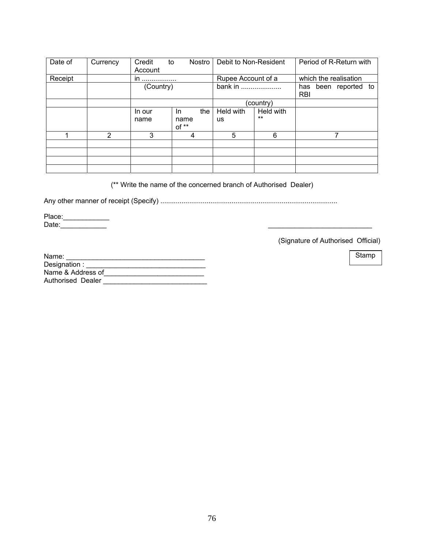| Date of | Currency | Credit<br>Account | Nostro<br>to  | Debit to Non-Resident |           | Period of R-Return with            |
|---------|----------|-------------------|---------------|-----------------------|-----------|------------------------------------|
| Receipt |          | in<br>            |               | Rupee Account of a    |           | which the realisation              |
|         |          | (Country)         |               | bank in               |           | has been reported to<br><b>RBI</b> |
|         |          |                   |               |                       | (country) |                                    |
|         |          | In our            | the<br>In.    | Held with             | Held with |                                    |
|         |          | name              | name<br>of ** | <b>us</b>             | $***$     |                                    |
|         | 2        | 3                 | 4             | 5                     | 6         | 7                                  |
|         |          |                   |               |                       |           |                                    |
|         |          |                   |               |                       |           |                                    |
|         |          |                   |               |                       |           |                                    |
|         |          |                   |               |                       |           |                                    |

(\*\* Write the name of the concerned branch of Authorised Dealer)

Any other manner of receipt (Specify) ............................................................................................

Place: \_\_\_\_\_\_\_\_\_\_\_\_\_\_ Date:\_\_\_\_\_\_\_\_\_\_\_\_ \_\_\_\_\_\_\_\_\_\_\_\_\_\_\_\_\_\_\_\_\_\_\_\_\_\_\_

(Signature of Authorised Official)

| Name:             |  |
|-------------------|--|
| Designation:      |  |
| Name & Address of |  |
| Authorised Dealer |  |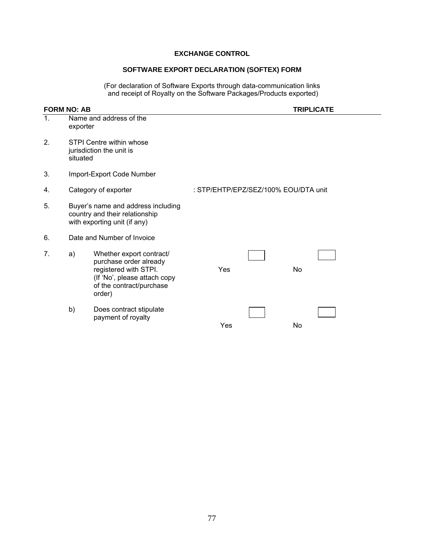# **EXCHANGE CONTROL**

# **SOFTWARE EXPORT DECLARATION (SOFTEX) FORM**

(For declaration of Software Exports through data-communication links and receipt of Royalty on the Software Packages/Products exported)

|                | <b>FORM NO: AB</b> |                                                                                                                                                   | <b>TRIPLICATE</b>                    |  |    |  |  |
|----------------|--------------------|---------------------------------------------------------------------------------------------------------------------------------------------------|--------------------------------------|--|----|--|--|
| $\mathbf{1}$ . | exporter           | Name and address of the                                                                                                                           |                                      |  |    |  |  |
| 2 <sub>1</sub> | situated           | STPI Centre within whose<br>jurisdiction the unit is                                                                                              |                                      |  |    |  |  |
| 3.             |                    | Import-Export Code Number                                                                                                                         |                                      |  |    |  |  |
| 4.             |                    | Category of exporter                                                                                                                              | : STP/EHTP/EPZ/SEZ/100% EOU/DTA unit |  |    |  |  |
| 5.             |                    | Buyer's name and address including<br>country and their relationship<br>with exporting unit (if any)                                              |                                      |  |    |  |  |
| 6.             |                    | Date and Number of Invoice                                                                                                                        |                                      |  |    |  |  |
| 7.             | a)                 | Whether export contract/<br>purchase order already<br>registered with STPI.<br>(If 'No', please attach copy<br>of the contract/purchase<br>order) | Yes                                  |  | No |  |  |
|                | b)                 | Does contract stipulate<br>payment of royalty                                                                                                     | Yes                                  |  | No |  |  |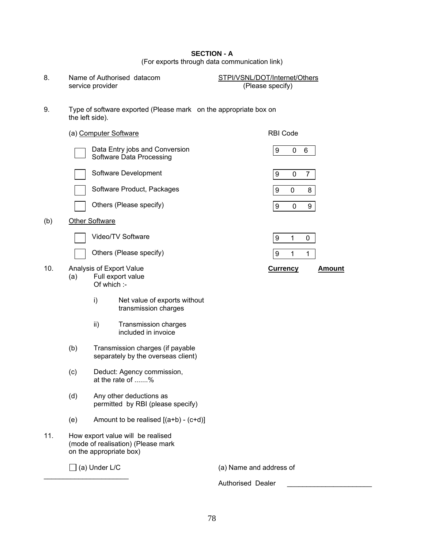#### **SECTION - A**  (For exports through data communication link)

|                   | is or oxporto an ought data communication miny |
|-------------------|------------------------------------------------|
|                   |                                                |
| uthoriand dotanom | CTDI/ICNI/DOT/I <sub>other</sub>               |

8. Name of Authorised datacom STPI/VSNL/DOT/Internet/Others<br>service provider (Please specify) service provider

#### 9. Type of software exported (Please mark on the appropriate box on the left side).

|     |     | (a) Computer Software |                                                                                                    | RBI Code                |                  |             |                |               |
|-----|-----|-----------------------|----------------------------------------------------------------------------------------------------|-------------------------|------------------|-------------|----------------|---------------|
|     |     |                       | Data Entry jobs and Conversion<br>Software Data Processing                                         |                         | 9                | 0           | 6              |               |
|     |     |                       | Software Development                                                                               |                         | 9                | $\mathbf 0$ | $\overline{7}$ |               |
|     |     |                       | Software Product, Packages                                                                         |                         | 9                | 0           | 8              |               |
|     |     |                       | Others (Please specify)                                                                            |                         | $\boldsymbol{9}$ | $\mathbf 0$ | 9              |               |
| (b) |     | <b>Other Software</b> |                                                                                                    |                         |                  |             |                |               |
|     |     |                       | Video/TV Software                                                                                  |                         | 9                | 1           | $\pmb{0}$      |               |
|     |     |                       | Others (Please specify)                                                                            |                         | 9                | 1           | 1              |               |
| 10. | (a) | Of which :-           | Analysis of Export Value<br>Full export value                                                      |                         | <b>Currency</b>  |             |                | <b>Amount</b> |
|     |     | i)                    | Net value of exports without<br>transmission charges                                               |                         |                  |             |                |               |
|     |     | ii)                   | Transmission charges<br>included in invoice                                                        |                         |                  |             |                |               |
|     | (b) |                       | Transmission charges (if payable<br>separately by the overseas client)                             |                         |                  |             |                |               |
|     | (c) |                       | Deduct: Agency commission,<br>at the rate of %                                                     |                         |                  |             |                |               |
|     | (d) |                       | Any other deductions as<br>permitted by RBI (please specify)                                       |                         |                  |             |                |               |
|     | (e) |                       | Amount to be realised $[(a+b) - (c+d)]$                                                            |                         |                  |             |                |               |
| 11. |     |                       | How export value will be realised<br>(mode of realisation) (Please mark<br>on the appropriate box) |                         |                  |             |                |               |
|     |     | (a) Under L/C         |                                                                                                    | (a) Name and address of |                  |             |                |               |

Authorised Dealer \_\_\_\_\_\_\_\_\_\_\_\_\_\_\_\_\_\_\_\_\_\_\_

 $\overline{\phantom{a}}$  , where  $\overline{\phantom{a}}$  , where  $\overline{\phantom{a}}$  , where  $\overline{\phantom{a}}$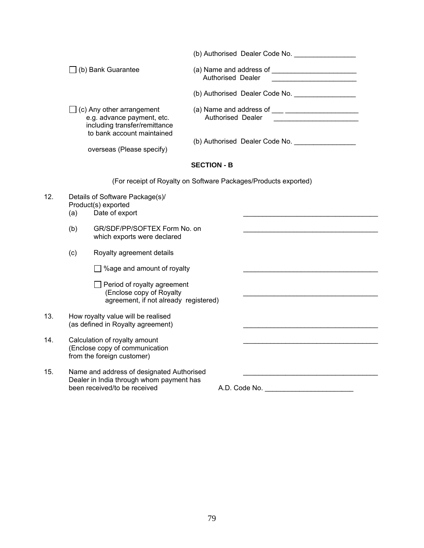|     |                           |                                                                                                                                  |                    |                                                   | (b) Authorised Dealer Code No. _________________ |
|-----|---------------------------|----------------------------------------------------------------------------------------------------------------------------------|--------------------|---------------------------------------------------|--------------------------------------------------|
|     |                           | $\Box$ (b) Bank Guarantee                                                                                                        |                    | Authorised Dealer                                 | (a) Name and address of $\frac{1}{2}$            |
|     |                           |                                                                                                                                  |                    |                                                   |                                                  |
|     |                           | $\exists$ (c) Any other arrangement<br>e.g. advance payment, etc.<br>including transfer/remittance<br>to bank account maintained |                    | Authorised Dealer                                 |                                                  |
|     | overseas (Please specify) |                                                                                                                                  |                    | (b) Authorised Dealer Code No. __________________ |                                                  |
|     |                           |                                                                                                                                  | <b>SECTION - B</b> |                                                   |                                                  |
|     |                           | (For receipt of Royalty on Software Packages/Products exported)                                                                  |                    |                                                   |                                                  |
| 12. | (a)                       | Details of Software Package(s)/<br>Product(s) exported<br>Date of export                                                         |                    |                                                   |                                                  |
|     | (b)                       | GR/SDF/PP/SOFTEX Form No. on<br>which exports were declared                                                                      |                    |                                                   |                                                  |
|     | (c)                       | Royalty agreement details                                                                                                        |                    |                                                   |                                                  |
|     |                           | $\Box$ %age and amount of royalty                                                                                                |                    |                                                   |                                                  |
|     |                           | Period of royalty agreement<br>(Enclose copy of Royalty<br>agreement, if not already registered)                                 |                    |                                                   |                                                  |
| 13. |                           | How royalty value will be realised<br>(as defined in Royalty agreement)                                                          |                    |                                                   |                                                  |
| 14. |                           | Calculation of royalty amount<br>(Enclose copy of communication<br>from the foreign customer)                                    |                    |                                                   |                                                  |
| 15. |                           | Name and address of designated Authorised<br>Dealer in India through whom payment has<br>been received/to be received            |                    |                                                   | A.D. Code No. ___________________________        |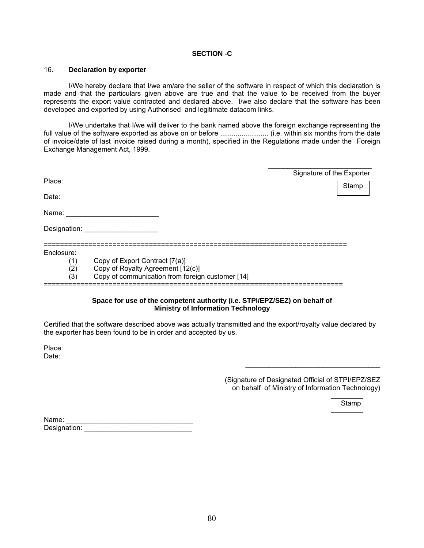### **SECTION -C**

#### 16. **Declaration by exporter**

 I/We hereby declare that I/we am/are the seller of the software in respect of which this declaration is made and that the particulars given above are true and that the value to be received from the buyer represents the export value contracted and declared above. I/we also declare that the software has been developed and exported by using Authorised and legitimate datacom links.

 I/We undertake that I/we will deliver to the bank named above the foreign exchange representing the full value of the software exported as above on or before ......................... (i.e. within six months from the date of invoice/date of last invoice raised during a month), specified in the Regulations made under the Foreign Exchange Management Act, 1999.

| Place:       |                                                  | Signature of the Exporter |
|--------------|--------------------------------------------------|---------------------------|
|              |                                                  | Stamp                     |
| Date:        |                                                  |                           |
| Name:        |                                                  |                           |
| Designation: |                                                  |                           |
|              |                                                  |                           |
| Enclosure:   |                                                  |                           |
| (1)          | Copy of Export Contract [7(a)]                   |                           |
| (2)          | Copy of Royalty Agreement [12(c)]                |                           |
| (3)          | Copy of communication from foreign customer [14] |                           |

### **Space for use of the competent authority (i.e. STPI/EPZ/SEZ) on behalf of Ministry of Information Technology**

Certified that the software described above was actually transmitted and the export/royalty value declared by the exporter has been found to be in order and accepted by us.

Place: Date:

> (Signature of Designated Official of STPI/EPZ/SEZ on behalf of Ministry of Information Technology)

\_\_\_\_\_\_\_\_\_\_\_\_\_\_\_\_\_\_\_\_\_\_\_\_\_\_\_\_\_\_\_\_\_\_\_

Stamp

| Name:        |  |
|--------------|--|
| Designation: |  |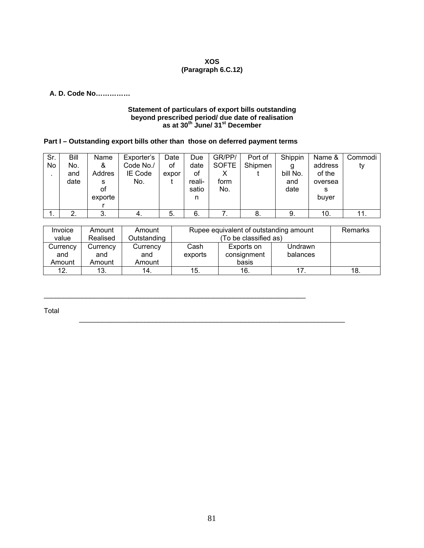# **XOS (Paragraph 6.C.12)**

## **A. D. Code No……………**

#### **Statement of particulars of export bills outstanding beyond prescribed period/ due date of realisation as at 30th June/ 31st December**

# **Part I – Outstanding export bills other than those on deferred payment terms**

 $\_$  , and the set of the set of the set of the set of the set of the set of the set of the set of the set of the set of the set of the set of the set of the set of the set of the set of the set of the set of the set of th

| Sr. | Bill | Name    | Exporter's | Date  | Due    | GR/PP/       | Port of | Shippin  | Name &  | Commodi |
|-----|------|---------|------------|-------|--------|--------------|---------|----------|---------|---------|
| No  | No.  | &       | Code No./  | οf    | date   | <b>SOFTE</b> | Shipmen | g        | address | ty      |
|     | and  | Addres  | IE Code    | expor | οf     | Χ            |         | bill No. | of the  |         |
|     | date | s       | No.        |       | reali- | form         |         | and      | oversea |         |
|     |      | οf      |            |       | satio  | No.          |         | date     | s       |         |
|     |      | exporte |            |       | n      |              |         |          | buyer   |         |
|     |      |         |            |       |        |              |         |          |         |         |
| . . | ົ    | 3.      | -4.        | 5.    | 6.     |              | о.      | 9.       | 10.     | 11.     |

| Invoice  | Amount   | Amount      | Rupee equivalent of outstanding amount | <b>Remarks</b> |          |     |
|----------|----------|-------------|----------------------------------------|----------------|----------|-----|
| value    | Realised | Outstanding |                                        |                |          |     |
| Currency | Currency | Currency    | Cash                                   | Exports on     | Undrawn  |     |
| and      | and      | and         | exports                                | consignment    | balances |     |
| Amount   | Amount   | Amount      |                                        | basis          |          |     |
| 12.      | 13.      | 14.         | 15.                                    | 16.            |          | 18. |

 $\mathcal{L}_\text{max}$  , and the set of the set of the set of the set of the set of the set of the set of the set of the set of the set of the set of the set of the set of the set of the set of the set of the set of the set of the

Total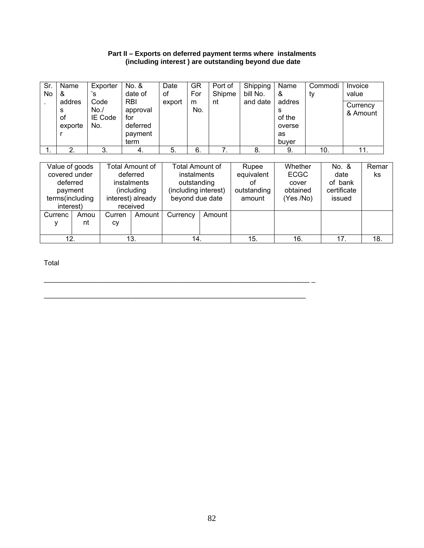## **Part II – Exports on deferred payment terms where instalments (including interest ) are outstanding beyond due date**

| Sr.<br>No. | Name<br>&<br>addres<br>s<br>οf<br>exporte              | Exporter<br>'s<br>Code<br>No.<br>IE Code<br>No. | No. &<br>date of<br><b>RBI</b><br>approval<br>for<br>deferred<br>payment<br>term | Date<br>οf<br>export | GR<br>For<br>m<br>No.                                                 | Port of<br>Shipme<br>nt | Shipping<br>bill No.<br>and date         | Name<br>&<br>addres<br>s<br>of the<br>overse<br>as<br>buver | ty | Commodi                                 | Invoice<br>value<br>Currency | & Amount    |
|------------|--------------------------------------------------------|-------------------------------------------------|----------------------------------------------------------------------------------|----------------------|-----------------------------------------------------------------------|-------------------------|------------------------------------------|-------------------------------------------------------------|----|-----------------------------------------|------------------------------|-------------|
|            | 2.                                                     | 3.                                              | 4.                                                                               | 5.                   | 6.                                                                    | 7.                      | -8.                                      | 9.                                                          |    | 10.                                     |                              | 11.         |
|            |                                                        |                                                 |                                                                                  |                      |                                                                       |                         |                                          |                                                             |    |                                         |                              |             |
|            | Value of goods<br>covered under<br>deferred<br>novmont |                                                 | Total Amount of<br>deferred<br>instalments<br>$\binom{n}{n}$                     |                      | Total Amount of<br>instalments<br>outstanding<br>(ineluding interest) |                         | Rupee<br>equivalent<br>οf<br>outetonding | Whether<br><b>ECGC</b><br>cover<br>ohtoinod.                |    | No. &<br>date<br>of bank<br>cortificato |                              | Remar<br>ks |

| payment<br>terms(including<br>interest) |            |              | (including<br>interest) already<br>received | (including interest)<br>beyond due date |          | outstanding<br>amount | obtained<br>(Yes /No) | certificate<br>issued |     |
|-----------------------------------------|------------|--------------|---------------------------------------------|-----------------------------------------|----------|-----------------------|-----------------------|-----------------------|-----|
| Currenc                                 | Amou<br>nt | Curren<br>СV | Amount I                                    | Currency                                | Amount I |                       |                       |                       |     |
|                                         |            |              |                                             |                                         |          |                       |                       |                       |     |
| 12.                                     |            |              | . ت ا                                       | 14.                                     |          | 15.                   | 16.                   |                       | 18. |

 $\_$  , and the state of the state of the state of the state of the state of the state of the state of the state of the state of the state of the state of the state of the state of the state of the state of the state of the

 $\_$  , and the set of the set of the set of the set of the set of the set of the set of the set of the set of the set of the set of the set of the set of the set of the set of the set of the set of the set of the set of th

Total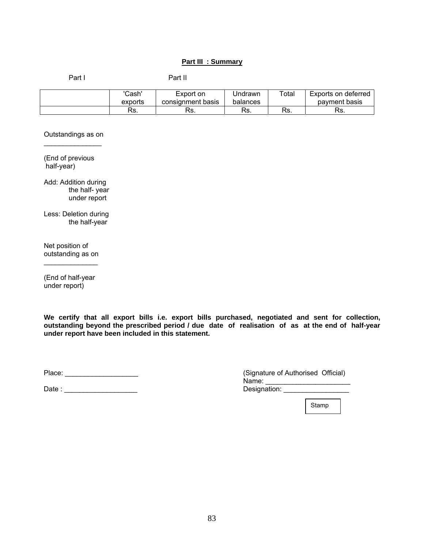# **Part III : Summary**

Part I Part II

| 'Cash'<br>exports | Export on<br>consignment basis | Jndrawn<br>balances | Total     | Exports on deferred<br>payment basis |
|-------------------|--------------------------------|---------------------|-----------|--------------------------------------|
| Rs.               | Rs.                            | Rs.                 | De<br>٦5. | Рc<br>רס.                            |

Outstandings as on  $\frac{1}{2}$  , where  $\frac{1}{2}$  , where  $\frac{1}{2}$ 

(End of previous half-year)

Add: Addition during the half- year under report

Less: Deletion during the half-year

Net position of outstanding as on  $\frac{1}{2}$  and  $\frac{1}{2}$  and  $\frac{1}{2}$  and  $\frac{1}{2}$  and  $\frac{1}{2}$  and  $\frac{1}{2}$ 

(End of half-year under report)

**We certify that all export bills i.e. export bills purchased, negotiated and sent for collection, outstanding beyond the prescribed period / due date of realisation of as at the end of half-year under report have been included in this statement.** 

Date : \_\_\_\_\_\_\_\_\_\_\_\_\_\_\_\_\_\_\_ Designation: \_\_\_\_\_\_\_\_\_\_\_\_\_\_\_\_\_

Place: \_\_\_\_\_\_\_\_\_\_\_\_\_\_\_\_\_\_\_ (Signature of Authorised Official)  $N$ ame:  $\Box$ 

Stamp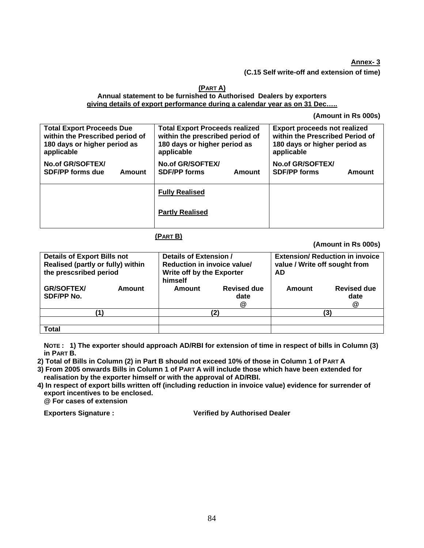#### **Annex- 3**

**(C.15 Self write-off and extension of time)** 

#### **(PART A) Annual statement to be furnished to Authorised Dealers by exporters giving details of export performance during a calendar year as on 31 Dec…..**

**(Amount in Rs 000s)** 

| <b>Total Export Proceeds Due</b> | <b>Total Export Proceeds realized</b> | <b>Export proceeds not realized</b> |  |  |
|----------------------------------|---------------------------------------|-------------------------------------|--|--|
| within the Prescribed period of  | within the prescribed period of       | within the Prescribed Period of     |  |  |
| 180 days or higher period as     | 180 days or higher period as          | 180 days or higher period as        |  |  |
| applicable                       | applicable                            | applicable                          |  |  |
| No.of GR/SOFTEX/                 | No.of GR/SOFTEX/                      | No.of GR/SOFTEX/                    |  |  |
| <b>SDF/PP forms due</b>          | <b>SDF/PP forms</b>                   | <b>SDF/PP forms</b>                 |  |  |
| Amount                           | Amount                                | Amount                              |  |  |
|                                  | <b>Fully Realised</b>                 |                                     |  |  |
|                                  | <b>Partly Realised</b>                |                                     |  |  |

# **(PART B)**

**(Amount in Rs 000s)** 

| himself |                                 | <b>Extension/ Reduction in invoice</b><br>value / Write off sought from<br>AD      |                                 |  |
|---------|---------------------------------|------------------------------------------------------------------------------------|---------------------------------|--|
| Amount  | <b>Revised due</b><br>date<br>@ | Amount                                                                             | <b>Revised due</b><br>date<br>@ |  |
|         | '2)                             | (3)                                                                                |                                 |  |
|         |                                 |                                                                                    |                                 |  |
|         |                                 | Details of Extension /<br>Reduction in invoice value/<br>Write off by the Exporter |                                 |  |

**NOTE : 1) The exporter should approach AD/RBI for extension of time in respect of bills in Column (3) in PART B.** 

**2) Total of Bills in Column (2) in Part B should not exceed 10% of those in Column 1 of PART A** 

**3) From 2005 onwards Bills in Column 1 of PART A will include those which have been extended for realisation by the exporter himself or with the approval of AD/RBI.** 

**4) In respect of export bills written off (including reduction in invoice value) evidence for surrender of export incentives to be enclosed.** 

**@ For cases of extension** 

**Exporters Signature : Verified by Authorised Dealer**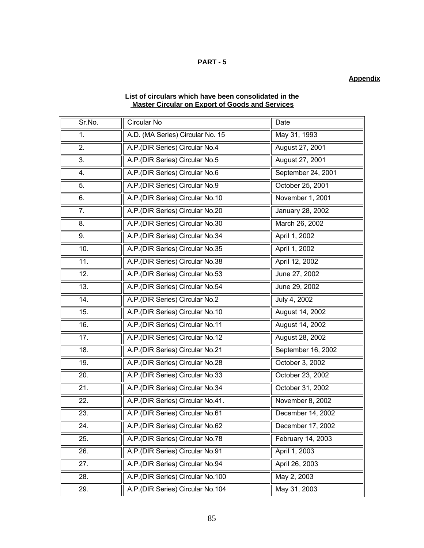# **PART - 5**

# **Appendix**

# **List of circulars which have been consolidated in the Master Circular on Export of Goods and Services**

| Sr.No. | Circular No                      | Date               |
|--------|----------------------------------|--------------------|
| 1.     | A.D. (MA Series) Circular No. 15 | May 31, 1993       |
| 2.     | A.P. (DIR Series) Circular No.4  | August 27, 2001    |
| 3.     | A.P.(DIR Series) Circular No.5   | August 27, 2001    |
| 4.     | A.P.(DIR Series) Circular No.6   | September 24, 2001 |
| 5.     | A.P.(DIR Series) Circular No.9   | October 25, 2001   |
| 6.     | A.P.(DIR Series) Circular No.10  | November 1, 2001   |
| 7.     | A.P.(DIR Series) Circular No.20  | January 28, 2002   |
| 8.     | A.P.(DIR Series) Circular No.30  | March 26, 2002     |
| 9.     | A.P.(DIR Series) Circular No.34  | April 1, 2002      |
| 10.    | A.P. (DIR Series) Circular No.35 | April 1, 2002      |
| 11.    | A.P.(DIR Series) Circular No.38  | April 12, 2002     |
| 12.    | A.P.(DIR Series) Circular No.53  | June 27, 2002      |
| 13.    | A.P.(DIR Series) Circular No.54  | June 29, 2002      |
| 14.    | A.P.(DIR Series) Circular No.2   | July 4, 2002       |
| 15.    | A.P.(DIR Series) Circular No.10  | August 14, 2002    |
| 16.    | A.P.(DIR Series) Circular No.11  | August 14, 2002    |
| 17.    | A.P. (DIR Series) Circular No.12 | August 28, 2002    |
| 18.    | A.P.(DIR Series) Circular No.21  | September 16, 2002 |
| 19.    | A.P. (DIR Series) Circular No.28 | October 3, 2002    |
| 20.    | A.P. (DIR Series) Circular No.33 | October 23, 2002   |
| 21.    | A.P.(DIR Series) Circular No.34  | October 31, 2002   |
| 22.    | A.P.(DIR Series) Circular No.41. | November 8, 2002   |
| 23.    | A.P.(DIR Series) Circular No.61  | December 14, 2002  |
| 24.    | A.P.(DIR Series) Circular No.62  | December 17, 2002  |
| 25.    | A.P.(DIR Series) Circular No.78  | February 14, 2003  |
| 26.    | A.P.(DIR Series) Circular No.91  | April 1, 2003      |
| 27.    | A.P.(DIR Series) Circular No.94  | April 26, 2003     |
| 28.    | A.P.(DIR Series) Circular No.100 | May 2, 2003        |
| 29.    | A.P.(DIR Series) Circular No.104 | May 31, 2003       |